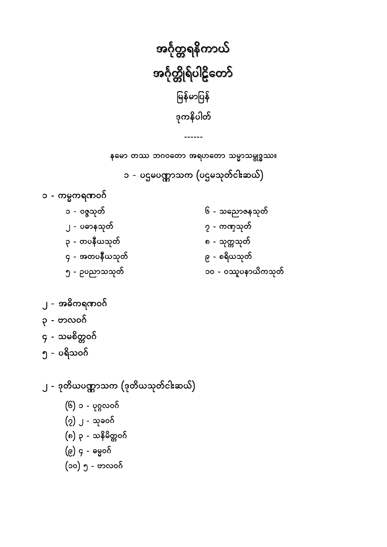<span id="page-0-0"></span>

နမော တဿ ဘဂဝတော အရဟတော သမ္မာသမ္ဗုဒ္ဓဿ။

၁ - ပဌမပဏ္ဏာသက (ပဌမသုတ်ငါးဆယ်)

၁ - ကမ္မကရဏဝဂ်

၂ - အဓိကရဏဝဂ်

၃ - ဗာလဝဂ်

၅ - ပရိသဝဂ်

၄ - သမစိတ္တဝဂ်

- ၆ သညောဇနသုတ် ၁ - ၀ဇ္ဇသုတ် ၂ - ပဓာနသုတ် ၇ - ကဏှသုတ် ၃ - တပနီယသုတ် ၈ - သုတ္တသုတ် ၄ - အတပနီယသုတ် ၉ - စရိယသုတ် ၁၀ - ၀ဿူပနာယိကသုတ် ၅ - ဥပညာသသုတ်
- 

၂ - ဒုတိယပဏ္ဏာသက (ဒုတိယသုတ်ငါးဆယ်)

(၆) ၁ - ပုဂ္ဂလဝဂ်

(၇) ၂ - သုခဝဂ်

(၉) ၄ - ဓမ္မဝဂ်

(၈) ၃ - သနိမိတ္တဝဂ်

(၁၀) ၅ - ဗာလဝဂ်

- 
- 
- 
- -------
- ś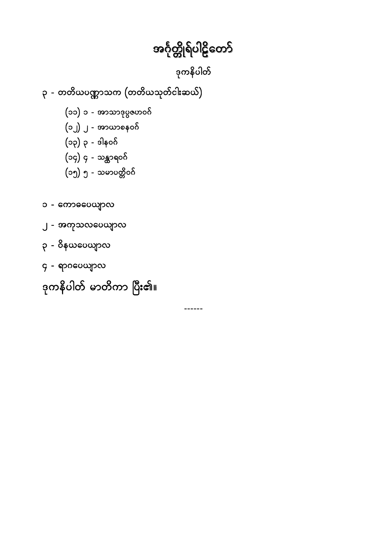ဒုကနိပါတ်

 $\frac{1}{2}$ 

<span id="page-1-0"></span>၃ - တတိယပဏ္ဏာသက (တတိယသုတ်ငါးဆယ်)

(၁၁) ၁ - အာသာဒုပ္ပဇဟဝဂ်

(၁၂) ၂ - အာယာစနဝဂ်

(၁၃) ၃ - ဒါနဝဂ်

(၁၄) ၄ - သန္တာရဝဂ်

၁ - ကောဓပေယျာလ

၃ - ၀ိနယပေယျာလ

၄ - ရာဂပေယျာလ

၂ - အကုသလပေယျာလ

(၁၅) ၅ - သမာပတ္တိဝဂ်

ဒုကနိပါတ် မာတိကာ ပြီး၏။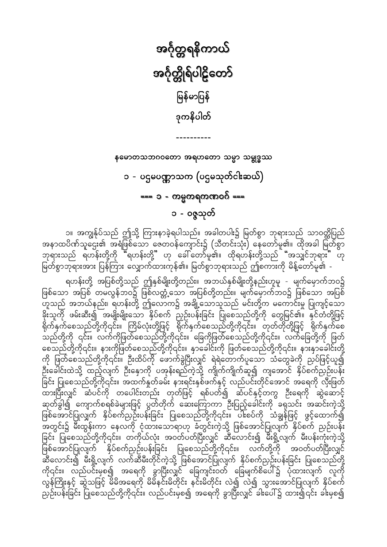<span id="page-2-0"></span>အင်္ဂုတ္တရနိကာယ် အင်္ဂုတ္တိုရ်ပါဠိတော် မြန်မာပြန် ဒုကနိပါတ်

နမောတသဘဂဝတော အရဟတော သမ္မာ သမ္ဗုဒ္ဓဿ

၁ - ပဌမပဏ္ဏာသက (ပဌမသုတ်ငါးဆယ်) === ၁ - ကမ္မကရကဏဝဂ် === ၁ - ဝဇ္ဇသုတ်

၁။ အကျွန်ုပ်သည် ဤသို့ ကြားနာခဲ့ရပါသည်။ အခါတပါး၌ မြတ်စွာ ဘုရားသည် သာဝတ္ထိပြည် အနာထပိဏ်သူဌေး၏ အရံဖြစ်သော ဇေတဝန်ကျောင်း၌ (သီတင်းသုံး) နေတော်မူ၏။ ထိုအခါ မြတ်စွာ ဘုရားသည် ရဟန်းတို့ကို "ရဟန်းတို့" ဟု ခေါ်တော်မူ၏။ ထိုရဟန်းတို့သည် "အသျှင်ဘုရား" ဟု မြတ်စွာဘုရားအား ပြန်ကြား လျှောက်ထားကုန်၏။ မြတ်စွာဘုရားသည် ဤစကားကို မိန့်တော်မူ၏ -

ရဟန်းတို့ အပြစ်တို့သည် ဤနှစ်မျိုးတို့တည်း။ အဘယ်နှစ်မျိုးတို့နည်းဟူမူ - မျက်မှောက်ဘဝ၌ ခိုးသူတို ဖမ်းဆီး၍ အမျိုးမျိုးသော နှိပ်စက် ညှဉ်းပန်းခြင်း ပြုစေသည်တို့ကို တွေမြင်၏။ နှင်တံတို့ဖြင့်<br>ရိုက်နှက်စေသည်တို့ကို၎င်း။ ကြိမ်လုံးတို့ဖြင့် ရိုက်နှက်စေသည်တို့ကို၎င်း။ တုတ်တိုတို့ဖြင့် ရိုက်နှက်စေ \_<br>သည်တို့ကို ၎င်း။ လက်ကိုဖြတ်စေသည်တို့ကို၎င်း။ ခြေကိုဖြတ်စေသည်တို့ကို၎င်း။ လက်ခြေတို့ကို ဖြတ်<br>စေသည်တို့ကို၎င်း။ နားကိုဖြတ်စေသည်တို့ကို၎င်း။ နှာခေါင်းကို ဖြတ်စေသည်တို့ကို၎င်း။ နားနှာခေါင်းတို့ ကို ဖြတ်စေသည်တို့ကို၎င်း။ ဦးထိပ်ကို ဖောက်ခွဲပြီးလျှင် ရဲရဲတောက်ပူသော သံတွေခဲကို ညှပ်ဖြင့်ယူ၍ ဦးခေါင်းထဲသို့ ထည့်လျက် ဦးနှောကို ပအုန်းရည်ကဲ့သို့ ကျိုက်ကျိုက်ဆူ၍ ကျအောင် နှိပ်စက်ညှဉ်းပန်း ခြင်း ပြုစေသည်တို့ကို၎င်း။ အထက်နှုတ်ခမ်း နားရင်းနှစ်ဖက်နှင့် လည်ပင်းတိုင်အောင် အရေကို လှီးဖြတ် ထားပြီးလျှင် ဆံပင်ကို တပေါင်းတည်း တုတ်ဖြင့် ရစ်ပတ်၍ ဆံပင်နှင့်တကွ ဦးရေကို ဆွဲဆောင့် ဆုတ်ခွါ၍ ကျောက်စရစ်ခဲများဖြင့် ပွတ်တိုက် ဆေးကြောကာ ဦးပြည့်ခေါင်းကို ခရုသင်း အဆင်းကဲ့သို့ ဖြစ်အောင်ပြုလျှက် နိုပ်စက်ညှဉ်းပန်းခြင်း ပြုစေသည်တို့ကို၎င်း။ ပါးစပ်ကို သံချွန်ဖြင့် ဖွင့်ထောက်၍ -<br>အတွင်း၌ မီးထွန်းကာ နေလကို ငုံထားသောရာဟု ခံတွင်းကဲ့သို့ ဖြစ်အောင်ပြုလျက် နှိပ်စက် ညှဉ်းပန်း ခြင်း ပြုစေသည်တို့ကို၎င်း။ တကိုယ်လုံး အဝတ်ပတ်ပြီးလျှင် ဆီလောင်း၍ မီးရှို့လျက် မီးပန်းကုံးကဲ့သို့ ျား ကျောင်း ကျောင်း နှင့် မြန်မာတို့ အမြင်း အမြစ်သည်တို့ကို၎င်း။ ထက်တို့ကို အဝတ်ပတ်ပြီးလျှင်<br>သီလောင်း၍ မီးရှို့လျက် လက်ဆီမီးတိုင်ကဲ့သို့ ဖြစ်အောင်ပြုလျက် နှိပ်စက်ညှဉ်းပန်းခြင်း ပြုစေသည်တို့<br>ကို၎င်း။ လည်ပင်းမှစ၍ အရေကို ခွာ လွန်ကြိုးနှင့် ဆွဲသဖြင့် မိမိအရေကို မိမိနင်းမိတိုင်း နင်းမိတိုင်း လဲ၍ လဲ၍ သွားအောင်ပြုလျက် နှိပ်စက် ညှဉ်းပန်းခြင်း ပြုစေသည်တို့ကို၎င်း။ လည်ပင်းမှစ၍ အရေကို ခွာပြီးလျှင် ခါးပေါ်၌ ထား၍၎င်း ခါးမှစ၍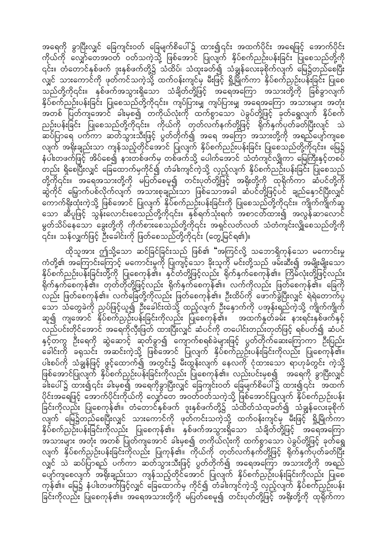အရေကို ခွာပြီးလျှင် ခြေကျင်းဝတ် ခြေမျက်စိပေါ်၌ ထား၍၎င်း အထက်ပိုင်း အရေဖြင့် အောက်ပိုင်း ကိုယ်ကို လျှော်တေအဝတ် ဝတ်သကဲ့သို့ ဖြစ်အောင် ပြုလျက် နှိပ်စက်ညဉ်းပန်းခြင်း ပြုစေသည်တို့ကို ၎င်း။ တံတောင်နှစ်ဖက် ဒူးနှစ်ဖက်တို့၌ သံထိပ်၊ သံထူးခတ်၍ သံချွန်လေးခုစိုက်လျက် မြေ၌တည်စေပြီး လျှင် သားကောင်ကို ဖုတ်ကင်သကဲ့သို့ ထက်ဝန်းကျင်မှ မီးဖြင့် ရှို့မြိုက်ကာ နှိပ်စက်ညှဉ်းပန်းခြင်း ပြုစေ ာ<br>သည်တို့ကို၎င်း။ နှစ်ဖက်အသွားရှိသော သံချိတ်တို့ဖြင့် အရေအကြော အသားတို့ကို ခြစ်ခွာလျက် နှိပ်စက်ညဉ်းပန်းခြင်း ပြုစေသည်တို့ကို၎င်း။ ကျဲပ်ပြားမျှ ကျပ်ပြားမျှ အရေအကြော အသားများ အတုံး -<br>အတစ် ပြတ်ကျအောင် ခါးမှစ၍ တကိုယ်လုံးကို ထက်စွာသော ပဲခွပ်တို့ဖြင့် ခုတ်ရွှေလျက် နှိပ်စက် ညဉ်းပန်းခြင်း ပြုစေသည်တို့ကို၎င်း။ ကိုယ်ကို တုတ်လက်နက်တို့ဖြင့် ရိုက်နှက်ပုတ်ခတ်ပြီးလျင် သဲ လျက် အရိုးချည်းသာ ကျန်သည့်တိုင်အောင် ပြုလျက် နှိပ်စက်ညဉ်းပန်းခြင်း ပြုစေသည်တို့ကို၎င်း။ မြေ၌ နံပါးတဖက်ဖြင့် အိပ်စေ၍ နားတစ်ဖက်မှ တစ်ဖက်သို့ ပေါက်အောင် သံတံကျင်လျှိုကာ မြေကြီးနှင့်တစပ် တည်း ရှိစေပြီးလျှင် ခြေထောက်မှကိုင်၍ တံခါးကျင်ကဲ့သို့ လှည့်လျက် နှိပ်စက်ညဉ်းပန်းခြင်း ပြုစေသည် တို့ကို၎င်း။ အရေအသားတို့ကို မပြတ်စေမူ၍ တင်းပုတ်တို့ဖြင့် အရိုးတို့ကို ထုရိုက်ကာ ဆံပင်တို့ကို ဆွဲကိုင် မြှောက်ပစ်လိုက်လျက် အသားစုချည်းသာ ဖြစ်သောအခါ ဆံပင်တို့ဖြင့်ပင် ချည်နှောင်ပြီးလျှင် တောက်ရိုးထုံးကဲ့သို့ ဖြစ်အောင် ပြုလျက် နှိပ်စက်ညဉ်းပန်းခြင်းကို ပြုစေသည်တို့ကို၎င်း။ ကျိုက်ကျိုက်ဆူ သော ဆီပူဖြင့် သွန်းလောင်းစေသည်တို့ကို၎င်း။ နှစ်ရက်သုံးရက် အစာငတ်ထား၍ အလွန်ဆာလောင် မွတ်သိပ်နေသော ခွေးတို့ကို ကိုက်စားစေသည်တို့ကို၎င်း အရှင်လတ်လတ် သံတံကျင်းလျှိုစေသည်တို့ကို ၎င်း။ သန်လျှက်ဖြင့် ဦးခေါင်းကို ဖြတ်စေသည်တို့ကို၎င်း (တွေ့မြင်ရ၏)။

ထိုသူအား ဤသို့သော ဆင်ခြင်ခြင်းသည် ဖြစ်၏ "အကြင်လို့ သဘောရှိကုန်သော မကောင်းမှု ကံတို့၏ အကြောင်းကြောင့် မကောင်းမှုကို ပြုကျင့်သော ခိုးသူကို မင်းတို့သည် ဖမ်းဆီး၍ အမျိုးမျိုးသော နှိပ်စက်ညဉ်းပန်းခြင်းတို့ကို ပြုစေကုန်၏။ နှင်တံတို့ဖြင့်လည်း ရိုက်နှက်စေကုန်၏။ ကြိမ်လုံးတို့ဖြင့်လည်း -<br>ရိုက်နှက်စေကုန်၏။ တုတ်တိုတို့ဖြင့်လည်း ရိုက်နှက်စေကုန်၏။ လက်ကိုလည်း ဖြတ်စေကုန်၏။ ခြေကို -<br>လည်း ဖြတ်စေကုန်၏။ လက်ခြေတို့ကိုလည်း ဖြတ်စေကုန်၏။ ဦးထိပ်ကို ဖောက်ခွဲပြီးလျှင် ရဲရဲတောက်ပူ သော သံတွေခဲကို ညှပ်ဖြင့်ယူ၍ ဦးခေါင်းထဲသို့ ထည့်လျက် ဦးနှောက်ကို ပအုန်းရည်ကဲ့သို့ ကျိုက်ကျိုက် ဆူ၍ ကျအောင် နှိပ်စက်ညှဉ်းပန်းခြင်းကိုလည်း ပြုစေကုန်၏။ အထက်နှုတ်ခမ်း နားရင်းနှစ်ဖက်နှင့် လည်ပင်းတိုင်အောင် အရေကိုလှီးဖြတ် ထားပြီးလျှင် ဆံပင်ကို တပေါင်းတည်းတုတ်ဖြင့် ရစ်ပတ်၍ ဆံပင် နှင့်တကွ ဦးရေကို ဆွဲဆောင့် ဆုတ်ခွာ၍ ကျောက်စရစ်ခဲများဖြင့် ပွတ်တိုက်ဆေးကြောကာ ဦးပြည်း ခေါင်းကို ခရုသင်း အဆင်းကဲ့သို့ ဖြစ်အောင် ပြုလျက် နှိပ်စက်ညှဉ်းပန်းခြင်းကိုလည်း ပြုစေကုန်၏။ ပါးစပ်ကို သံချွန်ဖြင့် ဖွင့်ထောက်၍ အတွင်း၌ မီးထွန်းလျက် နေလကို ငုံထားသော ရာဟုခံတွင်း ကဲ့သို့ ဖြစ်အောင်ပြုလျက် နှိပ်စက်ညှဉ်းပန်းခြင်းကိုလည်း ပြုစေကုန်၏။ လည်းပင်းမှစ၍ အရေကို ခွာပြီးလျှင် ခါးပေါ်၌ ထား၍၎င်း ခါးမှစ၍ အရေကိုခွာပြီးလျှင် ခြေကျင်းဝတ် ခြေမျက်စိပေါ်၌ ထား၍၎င်း အထက် ပိုင်းအရေဖြင့် အောက်ပိုင်းကိုယ်ကို လျှော်တေ အဝတ်ဝတ်သကဲ့သို့ ဖြစ်အောင်ပြုလျက် နှိပ်စက်ညှဉ်းပန်း ခြင်းကိုလည်း ပြုစေကုန်၏။ တံတောင်နှစ်ဖက် ဒူးနှစ်ဖက်တို့၌ သံထိတ်သံထုခတ်၍ သံချွန်လေးခုစိုက် လျက် မြေ၌တည်စေပြီးလျှင် သားကောင်ကို ဖုတ်ကင်းသကဲ့သို့ ထက်ဝန်းကျင်မှ မီးဖြင့် ရှို့မြိုက်ကာ နှိပ်စက်ညှဉ်းပန်းခြင်းကိုလည်း ပြုစေကုန်၏။ နှစ်ဖက်အသွားရှိသော သံချိတ်တို့ဖြင့် အရေအကြော အသားများ အတုံး အတစ် ပြုတ်ကျအောင် ခါးမှစ၍ တကိုယ်လုံးကို ထက်စွာသော ပဲခွပ်တို့ဖြင့် ခုတ်ရွေ လျက် နှိပ်စက်ညှဉ်းပန်းခြင်းကိုလည်း ပြုကုန်၏။ ကိုယ်ကို တုတ်လက်နက်တို့ဖြင့် ရိုက်နှက်ပုတ်ခတ်ပြီး လျှင် သဲ ဆပ်ပြာရည် ပက်ကာ ဆတ်သွားသီးဖြင့် ပွတ်တိုက်၍ အရေအကြော အသားတို့ကို အရည် …<br>ပျော်ကျစေလျက် အရိုးချည်းသာ ကျန်သည့်တိုင်အောင် ပြုလျက် နှိပ်စက်ညှဉ်းပန်းခြင်းကိုလည်း ပြုစေ ကုန်၏။ မြေ၌ နံပါးတဖက်ဖြင့်လျှင် ခြေထောက်မှ ကိုင်၍ တံခါးကျင်ကဲ့သို့ လှည့်လျက် နိုပ်စက်ညှဉ်းပန်း ြင်းကိုလည်း ပြုစေကုန်၏။ အရေအသားတို့ကို မပြတ်စေမူ၍ တင်းပုတ်တို့ဖြင့် အရိုးတို့ကို ထုရိုက်ကာ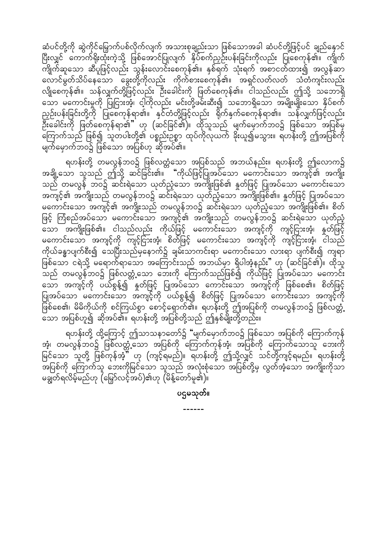ဆံပင်တို့ကို ဆွဲကိုင်မြှောက်ပစ်လိုက်လျက် အသားစုချည်းသာ ဖြစ်သောအခါ ဆံပင်တို့ဖြင့်ပင် ချည်နှောင် ပြီးလျှင် ကောက်ရိုးထုံးကဲ့သို့ ဖြစ်အောင်ပြုလျက် နှိပ်စက်ညှဉ်းပန်းခြင်းကိုလည်း ပြုစေကုန်၏။ ကျိုက် လောင်မွတ်သိပ်နေသော မွေးတို့ကိုလည်း ကိုက်စားစေကုန်၏။ အရှင်လတ်လတ် သံတံကျင်းလည်း လျိုစေကုန်၏။ သန်လျှက်တို့ဖြင့်လည်း ဦးခေါင်းကို ဖြတ်စေကုန်၏။ ငါသည်လည်း ဤသို့ သဘောရှိ သော မကောင်းမှုကို ပြုငြားအံ့၊ ငါ့ကိုလည်း မင်းတို့ဖမ်းဆီး၍ သဘောရှိသော အမျိုးမျိုးသော နှိပ်စက် ညှဉ်းပန်းခြင်းတို့ကို ပြုစေကုန်ရာ၏။ နှင်တံတို့ဖြင့်လည်း ရိုက်နှက်စေကုန်ရာ၏။ သန်လျှက်ဖြင့်လည်း မြို့<br>ဦးခေါင်းကို ဖြတ်စေကုန်ရာ၏" ဟု (ဆင်ခြင်၏)။ ထိုသူသည် မျက်မှောက်ဘဝ၌ ဖြစ်သော အပြစ်မှ ကြောက်သည် ဖြစ်၍ သူတပါးတို့၏ ပစ္စည်းဥစ္စာ ထုပ်ကိုလုယက် ခိုးယူ၍မသွား။ ရဟန်းတို့ ဤအပြစ်ကို မျက်မှောက်ဘဝ၌ ဖြစ်သော အပြစ်ဟု ဆိုအပ်၏။

ရဟန်းတို့ တမလွန်ဘဝ၌ ဖြစ်လတ္တံသော အပြစ်သည် အဘယ်နည်း။ ရဟန်းတို့ ဤလောက၌<br>အချို့သော သူသည် ဤသို့ ဆင်ခြင်း၏။ "ကိုယ်ဖြင့်ပြုအပ်သော မကောင်းသော အကျင့်၏ အကျိုး သည် တမလွန် ဘဝ၌ ဆင်းရဲသော ယုတ်ညံ့သော အကျိုးဖြစ်၏ နှုတ်ဖြင့် ပြုအပ်သော မကောင်းသော အကျင့်၏ အကျိုးသည် တမလွန်ဘဝ၌ ဆင်းရဲသော ယုတ်ညံ့သော အကျိုးဖြစ်၏။ နှတ်ဖြင့် ပြုအပ်သော မကောင်းသော အကျင့်၏ အကျိုးသည် တမလွန်ဘဝ၌ ဆင်းရဲသော ယုတ်ညံ့သော အကျိုးဖြစ်၏။ စိတ် ဖြင့် ကြံစည်အပ်သော မကောင်းသော အကျင့်၏ အကျိုးသည် တမလွန်ဘဝ၌ ဆင်းရဲသော ယုတ်ညံ့ သော အကျိုးဖြစ်၏။ ငါသည်လည်း ကိုယ်ဖြင့် မကောင်းသော အကျင့်ကို ကျင့်ငြားအံ့၊ နှုတ်ဖြင့် မကောင်းသော အကျင့်ကို ကျင့်ငြားအံ့၊ စိတ်ဖြင့် မကောင်းသော အကျင့်ကို ကျင့်ငြားအံ့၊ ငါသည် ကိုယ်ခန္ဓာပျက်စီး၍ သေပြီးသည်မှနောက်၌ ချမ်းသာကင်းရာ မကောင်းသော လားရာ ပျက်စီး၍ ကျရာ ဖြစ်သော ငရဲသို့ မရောက်ရာသော အကြောင်းသည် အဘယ်မှာ ရှိပါအံ့နည်း" ဟု (ဆင်ခြင်၏)။ ထိုသူ သည် တမလွန်ဘဝ၌ ဖြစ်လတ္တံ့သော ဘေးကို ကြောက်သည်ဖြစ်၍ ကိုယ်ဖြင့် ပြုအပ်သော မကောင်း သော အကျင့်ကို ပယ်စွန့်၍ နှိတ်ဖြင့် ပြုအပ်သော ကောင်းသော အကျင့်ကို ဖြစ်စေ၏။ စိတ်ဖြင့်<br>ပြုအပ်သော မကောင်းသော အကျင့်ကို ပယ်စွန့်၍ စိတ်ဖြင့် ပြုအပ်သော ကောင်းသော အကျင့်ကို ပြ<br>ဖြစ်စေ၏၊ မိမိကိုယ်ကို စင်ကြယ်စွာ စောင့်ရှောက်၏။ ရဟန်းတို့ ဤအပြစ်ကို တမလွန်ဘဝ၌ ဖြစ်လတ္တံ့ ်<br>သော အပြစ်ဟူ၍ ဆိုအပ်၏။ ရဟန်းတို့ အပြစ်တို့သည် ဤနှစ်မျိုးတို့တည်း။

ရဟန်းတို့ ထို့ကြောင့် ဤသာသနာတော်၌ "မျက်မှောက်ဘဝ၌ ဖြစ်သော အပြစ်ကို ကြောက်ကုန် အံ့၊ တမလွန်ဘဝ၌ ဖြစ်လတ္တံ့သော အပြစ်ကို ကြောက်ကုန်အံ့၊ အပြစ်ကို ကြောက်သောသူ ဘေးကို မြင်သော သူတို့ ဖြစ်ကုန်အံ့" ဟု (ကျင့်ရမည်)။ ရဟန်းတို့ ဤသို့လျှင် သင်တို့ကျင့်ရမည်။ ရဟန်းတို့ -<br>အပြစ်ကို ကြောက်သူ ဘေးကိုမြင်သော သူသည် အလုံးစုံသော အပြစ်တို့မှ လွတ်အံ့သော အကျိုးကိုသာ မချွတ်ရလိမ့်မည်ဟု (မြှော်လင့်အပ်)၏ဟု (မိန့်တော်မူ၏)။

ပဌမသုတ်။

 $\frac{1}{2}$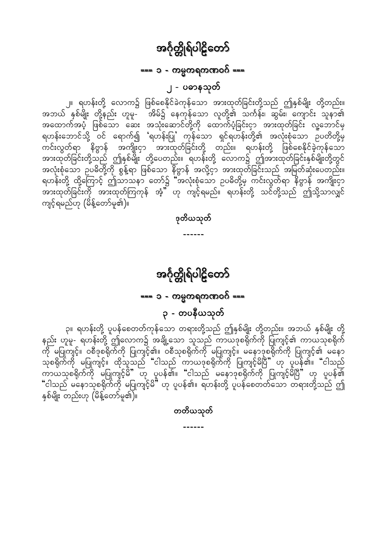## === ၁ - ကမ္မကရကဏဝဂ် ===

၂ - ပဓာနသုတ်

<span id="page-5-0"></span>၂။ ရဟန်းတို့ လောက၌ ဖြစ်စေနိုင်ခဲကုန်သော အားထုတ်ခြင်းတို့သည် ဤနှစ်မျိုး တို့တည်း။ .<br>အဘယ် နှစ်မျိုး တို့နည်း ဟူမူ- အိမ်၌ နေကုန်သော လူတို့၏ သင်္ကန်း၊ ဆွမ်း၊ ကျောင်း သူနာ၏ .<br>ကင်းလွတ်ရာ နိဗ္ဗာန် အကျိုးငှာ အားထုတ်ခြင်းတို့ တည်း။ ရဟန်းတို့ ဖြစ်စေနိုင်ခဲ့ကုန်သော အားထုတ်ခြင်းတို့သည် ဤနှစ်မျိုး တို့ပေတည်း။ ရဟန်းတို့ လောက၌ ဤအားထုတ်ခြင်းနှစ်မျိုးတို့တွင် သောမူသမြားတို့သည် အားထုတ်ကြတုန် အံ့" ဟု ကျင့်ရမည်။ ရဟန်းတို့ သင်တို့သည် အမြတ်ဆုံးပေတည်း။<br>ရဟန်းတို့ ထို့ကြောင့် ဤသာသနာ တော်၌ "အလုံးစုံသော ဥပဓိတို့မှ ကင်းလွတ်ရာ နိဗ္ဗာန် အကျိုးငှာ<br>အားထုတ်ခြင်းကို အားထုတ်ကြကုန် အံ့" ဟု ကျင့် ကျင့်ရမည်ဟု (မိန့်တော်မူ၏)။

ဒုတိယသုတ်

 $- - - - - -$ 

# အင်္ဂုတ္တိုရ်ပါဠိတော်

=== ၁ - ကမ္မကရကဏဝဂ် ===

### ၃ - တပနီယသုတ်

၃။ ရဟန်းတို့ ပူပန်စေတတ်ကုန်သော တရားတို့သည် ဤနှစ်မျိုး တို့တည်း။ အဘယ် နှစ်မျိုး တို့ နည်း ဟူမူ- ရဟန်းတို့ ဤလောက၌ အချို့သော သူသည် ကာယဒုစရိုက်ကို ပြုကျင့်၏ ကာယသုစရိုက်<br>ကို မပြုကျင့်။ ဝစီဒုစရိုက်ကို ပြုကျင့်၏။ ဝစီသုစရိုက်ကို မပြုကျင့်။ မနောဒုစရိုက်ကို ပြုကျင့်၏ မနော "ငါသည် မနောသုစရိုက်ကို မပြုကျင့်မိ "ဟု ပူပန်၏။ ရဟန်းတို့ ပူပန်စေတတ်သော တရားတို့သည် ဤ နှစ်မျိုး တည်းဟု (မိန့်တော်မူ၏)။

တတိယသုတ်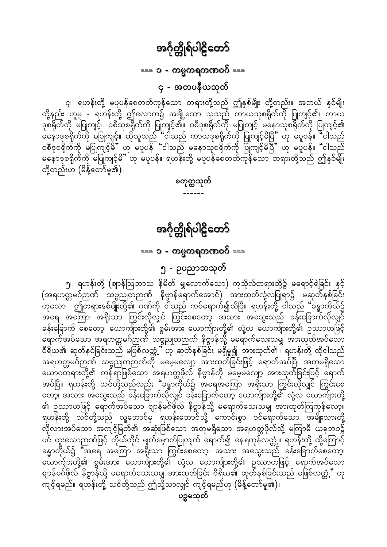=== ၁ - ကမ္မကရကဏဝဂ် ===

၄ - အတပနီယသုတ်

<span id="page-6-0"></span>၄။ ရဟန်းတို့ မပူပန်စေတတ်ကုန်သော တရားတို့သည် ဤနှစ်မျိုး တို့တည်း။ အဘယ် နှစ်မျိုး<br>တို့နည်း ဟူမူ - ရဟန်းတို့ ဤလောက၌ အချို့သော သူသည် ကာယသုစရိုက်ကို ပြုကျင့်၏၊ ကာယ ုး ၊ ၂<br>ဒုစရိုက်ကို မပြုကျင့်။ ဝစီသုစရိုက်ကို ပြုကျင့်၏။ ဝစီဒုစရိုက်ကို မပြုကျင့် မနောသုစရိုက်ကို ပြုကျင့်၏<br>မနောဒုစရိုက်ကို မပြုကျင့်။ ထိုသူသည် "ငါသည် ကာယဒုစရိုက်ကို ပြုကျင့်မိပြီ" ဟု မပူပန်။ "ငါသည် ဝစီဒုစရိုက်ကို မပြုတျင့်မိ" ဟု မပူပန်၊ "ငါသည် မနောသုစရိုက်ကို ပြုကျင့်မိပြီ" ဟု မပူပန်။ "ငါသည် မနောဒုစရိုက်ကို မပြုကျင့်မိ"်ဟု မပူပန်။ ရဟန်းတို့ မပူပန်စေတတ်ကုန်သော တရားတို့သည် ဤနှစ်မျိုး တို့တည်းဟု (မိန့်တော်မူ၏)။

အင်္ဂုတ္တိုရ်ပါဠိတော်

စတုတ္ထသုတ်

=== ၁ - ကမ္မကရကဏဝဂ် ===

၅ - ဥပညာသသုတ်

၅။ ရဟန်းတို့ (ဈာန်ဩဘာသ နိမိတ် မျှလောက်သော) ကုသိုလ်တရားတို့၌ မရောင့်ရဲခြင်း နှင့် (အရဟတ္တမဂ်ဉာဏ် သဗ္ဗညုတဉာဏ် နိဗ္ဗာန်ရောက်အောင်) အားထုတ်လုံ့လပြုရာ၌ မဆုတ်နစ်ခြင်း ့ ၊ ၈ – စီပြီး – စီပြီး – စီပြီး – စီပြီး – စီပြီး – စီပြီး – စီပြီး – စီပြီး – စီပြီး – စီပြီး<br>ဟူသော ဤတရားနှစ်မျိုးတို့၏ ဂုဏ်ကို ငါသည် ကပ်ရောက်၍သိပြီ။ ရဟန်းတို့ ငါသည် "ခန္ဓာကိုယ်၌ အရေ အကြော အရိုးသာ ကြွင်းလိုလျှင် ကြွင်းစေတော့ အသား အသွေးသည် ခန်းခြောက်လိုလျှင် ခန်းခြောက် စေတော့၊ ယောက်ျားတို့၏ စွမ်းအား ယောက်ျားတို့၏ လုံ့လ ယောက်ျားတို့၏ ဉဿာဟဖြင့် -<br>ရောက်အပ်သော အရဟတ္တမဂ်ဉာဏ် သဗ္ဗညုတဉာဏ် နိဗ္ဗာန်သို့ မရောက်သေးသမျှ အားထုတ်အပ်သော<br>ဝီရိယ၏ ဆုတ်နစ်ခြင်းသည် မဖြစ်လတ္တံ့" ဟု ဆုတ်နစ်ခြင်း မရှိမူ၍ အားထုတ်၏။ ရဟန်းတို့ ထိုငါသည် ာ<br>အရဟတ္တမဂ်ဉာဏ် သဗ္ဗညုတဉာဏ်ကို မမေ့မလျော့ အားထုတ်ခြင်းဖြင့် ရောက်အပ်ပြီ၊ အတုမရှိသော ယောဂတရားတို့၏ ကုန်ရာဖြစ်သော အရဟတ္တဖိုလ် နိဗ္ဗာန်ကို မမေ့မလျော့ အားထုတ်ခြင်းဖြင့် ရောက် .<br>အပ်ပြီ။ ရဟန်းတို့ သင်တို့သည်လည်း "ခန္ဓာကိုယ်၌ အရေအကြော အရိုးသာ ကြွင်းလိုလျှင် ကြွင်းစေ တော့၊ အသား အသွေးသည် ခန်းခြောက်လိုလျှင် ခန်းခြောက်တော့ ယောက်ျားတို့၏ လုံ့လ ယောက်ျားတို့ ၏ ဥဿာဟဖြင့် ရောက်အပ်သော ဈာန်မဂ်ဖိုလ် နိဗ္ဗာန်သို့ မရောက်သေးသမျှ အားထုတ်ကြကုန်လော့။ ရဟန်းတို့ သင်တို့သည် လူ့ဘောင်မှ ရဟန်းဘောင်သို့ ကောင်းစွာ ဝင်ရောက်သော အမျိုးသားတို့ လိုလားအပ်သော အကျင့်မြတ်၏ အဆုံးဖြစ်သော အတုမရှိသော အရဟတ္တဖိုလ်သို့ မကြာမီ ယခုဘဝ၌ ပင် ထူးသောဉာဏ်ဖြင့် ကိုယ်တိုင် မျက်မှောက်ပြုလျက် ရောက်၍ နေရကုန်လတ္တံ့။ ရဟန်းတို့ ထို့ကြောင့် ခန္ဓာကိုယ်၌ "အရေ အကြော အရိုးသာ ကြွင်းစေတော့၊ အသား အသွေးသည် ခန်းခြောက်စေတော့၊ ယောက်ျားတို့၏ စွမ်းအား ယောက်ျားတို့၏ လုံ့လ ယောက်ျားတို့၏ ဉဿာဟဖြင့် ရောက်အပ်သော ဈာန်မဂ်ဖိုလ် နိဗ္ဗာန်သို့ မရောက်သေးသမျှ အားထုတ်ခြင်း ဝီရိယ၏ ဆုတ်နစ်ခြင်းသည် မဖြစ်လတ္တံ့" ဟု ကျင့်ရမည်။ ရဟန်းတို့ သင်တို့သည် ဤသို့သာလျှင် ကျင့်ရမည်ဟု (မိန့်တော်မူ၏)။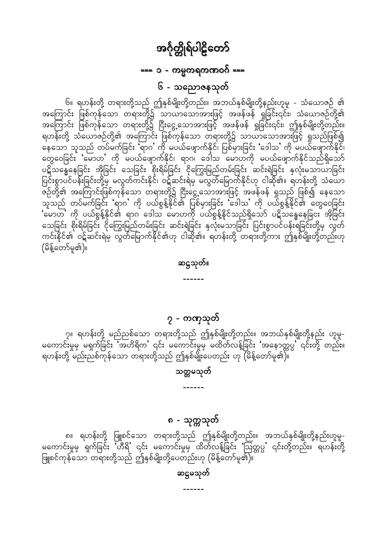#### ဆဋ္ဌမသုတ်

၈။ ရဟန်းတို့ ဖြူစင်သော တရားတို့သည် ဤနှစ်မျိုးတို့တည်း။ အဘယ်နှစ်မျိုးတို့နည်းဟူမူ-မကောင်းမှုမှ ရှက်ခြင်း 'ဟီရိ' ၎င်း မကောင်းမှုမှ ထိတ်လန့်ခြင်း 'ဩတ္တပ္ပ' ၎င်းတို့တည်း။ ရဟန်းတို့<br>ဖြူစင်ကုန်သော တရားတို့သည် ဤနှစ်မျိုးတို့ပေတည်းဟု (မိန့်တော်မူ၏)။

၈ - သုတ္တသုတ်

#### သတ္တမသုတ်

၇။ ရဟန်းတို့ မည်ညစ်သော တရားတို့သည် ဤနှစ်မျိုးတို့တည်း။ အဘယ်နှစ်မျိုးတို့နည်း ဟူမူ-<br>မကောင်းမှုမှ မရှက်ခြင်း 'အဟိရိက' ၎င်း မကောင်းမှုမှ မထိတ်လန့်ခြင်း 'အနောတ္တပွ' ၎င်းတို့ တည်း။ ႜ<br>ရဟန်းတို့ မည်းညစ်ကုန်သော တရားတို့သည် ဤနှစ်မျိုးပေတည်း ဟု (မိန့်တော်မူ၏)။

#### ၇ - ကဏှသုတ်

ဆဋ္ဌသုတ်။

<span id="page-7-0"></span>၆။ ရဟန်းတို့ တရားတို့သည် ဤနှစ်မျိုးတို့တည်း။ အဘယ်နှစ်မျိုးတို့နည်းဟူမူ - သံယောဇဉ် ၏<br>အကြောင်း ဖြစ်ကုန်သော တရားတို့၌ သာယာသောအားဖြင့် အဖန်ဖန် ရှုခြင်း၎င်း၊ သံယောဇဉ်တို့၏ အကြောင်း ဖြစ်ကုန်သော တရား<u>တို့</u>၌ ငြီးငွေ့သောအားဖြင့် အဖန်ဖန် ရှုခြင်း၎င်း၊ ဤနှစ်မျိုးတို့တည်း။ ရဟန်းတို့ သံယောဇဉ်တို့၏ အကြောင်း ဖြစ်ကုန်သော တရားတို့၌ သာယာသောအားဖြင့် ရှုသည်ဖြစ်၍ တွေဝေခြင်း 'မောဟ' ကို မပယ်ဖျောက်နိုင်၊ ရာဂ၊ ဒေါသ မောဟကို မပယ်ဖျောက်နိုင်သည်ရှိသော် ပဋိသန္ဓေနေခြင်း အိုခြင်း သေခြင်း စိုးရိမ်ခြင်း ငိုကြွေးမြည်တမ်းခြင်း ဆင်းရဲခြင်း နှလုံးမသာယာခြင်း<br>ပြင်းစွာပင်ပန်းခြင်းတို့မှ မလွတ်ကင်းနိုင်၊ ဝဋ်ဆင်းရဲမှ မလွတ်မြောက်နိုင်ဟု ငါဆို၏။ ရဟန်းတို့ သံယော ု<br>ဇဉ်တို့၏ အကြောင်းဖြစ်ကုန်သော တရားတို့၌ ငြီးငွေ့သောအားဖြင့် အဖန်ဖန် ရှုသည် ဖြစ်၍ နေသော<br>သူသည် တပ်မက်ခြင်း 'ရာဂ' ကို ပယ်စွန့်နိုင်၏ ပြစ်မှားခြင်း 'ဒေါသ' ကို ပယ်စွန့်နိုင်၏ တွေဝေခြင်း 'မောဟ' ကို ပယ်စွန့်နိုင်၏ ရာဂ ဒေါသ မောဟကို ပယ်စွန့်နိုင်သည်ရှိသော် ပဋိသန္ဓေနေခြငး အိုခြင်း သေခြင်း စိုးရိမ်ခြင်း ငိုကြွေးမြည်တမ်းခြင်း ဆင်းရဲခြင်း နှလုံးမသာခြင်း ပြင်းစွာပင်ပန်းရဲခြင်းတို့မှ လွတ် ကင်းနိုင်၏ ဝဋ်ဆင်းရဲမှ လွတ်မြောက်နိုင်၏ဟု ငါဆို၏။ ရဟန်းတို့ တရားတို့ကား ဤနှစ်မျိုးတို့တည်းဟု (မိန့်တော်မှု၏)။

## အင်္ဂုတ္တိုရ်ပါဠိတော်

=== ၁ - ကမ္မကရကဏဝဂ် ===

၆ - သညောဇနသုတ်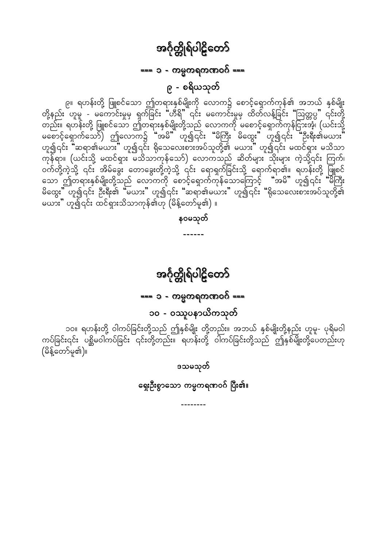### === ၁ - ကမ္မကရကဏဝဂ် ===

၉ - စရိယသုတ်

<span id="page-8-0"></span>၉။ ရဟန်းတို့ ဖြူစင်သော ဤတရားနှစ်မျိုးကို လောက၌ စောင့်ရှောက်ကုန်၏ အဘယ် နှစ်မျိုး<br>တို့နည်း ဟူမူ - မကောင်းမှုမှ ရှက်ခြင်း "ဟီရိ" ၎င်း မကောင်းမှုမှ ထိတ်လန့်ခြင်း "ဩတ္တပ္ပ" ၎င်းတို့ ္မွာ ျပည္သူ ေျပာင္ရွင္<br>တည္း။ ရဟန်းတို့ ဖြူစင်သော ဤတရားနှစ်မျိုးတို့သည် လောကကို မစောင့်ရှောက်ကုန်ငြားအံ့၊ (ယင်းသို့<br>"မစောင့်ရှောက်သော်) ဤလောက၌ "အမိ" ဟူ၍၎င်း "မိကြီး မိထွေး" ဟူ၍၎င်း "ဦးရီး၏မယား ဟူ၍၎င်း "ဆရာ၏မယား" ဟူ၍၎င်း ရိုသေလေးစားအပ်သူတို့၏ မယား" ဟူ၍၎င်း မထင်ရှား မသိသာ ကုန်ရာ။ (ယင်းသို့ မထင်ရှား မသိသာကုန်သော်) လောကသည် ဆိတ်များ သိုးများ ကဲ့သို့၎င်း ကြက်၊ ဝက်တို့ကဲ့သို့ ၎င်း အိမ်ခွေး တောခွေးတို့ကဲ့သို့ ၎င်း ရောရှက်ခြင်းသို့ ရောက်ရာဇ်။။ ရဟန်းတို့ ဖြူစင် သောင်္ဘျာကရားနှစ်မျိုးတို့သည် လောကကို စောင့်ရှောက်ကုန်သောကြောင့် "အမိ" ဟူ၍၎င်း မကြီး<br>မိထွေး" ဟူ၍၎င်း ဦးရီး၏ "မယား" ဟူ၍၎င်း "ဆရာ၏မယား" ဟူ၍၎င်း "ရိုသေလေးစားအပ်သူတို့၏ မယား" ဟူ၍၎င်း ထင်ရှားသိသာကုန်၏ဟု (မိန့်တော်မူ၏) ။

နဝမသုတ်

 $\frac{1}{2}$ 

# အင်္ဂုတ္တိုရ်ပါဠိတော်

## === ၁ - ကမ္မကရကဏဝဂ် ===

## ၁၀ - ၀ဿူပနာယိကသုတ်

၁ဝ။ ရဟန်းတို့ ဝါကပ်ခြင်းတို့သည် ဤနှစ်မျိုး တို့တည်း။ အဘယ် နှစ်မျိုးတို့နည်း ဟူမူ- ပုရိမဝါ<br>ကပ်ခြင်း၎င်း ပစ္ဆိမဝါကပ်ခြင်း ၎င်းတို့တည်း။ ရဟန်းတို့ ဝါကပ်ခြင်းတို့သည် ဤနှစ်မျိုးတို့ပေတည်းဟု (မိန့်တော်မူ၏)။

ဒသမသုတ်

ရှေးဦးစွာသော ကမ္မကရဏဝဂ် ပြီး၏။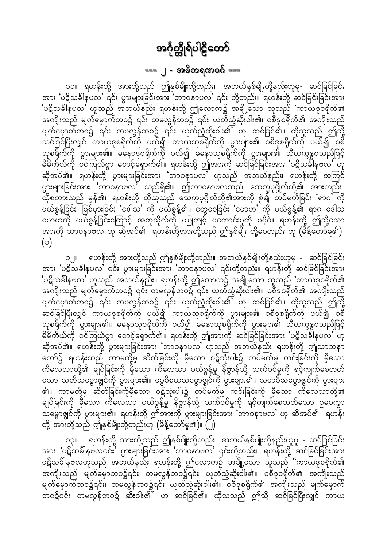## === ၂ - အဓိကရဏဝဂ် ===

<span id="page-9-0"></span>၁၁။ ရဟန်းတို့ အားတို့သည် ဤနှစ်မျိုးတို့တည်း။ အဘယ်နှစ်မျိုးတို့နည်းဟူမူ- ဆင်ခြင်ခြင်း အား ပဋိသခ်ါနဗလ' ၎င်း ပွားများခြင်းအား 'ဘာဝနာဗလ' ၎င်း တို့တည်း။ ရဟန်းတို့ ဆင်ခြင်းခြင်းအား 'ပဋိသခါနဗလ' ဟူသည် အဘယ်နည်း ရဟန်းတို့ ဤလောက၌ အချို့သော သူသည် 'ကာယဒုစရိုက်၏ အကျိုးသည် မျက်မှောက်ဘဝ၌ ၎င်း တမလွန်ဘဝ၌ ၎င်း ယုတ်ညံ့ဆိုးဝါး၏၊ ဝစီဒုစရိုက်၏ အကျိုးသည် မျက်မှောက်ဘဝ၌ ၎င်း တမလွန်ဘဝ၌ ၎င်း ယုတ်ညံ့ဆိုးဝါး၏ ဟု ဆင်ခြင်၏။ ထိုသူသည် ဤသို့ ့<br>ဆင်ခြင်ပြီးလျှင် ကာယဒုစရိုက်ကို ပယ်၍ ကာယသုစရိုက်ကို ပွားများ၏ ဝစီဒုစရိုက်ကို ပယ်၍ ဝစီ သုစရိုက်ကို ပွားများ၏။ မနောဒုစရိုက်ကို ပယ်၍ မနောသုစရိုက်ကို ပွားများ၏ သီလက္ခန္ဓစသည်ဖြင့်<br>မိမိကိုယ်ကို စင်ကြယ်စွာ စောင့်ရှောက်၏။ ရဟန်းတို့ ဤအားကို ဆင်ခြင်ခြင်းအား 'ပဋိသင်္ခါနဗလ' ဟု ဆိုအပ်၏။ ရဟန်းတို့ ပွားများခြင်းအား 'ဘာဝနာဗလ' ဟူသည် အဘယ်နည်း၊ ရဟန်းတို့ အကြင် ပွားများခြင်းအား 'ဘာဝနာဗလ' သည်ရှိ၏။ ဤဘာဝနာဗလသည် သေက္ခပုဂ္ဂိုလ်တို့၏ အားတည်း။ ိ မွာ မွာ မွာ မွန်၏။ ရဟန်းတို့ ထိုသူသည် သေက္ခပုဂ္ဂိုလ်တို့၏အားကို စွဲ၍ တပ်မက်ခြင်း 'ရာဂ' ကို<br>ပယ်စွန့်ခြင်း၊ ပြစ်မှားခြင်း 'ဒေါသ' ကို ပယ်စွန့်၏။ တွေဝေခြင်း 'မောဟ' ကို ပယ်စွန့်၏ ရာဂ ဒေါသ<br>မောဟကို ပယ်စွန့်ခြင်းကြောင့် အကုသိုလ  $(c)$ 

ရဟန်းတို့ အားတို့သည် ဤနှစ်မျိုးတို့တည်း။ အဘယ်နှစ်မျိုးတို့နည်းဟူမူ - ဆင်ခြင်ခြင်း  $\mathbb{I}$  o အား ပဋိသင်္ခါနဗလ' ၎င်း ပွားများခြင်းအား 'ဘာဝနာဗလ' ၎င်းတို့တည်း။ ရဟန်းတို့ ဆင်ခြင်ခြင်းအား 'ပဋိသခ်ါနဗလ' ဟူသည် အဘယ်နည်း။ ရဟန်းတို့ ဤလောက၌ အချို့သော သူသည် 'ကာယဒုစရိုက်၏ အကျိုးသည် မျက်မှောက်ဘဝ၌ ၎င်း တမလွန်ဘဝ၌ ၎င်း ယုတ်ညံ့ဆိုးဝါး၏။ ဝစီဒုစရိုက်၏ အကျိုးသည် မျက်မှောက်ဘဝ၌ ၎င်း တမလွန်ဘဝ၌ ၎င်း ယုတ်ညံ့ဆိုးဝါး၏ ဟု ဆင်ခြင်၏။ ထိုသူသည် ဤသို့<br>ဆင်ခြင်ပြီးလျှင် ကာယဒုစရိုက်ကို ပယ်၍ ကာယသုစရိုက်ကို ပွားများ၏ ဝစီဒုစရိုက်ကို ပယ်၍ ဝစီ သုစရိုက်ကို ပွားများ၏။ မနောသုစရိုက်ကို ပယ်၍ မနောသုစရိုက်ကို ပွားများ၏ သီလက္ခန္ဓစသည်ဖြင့် မိမိကိုယ်ကို စင်ကြယ်စွာ စောင့်ရှောက်၏။ ရဟန်းတို့ ဤအားကို ဆင်ခြင်ခြင်းအား 'ပဋိသင်္ခါနဗလ' ဟု ဆိုအပ်၏။ ရဟန်းတို့ ပွားများခြင်းအား 'ဘာဝနာဗလ' ဟူသည် အဘယ်နည်း ရဟန်းတို့ ဤသာသနာ တော်၌ ရဟန်းသည် ကာမတို့မှ ဆိတ်ခြင်းကို မှီသော ဝဋ်သုံးပါး၌ တပ်မက်မှု ကင်းခြင်းကို မှီသော ကိလေသာတို့၏ ချုပ်ခြင်းကို မှီသော ကိလေသာ ပယ်စွန့်မှု နိဗ္ဗာန်သို့ သက်ဝင်မှုကို ရင့်ကျက်စေတတ်<br>သော သတိသမွောဇ္ဈင်ကို ပွားများ၏။ ဓမ္မဝိစယသမွောဇ္ဈင်ကို ပွားများ၏။ သမာဓိသမွောဇ္ဈင်ကို ပွားများ ၏။ ကာမတို့မှ ဆိတ်ခြင်းကိုမှီသော ဝဋ်သုံးပါး၌ တပ်ိမက်မှု ကင်းခြင်းကို မှီသော ကိလေသာတို့၏ ချုပ်ခြင်းကို မှီသော ကိလေသာ ပယ်စွန့်မှု နိဗ္ဗာန်သို့ သက်ဝင်မှုကို ရင့်ကျက်စေတတ်သော ဉပေက္ခာ သမွောဇ္ဈင်ကို ပွားများ၏။ ရဟန်းတို့ ဤအားကို ပွားများခြင်းအား 'ဘာဝနာဗလ' ဟု ဆိုအပ်၏။ ရဟန်း တို့ အားတို့သည် ဤနှစ်မျိုးတို့တည်းဟု (မိန့်တော်မူ၏)။ (၂)

ရဟန်းတို့ အားတို့သည် ဤနှစ်မျိုးတို့တည်း။ အဘယ်နှစ်မျိုးတို့နည်းဟူမူ - ဆင်ခြင်ခြင်း **IICO** အား 'ပဋိသခ်္ခါနဗလ၎င်း' ပွားများခြင်းအား 'ဘာဝနာဗလ' ၎င်းတို့တည်း။ ရဟန်းတို့ ဆင်ခြင်ခြင်းအား ပဋိသခ်္ချိနဗလဟူသည် အဘယ်နည်း ရဟန်းတို့ ဤလောက၌ အချို့သော သူသည် "ကာယဒုစရိုက်၏ အကျိုးသည် မျက်မှောဘဝ၌၎င်း တမလွန်ဘဝ၌၎င်း ယုတ်ညံ့ဆိုးဝါး၏။ ဝစီဒုစရိုက်၏ အကျိုးသည် မျက်မှောက်ဘဝ၌၎င်း၊ တမလွန်ဘဝ၌၎င်း ယုတ်ညံ့ဆိုးဝါး၏။ ဝစီဒုစရိုက်၏ အကျိုးသည် မျက်မှောက် ာဝ၌၎င်း တမလွန်ဘဝ၌ ဆိုးဝါး၏ ဟု ဆင်ခြင်၏။ ထိုသူသည် ဤသို့ ဆင်ခြင်ပြီးလျှင် ကာယ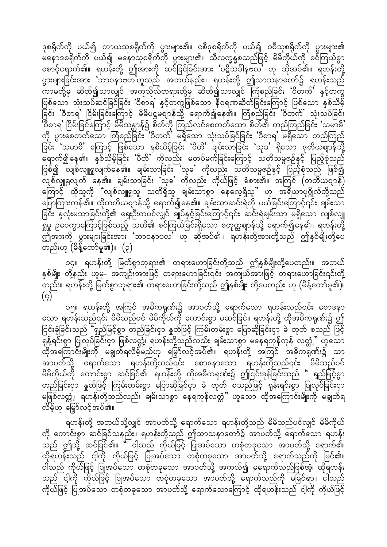ဒုစရိုက်ကို ပယ်၍ ကာယသုစရိုက်ကို ပွားများ၏။ ဝစီဒုစရိုက်ကို ပယ်၍ ဝစီသုစရိုက်ကို ပွားများ၏ မနောဒုစရိုက်ကို ပယ်၍ မနောသုစရိုက်ကို ပွားများ၏။ သီလက္ခန္ဓစသည်ဖြင့် မိမိကိုယ်ကို စင်ကြယ်စွာ စောင့်ရှောက်၏။ ရဟန်းတို့ ဤအားကို ဆင်ခြင်ခြင်းအား 'ပဋိသင်္ခါနဗလ' ဟု ဆိုအပ်၏။ ရဟန်းတို့ ပွားများခြင်းအား 'ဘာဝနာဗဟ'ဟူသည် အဘယ်နည်း။ ရဟန်းတို့ ဤသာသနာတော်၌ ရဟန်းသည် <sub>.</sub><br>ကာမတို့မှ ဆိတ်၍သာလျှင် အကုသိုလ်တရားတို့မှ ဆိတ်၍သာလျှင် ကြံစည်ခြင်း 'ဝိတက်' နှင့်တကွ ဖြစ်သော သုံးသပ်ဆင်ခြင်ခြင်း 'ဝိစာရ' နှင့်တကွဖြစ်သော နီဝရဏဆိတ်ခြင်းကြောင့် ဖြစ်သော နှစ်သိမ့်<br>ခြင်း 'ဝီစာရ' ငြိမ်းခြင်းကြောင့် မိမိပဋ္ဌမဈာန်သို့ ရောက်၍နေ၏။ ကြံစည်ခြင်း 'ဝိတက်' သုံးသပ်ခြင်း ု့<br>'ဝီစာရ' ငြိမ်းခြင်ကြောင့် မိမိသန္တာန်၌ စိတ်ကို ကြည်လင်စေတတ်သော စိတ်၏ တည်ကြည်ခြင်း 'သမာဓိ'<br>ကို ပွားစေတတ်သော ကြံစည်ခြင်း 'ဝိတက်' မရှိသော သုံးသပ်ခြင်ခြင်း 'ဝီစာရ' မရှိသော တည်ကြည် ခြင်း 'သမာဓိ' ကြောင့် ဖြစ်သော နှစိသိမ့်ခြင်း 'ပီတိ' ချမ်းသာခြင်း 'သုခ' ရှိသော ဒုတိယဈာန်သို့ ပြ<br>ရောက်၍နေ၏။ နှစ်သိမ့်ခြင်း 'ပီတိ' ကိုလည်း မတပ်မက်ခြင်းကြောင့် သတိသမ္ပဇဉ်နှင့် ပြည့်စုံသည် ဖြစ်၍ လျစ်လျူရှုလျက်နေ၏။ ချမ်းသာခြင်း သုခ' ကိုလည်း သတိသမ္ပဇဉ်နှင့် ပြည့်စုံသည် ဖြစ်၍ .<br>လျစ်လျှူရှုလျက် နေ၏။ ချမ်းသာခြင်း 'သုခ' ကိုလည်း ကိုယ်ဖြင့် ခံစား၏။ အကြင် (တတိယဈာန်) ကြောင့် ထိုသူကို "လျစ်လျူရှုသူ သတိရှိသူ ချမ်းသာစွာ နေလေ့ရှိသူ" ဟု အရိယာပုဂ္ဂိုလ်တို့သည် ပြောကြားကုန်၏။ ထိုတတိယဈာန်သို့ ရောက်၍နေ၏။ ချမ်းသာဆင်းရဲကို ပယ်ခြင်းကြောင့်၎င်း ချမ်းသာ ခြင်း နှလုံးမသာခြင်းတို့၏ ရှေးဦးကပင်လျှင် ချုပ်နှင့်ခြင်းကြောင့်၎င်း ဆင်းရဲချမ်းသာ မရှိသော လျစ်လျူ မြှမှု ဉပေက္ခာကြောင့်ဖြစ်သည့် သတိ၏ စင်ကြယ်ခြင်းရှိသော စတုတ္ထဈာန်သို့ ရောက်၍နေ၏။ ရဟန်းတို့ ာ္။ L ့ ျပ ပါ မ<br>ဤအားကို ပွားများခြင်းအား ဘာဝနာဗလ ဟု ဆိုအပ်၏။ ရဟန်းတို့အားတို့သည် ဤနှစ်မျိုးတို့ပေ တည်းဟု (မိန့်တော်မူ၏)။ (၃)

၁၄။ ရဟန်းတို့ မြတ်စွာဘုရား၏ တရားဟောခြင်းတို့သည် ဤနှစ်မျိုးတို့ပေတည်း။ အဘယ် နှစ်မျိုး တို့နည်း ဟူမူ- အကျဉ်းအားဖြင့် တရားဟောခြင်း၎င်း အကျယ်အားဖြင့် တရားဟောခြင်း၎င်းတို့ တည်း။ ရဟန်းတို့ မြတ်စွာဘုရား၏ တရားဟောခြင်းတို့သည် ဤနှစ်မျိုး တို့ပေတည်း ဟု (မိန့်တော်မူ၏)။  $(g)$ 

ဲ´´´ ၁၅။ ရဟန်းတို့ အကြင် အဓိကရုဏ်း၌ အာပတ်သို့ ရောက်သော ရဟန်းသည်၎င်း စောဒနာ<br>သော ရဟန်းသည်၎င်း မိမိသည်ပင် မိမိကိုယ်ကို ကောင်းစွာ မဆင်ခြင်။ ရဟန်းတို့ ထိုအဓိကရုဏ်း၌ ဤ ငြင်းခုံခြင်းသည် "ရှည်မြင့်စွာ တည်ခြင်းငှာ နှုတ်ဖြင့် ကြမ်းတမ်းစွာ ပြောဆိုခြင်းငှာ ခဲ တုတ် စသည် ဖြင့် -<br>ရုန့်ရင်းစွာ ပြုလုပ်ခြင်းငှာ ဖြစ်လတ္တံ့၊ ရဟန်းတို့သည်လည်း ချမ်းသာစွာ မနေရကုန်ကုန် လတ္တံ့" ဟူသော ထိုအကြောင်းမျိုးကို မချွတ်ရလိမ့်မည်ဟု မြှော်လင့်အပ်၏။ ရဟန်းတို့ အကြင် အဓိကရုဏ်း၌ သာ .<br>အာပတ်သို့ ရောက်သော ရဟန်းတို့သည်၎င်း စောဒနာသော ရဟန်းတို့သည်၎င်း မိမိသည်ပင် မိမိကိုယ်ကို ကောင်းစွာ ဆင်ခြင်၏၊ ရဟန်းတို့ ထိုအဓိကရုဏ်း၌ ဤငြင်းခုန်ခြင်းသည် " ရှည်မြင့်စွာ တည်ခြင်းငှာ နှုတ်ဖြင့် ကြမ်းတမ်းစွာ ပြောဆိုခြင်ငှာ ခဲ တုတ် စသည်ဖြင့် ရုန်းရင်းစွာ ပြုလုပ်ခြင်းငှာ မဖြစ်လတ္တံ့၊ ရဟန်းတို့သည်လည်း ချမ်းသာစွာ နေရကုန်လတ္တံ" ဟူသော ထိုအကြောင်းမျိုးကို မချွတ်ရ လိမ့်ဟု မြှော်လင့်အပ်၏။

ရဟန်းတို့ အဘယ်သို့လျှင် အာပတ်သို့ ရောက်သော ရဟန်းတို့သည် မိမိသည်ပင်လျှင် မိမိကိုယ် ကို ကောင်းစွာ ဆင်ခြင်သနည်း။ ရဟန်းတို့သည် ဤသာသနာတော်၌ အာပတ်သို့ ရောက်သော ရဟန်း သည် ဤသို့ ဆင်ခြင်၏။ " ငါသည် ကိုယ်ဖြင့် ပြုအပ်သော တစုံတခုသော အာပတ်သို့ ရောက်၏၊ ထိုရဟန်းသည် ငါ့ကို ကိုယ်ဖြင့် ပြုအပ်သော တစုံတခုသော အာပတ်သို့ ရောက်သည်ကို မြင်၏။ ငါသည် ကိုယ်ဖြင့် ပြုအပ်သော တစုံတခုသော အာပတ်သို့ အကယ်၍ မရောက်သည်ဖြစ်အံ့၊ ထိုရဟန်း သည် ငါ့ကို ကိုယ်ဖြင့် ပြုအပ်သော တစုံတခုသော အာပတ်သို့ ရောက်သည်ကို မမြင်ရာ။ ငါသည် .<br>ကိုယ်ဖြင့် ပြုအပ်သော တစုံတခုသော အာပတ်သို့ ရောက်သောကြောင့် ထိုရဟန်းသည် ငါ့ကို ကိုယ်ဖြင့်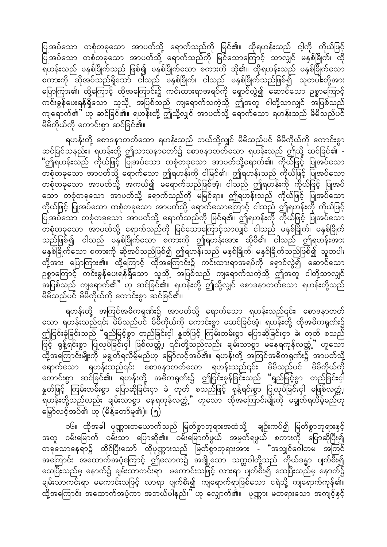ပြုအပ်သော တစုံတခုသော အာပတ်သို့ ရောက်သည်ကို မြင်၏။ ထိုရဟန်းသည် ငါ့ကို ကိုယ်ဖြင့် ပြုအပ်သော တစုံတခုသော အာပတ်သို့ ရောက်သည်ကို မြင်သောကြောင့် သာလျှင် မနှစ်ခြိုက်၊ ထို \_.<br>ရဟန်းသည် မနှစ်ခြိုက်သည် ဖြစ်၍ မနှစ်ခြိုက်သော စကားကို ဆို၏။ ထိုရဟန်းသည် မနှစ်ခြိုက်သော စကားကို ဆိုအပ်သည်ရှိသော် ငါသည် မနှစ်ခြိုက်၊ ငါသည် မနှစ်ခြိုက်သည်ဖြစ်၍ သူတပါးတို့အား ပြောကြား၏၊ ထို့ကြောင့် ထိုအကြောင်း၌ ကင်းထားရာအရပ်ကို ရှောင်လွဲ၍ ဆောင်သော ဉစ္စာကြောင့် ကင်းခွန်ပေးရန်ရှိသော သူသို့ အပြစ်သည် ကျရောက်သကဲ့သို့ ဤအတူ ငါတို့သာလျှင် အပြစ်သည် ကျရောက်၏" ဟု ဆင်ခြင်၏။ ရဟန်းတို့ ဤသို့လျှင် အာပတ်သို့ ရောက်သော ရဟန်းသည် မိမိသည်ပင် မိမိကိုယ်ကို ကောင်းစွာ ဆင်ခြင်၏။

ရဟန်းတို့ စောဒနာတတ်သော ရဟန်းသည် ဘယ်သို့လျှင် မိမိသည်ပင် မိမိကိုယ်ကို ကောင်းစွာ ဆင်ခြင်သနည်း။ ရဟန်းတို့ ဤသာသနာတော်၌ စောဒနာတတ်သော ရဟန်းသည် ဤသို့ ဆင်ခြင်၏ -"ဤရဟန်းသည် ကိုယ်ဖြင့် ပြုအပ်သော တစုံတခုသော အာပတ်သို့ရောက်၏၊ ကိုယ်ဖြင့် ပြုအပ်သော တစုံတခုသော အာပတ်သို့ ရောက်သော ဤရဟန်းကို ငါမြင်၏။ ဤရဟန်းသည် ကိုယ်ဖြင့် ပြုအပ်သော တစုံတခုသော အာပတ်သို့ အကယ်၍ မရောက်သည်ဖြစ်အံ့၊ ငါသည် ဤရဟန်းကို ကိုယ်ဖြင့် ပြုအပ် သော တစုံတခုသော အာပတ်သို့ ရောက်သည်ကို မမြင်ရာ။ ဤရဟန်းသည် ကိုယ်ဖြင့် ပြုအပ်သော ကိုယ်ဖြင့် ပြုအပ်သော တစုံတခုသော အာပတ်သို့ ရောက်သောကြောင့် ငါသည် ဤရဟန်းကို ကိုယ်ဖြင့် ပြုအပ်သော တစုံတခုသော အာပတ်သို့ ရောက်သည်ကို မြင်ရ၏၊ ဤရဟန်းကို ကိုယ်ဖြင့် ပြုအပ်သော ာ.<br>တစုံတခုသော အာပတ်သို့ ရောက်သည်ကို မြင်သောကြောင့်သာလျှင် ငါသည် မနှစ်ခြိုက်၊ မနှစ်ခြိုက် သည်ဖြစ်၍ ငါသည် မနှစ်ခြိုက်သော စကားကို ဤရဟန်းအား ဆိုမိ၏၊ ငါသည် ဤရဟန်းအား မနှစ်ခြိုက်သော စကားကို ဆိုအပ်သည်ဖြစ်၍ ဤရဟန်းသည် မနှစ်ခြိုက်၊ မနှစ်ခြိုက်သည်ဖြစ်၍ သူတပါး wdk<br>တို့အား ပြောကြား၏။ ထို့ကြောင့် ထိုအကြောင်း၌ ကင်းထားရာအရပ်ကို ရှောင်လွဲ၍ ဆောင်သော ဉစ္စာကြောင့် တင်းခွန်ပေးရန်ရှိသော သူသို့ အပြစ်သည် ကျရောက်သကဲ့သို့ ဤအတူ ငါတို့သာလျှင် ာပြစ်သည် ကျရောက်၏" ဟု ဆင်ခြင်၏။ ရဟန်းတို့ ဤသို့လျှင် စောဒနာတတ်သော ရဟန်းတို့သည် မိမိသည်ပင် မိမိကိုယ်ကို ကောင်းစွာ ဆင်ခြင်၏။

ရဟန်းတို့ အကြင်အဓိကရုဏ်း၌ အာပတ်သို့ ရောက်သော ရဟန်းသည်၎င်း၊ စောဒနာတတ် သော ရဟန်းသည်၎င်း မိမိသည်ပင် မိမိကိုယ်ကို ကောင်းစွာ မဆင်ခြင်အံ့၊ ရဟန်းတို့ ထိုအဓိကရုဏ်း၌ ဤငြင်းခုံခြင်းသည် "ရှည်မြင့်စွာ တည်ခြင်းငှါ နှုတ်ဖြင့် ကြမ်းတမ်းစွာ ပြောဆိုခြင်းငှာ ခဲ၊ တုတ် စသည် ဖြင့် ရုန့်ရင်းစွာ ပြုလုပ်ခြင်းငှါ ဖြစ်လတ္တံ့၊ ၎င်းတို့သည်လည်း ချမ်းသာစွာ မနေရကုန်လတ္တံ့" ဟူသော  $\phi$ တို့အကြောင်းမျိုးကို မချွတ်ရလိမ့်မည်ဟု မြှော်လင့်အပ်၏။ ရဟန်းတို့ အကြင်အဓိကရုဏ်း၌ အာပတ်သို့ a&mufaom &[ef;onf¤if; apm'emwwfaom &[ef;onf¤if; rdrdonfyif rdrdudk,fudk ကောင်းစွာ ဆင်ခြင်၏၊ ရဟန်းတို့ အဓိကရုဏ်း၌ ဤငြင်းခုန်ခြင်းသည် "ရှည်မြင့်စွာ တည်ခြင်းငှါ နှတ်ဖြင့် ကြမ်းတမ်းစွာ ပြောဆိုခြင်းငှာ ခဲ တုတ် စသည်ဖြင့် ရုန့်ရင်းစွာ ပြုလုပ်ခြင်းငှါ မဖြစ်လတ္တံ့၊ ရဟန်ဳိးတို့သည်လည်း ချမ်းသာစွာ နေရကုန်လတ္တံ့" ဟူသော ထိုအကြောင်းမျိုးကို မချွတ်ရလိမ့်မည်ဟု မြှော်လင့်အပ်၏ ဟု (မိန့်တော်မူ၏)။  $(\mathfrak{h})$ 

၁၆။ ထိုအခါ ပုဏ္ဏားတယောက်သည် မြတ်စွာဘုရားအထံသို့ ချဉ်းကပ်၍ မြတ်စွာဘုရားနှင့် အတူ ဝမ်းမြောက် ဝမ်းသာ ပြောဆို၏။ ဝမ်းမြောက်ဖွယ် အမှတ်ရဖွယ် စကားကို ပြောဆိုပြီး၍ တခုသောနေရာ၌ ထိုင်ပြီးသော် ထိုပုဏ္ဏားသည် မြတ်စွာဘုရားအား – "အသျှင်ဂေါတမ အကြင် ာကြောင်း အထောက်အပံ့ကြောင့် င်းဆီယာက၌ အချို့သော သတ္တဝါတို့သည် ကိုယ်ခန္ဓာ ပျက်စီး၍ သေပြီးသည်မှ နောက်၌ ချမ်းသာကင်းရာ မကောင်းသဖြင့် လားရာ ပျက်စီး၍ သေပြီးသည်မှ နောက်၌ ချမ်းသာကင်းရာ မကောင်းသဖြင့် လာရာ ပျက်စီး၍ ကျရောက်ရာဖြစ်သော ငရဲသို့ ကျရောက်ကုန်၏။ ္<br>ထို့အကြောင်း အထောက်အပံ့ကာ အဘယ်ပါနည်း ''ဟု လျှောက်၏။ ပုဏ္ဏား မတရားသော အကျင့်နှင့်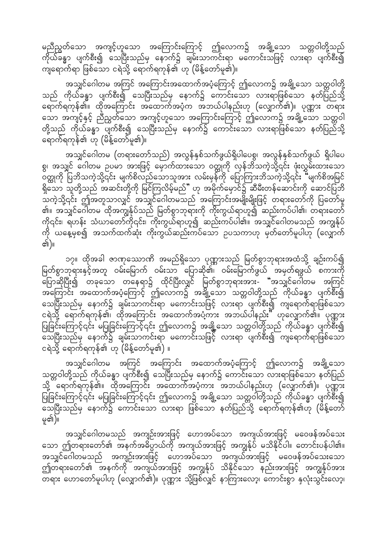မညီညွတ်သော အကျင့်ဟူသော အကြောင်းကြောင့် ဤလောက၌ အချို့သော သတ္တဝါတို့သည် ကိုယ်ခ်ိန္မွာ ပျက်စီး၍ သေပြီးသည်မှ နောက်၌ ချမ်းသာကင်းရာ မကောင်းသဖြင့် လားရာ ပျက်စီး၍ ကျရောက်ရာ ဖြစ်သော ငရဲသို့ ရောက်ရကုန်၏ ဟု (မိန့်တော်မူ၏)။

အသျှင်ဂေါတမ အကြင် အကြောင်းအထောက်အပံ့ကြောင့် ဤလောက၌ အချို့သော သတ္တဝါတို့ သည် ကိုယ်ခန္ဓာ ပျက်စီး၍ သေပြီးသည်မှ နောက်၌ ကောင်းသော လားရာဖြစ်သော နတ်ပြည်သို့ ရောက်ရကုန်၏။ ထိုအကြောင်း အထောက်အပံ့က အဘယ်ပါနည်းဟု (လျှောက်၏)။ ပုဏ္ဏား တရား သော အကျင့်နှင့် ညီညွှတ်သော အကျင့်ဟူသော အကြောင်းကြောင့် ဤလောက၌ အချို့သော သတ္တဝါ တို့သည် ကိုယ်ခန္ဓာ ပျက်စီး၍ သေပြီးသည်မှ နောက်၌ ကောင်းသော လားရာဖြစ်သော နတ်ပြည်သို့ ရောက်ရကုန်၏ ဟု (မိန့်တော်မူ၏)။

အသျှင်ဂေါတမ (တရားတော်သည်) အလွန်နှစ်သက်ဖွယ်ရှိပါပေစွ၊ အလွန်နှစ်သက်ဖွယ် ရှိပါပေ စွ၊ အသျှင် ဂေါတမ ဉပမာ အားဖြင့် မှောက်ထားသော ဝတ္ထုကို လှန်ဘိသကဲ့သို့၎င်း ဖုံးလွှမ်းထားသော oတ္ထုကို ပြဘိသကဲ့သို့၎င်း မျက်စိလည်သောသူအား လမ်းမှန်ကို ပြောကြားဘိသကဲ့သို့၎င်း "မျက်စိအမြင်  $\frac{8}{9}$ သော သူတို့သည် အဆင်းတို့ကို မြင်ကြလိမ့်မည်" ဟု အမိုက်မှောင်၌ ဆီမီးတန်ဆောင်းကို ဆောင်ပြဘိ --<br>သကဲ့သို့၎င်း ဤအတူသာလျှင် အသျှင်ဂေါတမသည် အကြောင်းအမျိုးမျိုးဖြင့် တရားတော်ကို ပြတော်မူ ္က။ အသျှင်ဂေါ်တမ<sup>ီ</sup>ထိုအကျွန်ုပ်သည် မြတ်စွာဘုရားကို ကိုးကွယ်ရာဟူ၍ ဆည်းကပ်ပါ၏၊ တရားတော် ကို၎င်း၊ ရဟန်း သံဃာတော်ကို၎င်း၊ ကိုးကွယ်ရာဟူ၍ ဆည်းကပ်ပါ၏။ အသျှင်ဂေါတမသည် အကျွန်ုပ် ကို ယနေ့မှစ၍ အသက်ထက်ဆုံး ကိုးကွယ်ဆည်းကပ်သော ဥပသကာဟု မှတ်တော်မူပါဟု (လျှောက် ৰ্জ)॥

၁၇။ ထိုအခါ ဇာဏုသောကိ အမည်ရှိသော ပုဏ္ဏားသည် မြတ်စွာဘုရားအထံသို့ ချဉ်းကပ်၍ မြတ်စွာဘုရားနှင့်အတူ ဝမ်းမြောက် ဝမ်းသာ ပြောဆို၏၊ ဝမ်းမြောက်ဖွယ် အမှတ်ရဖွယ် စကားကို မြောဆိုပြီး၍ တခုသော တနေရာ၌ ထိုင်ပြီးလျှင် မြတ်စွာဘုရားအား- "အသျှင်ဂေါ်တမ အကြင် tamumifics; အထောက်အပံ့ကြောင့် ဤလောက၌ အချို့သော သတ္တဝါတို့သည် ကိုယ်ခန္ဓာ ပျက်စီး၍<br>အကြောင်း အထောက်အပံ့ကြောင့် ဤလောက၌ အချို့သော သတ္တဝါတို့သည် ကိုယ်ခန္ဓာ ပျက်စီး၍ သေပြီးသည်မှ နောက်၌ ချမ်းသာကင်းရာ မကောင်းသဖြင့် လားရာ ပျက်စီး၍ ကျရောက်ရာဖြစ်သော ငရဲသို့ ရောက်ရကုန်၏၊ ထိုအကြောင်း အထောက်အပံ့ကား အဘယ်ပါနည်း" ဟုလျှောက်၏။ ပုဏ္ဏား ပြုခြင်းကြောင့်၎င်း မပြုခြင်းကြောင့်၎င်း ဤလောက၌ အချို့သော သတ္တဝါတို့သည် ကိုယ်ခန္ဓာ ပျက်စီး၍ ဆေပြီးသည်မှ နောက်၌ ချမ်းသာကင်းရာ မကောင်းသဖြင့် လားရာ ပျက်စီး၍ ကျရောက်ရာဖြစ်သော ငရဲသို့ ရောက်ရကုန်၏ ဟု  $($ မိန့်တော်မူ၏ $)$  ။

အသျှင်ဂေါတမ အကြင် အကြောင်း အထောက်အပံ့ကြောင့် ဤလောက၌ အချို့သော သတ္တဝါတို့သည် ကိုယ်ခန္ဓာ ပျက်စီး၍ သေပြီးသည်မှ နောက်၌ ကောင်းသော လားရာဖြစ်သော နတ်ပြည် သို့ ရောက်ရကုန်၏။ ထိုအကြောင်း အထောက်အပံ့ကား အဘယ်ပါနည်းဟု (လျှောက်၏)။ ပုဏ္ဏား ပြုခြင်းကြောင့်၎င်း မပြုခြင်းကြောင့်၎င်း ဤလောက၌ အချို့သော သတ္တဝါတို့သည် ကိုယ်ခန္ဓာ ပျက်စီး၍ မြောက်သည်မှ နောက်၌ ကောင်းသော လားရာ ဖြစ်သော နတ်ပြည်သို့ ရောက်ရကုန်၏ဟု (မိန့်တော် မ္၏)။

အသျှင်ဂေါတမသည် အကျဉ်းအားဖြင့် ဟောအပ်သော အကျယ်အားဖြင့် မဝေဖန်အပ်သေး သော ဤတရားတော်၏ အနက်အဓိပ္ပာယ်ကို အကျယ်အားဖြင့် အကျွန်ုပ် မသိနိုင်ပါ။ တောင်းပန်ပါ၏။ အသျှင်ဂေါတမသည် အကျဉ်းအားဖြင့် ဟောအပ်သော အကျယ်အားဖြင့် မဝေဖန်အပ်သေးသော ဤတရားတော်၏ အနက်ကို အကျယ်အားဖြင့် အကျွန်ုပ် သိနိုင်သော နည်းအားဖြင့် အကျွန်ုပ်အား —.<br>တရား ဟောတော်မူပါဟု (လျှောက်၏)။ ပုဏ္ဏား သို့ဖြစ်လျှင် နာကြားလော့၊ ကောင်းစွာ နှလုံးသွင်းလော့၊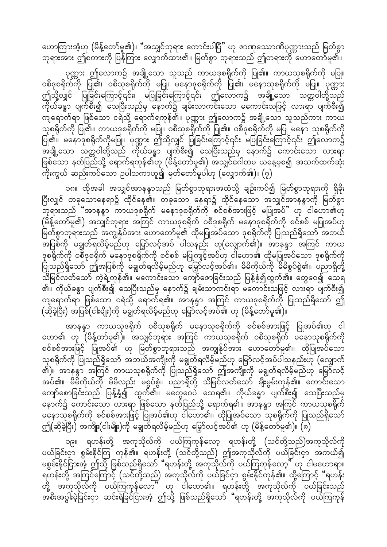ကောကြားအံ့ဟု (မိန့်တော်မူ၏)။ "အသျှင်ဘုရား ကောင်းပါပြီ" ဟု ဇာဏုသောာဏိပုဏ္ဏားသည် မြတ်စွာ ဘုရားအား ဤစကားကို ပြန်ကြား လျှောက်ထား၏။ မြတ်စွာ ဘုရားသည် ဤတရားကို ဟောတော်မူ၏။

ပုဏ္ဏား ဤလောက၌ အချို့သော သူသည် ကာယဒုစရိုက်ကို ပြု၏။ ကာယသုစရိုက်ကို မပြု။ ၀စီဒုစရိုက်ကို ပြု၏၊ ၀စီသုစရိုက်ကို မပြု၊ မနောဒုစရိုက်ကို ပြု၏၊ မနောသုစရိုက်ကို မပြု။ ပုဏ္ဏား ဤသို့လျှင် ပြုခြင်းကြောင့်၎င်း၊ မပြုခြင်းကြောင့်၎င်း ဤလောက၌ အချို့သော သတ္တဝါတို့သည် ာ<br>ကိုယ်ခန္ဓာ ပျက်စီး၍ သေပြီးသည်မှ နောက်၌ ချမ်းသာကင်းသော မကောင်းသဖြင့် လားရာ ပျက်စီး၍ ကျရောက်ရာ ဖြစ်သော ငရဲသို့ ရောက်ရကုန်၏။ ပုဏ္ဏား ဤလောက၌ အချို့သော သူသည်ကား ကာယ သုစရိုက်ကို ပြု၏။ ကာယဒုစရိုက်ကို မပြု။ ဝစီသုစရိုက်ကို ပြု၏။ ဝစီဒုစရိုက်ကို မပြု မနော သုစရိုက်ကို |<br>ပြု၏။ မနောဒုစရိုက်ကိုမပြု။ ပုဏ္ဏား ဤသို့လျှင် ပြုခြင်းကြောင့်၎င်း မပြုခြင်းကြောင့်၎င်း ဤလောက၌ ်း များသော တွေ့ဝါတို့သည် ကိုယ်ခန္ဓာ ပျက်စီး၍ သေပြီးသည်မှ နောက်၌ ကောင်းသော လားရာ ဖြစ်သော နတ်ပြည်သို့ ရောက်ရကုန်၏ဟု (မိန့်တော်မူ၏) အသျှင်ဂေါတမ ယနေ့မှစ၍ အသက်ထက်ဆုံး ကိုးကွယ် ဆည်းကပ်သော ဉပါသကာဟူ၍ မှတ်တော်မူပါဟု (လျှောက်၏)။  $(\gamma)$ 

၁၈။ ထိုအခါ အသျှင်အာနန္ဒာသည် မြတ်စွာဘုရားအထံသို့ ချဉ်းကပ်၍ မြတ်စွာဘုရားကို ရှိခိုး ပြီးလျှင် တခုသောနေရာ၌ ထိုင်နေ၏။ တခုသော နေရာ၌ ထိုင်နေသော အသျှင်အာနန္ဒာကို မြတ်စွာ ်ဘုရားသည် "အာနန္ဒာ တာယဒုစရိုက် မနောဒုစရိုက်ကို စင်စစ်အားဖြင့် မပြုအပ်" ဟု ငါဟော၏ဟု  $($ မိန့်တော်မူ၏) အသျှင်ဘုရား အကြင် ကာယဒုစရိုက် ဝစီဒုစရိုက် မနောဒုစရိုက်ကို စင်စစ် မပြုအပ်ဟု မြတ်စွာဘုရားသည် အကျွန်ုပ်အား ဟောတော်မူ၏ ထိုမပြုအပ်သော ဒုစရိုက်ကို ပြုသည်ရှိသော် အဘယ် မြော်ကို မချွတ်ရလိမ့်မည်ဟု မြှော်လင့်အပ် ပါသနည်း ဟု(လျှောက်၏)။ အာနန္ဒာ အကြင် ကာယ ဒုစရိုက်ကို ဝစီဒုစရိုက် မနောဒုစရိုက်ကို စင်စစ် မပြုကျင့်အပ်ဟု ငါဟော၏ ထိုမပြုအပ်သော ဒုစရိုက်ကို ပြုသည်ရှိသော် ဤအပြစ်ကို မချွတ်ရလိမ့်မည်ဟု မြှော်လင့်အပ်၏။ မိမိကိုယ်ကို မိမိစွပ်စွဲ၏။ ပညာရှိတို့ ာကြောင်း ကို ပြုပြင် ပြုပြင် မြောက်ရောက် အသုံးကြောင်းအတွက် အသုံးရှိသည်။ အောက် အောင်းသို့ အိ ္၏။ ကိုယ်ခန္ဓာ ပျက်စီး၍ သေပြီးသည်မှ နောက်၌ ချမ်းသာကင်းရာ မကောင်းသဖြင့် လားရာ ပျက်စီး၍ ကျရောက်ရာ ဖြစ်သော ငရဲသို့ ရောက်ရ၏။ အာနန္ဒာ အကြင် ကာယဒုစရိုက်ကို ပြုသည်ရှိသော် ဤ  $\hat{p}(\hat{\alpha})$ ခဲ့ပြီး) အပြစ် $(\hat{c}$ ါးမျိုး)ကို မချွတ်ရလိမ့်မည်ဟု မြှော်လင့်အပ်၏ ဟု (မိန့်တော်မူ၏)။

အာနန္ဒာ ကာယသုဒရိုက် ဝစီသုစရိုက် မနောသုစရိုက်ကို စင်စစ်အားဖြင့် ပြုအပ်၏ဟု ငါ ကော၏ ဟု (မိန့်တာ်မူ၏)။ အသျှင်ဘုရား အကြင် ကာယသုစရိုက် ဝစီသုစရိုက် မနောသုစရိုက်ကို စင်စစ်အားဖြင့် ပြုအပ်၏ ဟု မြတ်စွာဘုရားသည် အကျွန်ုပ်အား ဟောတော်မူ၏။ ထိုပြုအပ်သော သုစရိုက်ကို ပြုသည်ရှိသော် အဘယ်အကျိုးကို မချွတ်ရလိမ့်မည်ဟု မြှော်လင့်အပ်ပါသနည်းဟု (လျှောက် ၏)။ အာနန္ဒာ အကြင် ကာယသုစရိုက်ကို ပြုသည်ရှိသော် ဤအကျိုးကို မချွတ်ရလိမ့်မည်ဟု မြှော်လင့် အပ်၏။ မိမိကိုယ်ကို မိမိလည်း မစွပ်စွဲ။ ပညာရှိတို့ သိမြင်လတ်သော် ချီးမွမ်းကုန်၏။ ကောင်းသော ကျော်စောခြင်းသည် ပြန့်နှံ့၍ ထွက်၏။ မတွေဝေပဲ သေရ၏။ ကိုယ်ခန္ဓာ ပျက်စီး၍ သေပြီးသည်မှ နောက်၌ ကောင်းသော လားရာ ဖြစ်သော နတ်ပြည်သို့ ရောက်ရ၏။ အာနန္ဒာ အကြင် ကာယသုစရိုက် မနောသုစရိုက်ကို စင်စစ်အားဖြင့် ပြုအပ်၏ဟု ငါဟော၏။ ထိုပြုအပ်သော သုစရိုက်ကို ပြုသည်ရှိသော် ဤ(ဆိုခဲ့ပြီး) အကျိုး(ငါးမျိုး)ကို မချွတ်ရလိမ့်မည်ဟု မြှော်လင့်အပ်၏ ဟု (မိန့်တော်မူ၏)။ (၈)

၁၉။ ရဟန်းတို့ အကုသိုလ်ကို ပယ်ကြကုန်လော့ ရဟန်းတို့ (သင်တို့သည်)အကုသိုလ်ကို ပယ်ခြင်းငှာ စွမ်းနိုင်ကြ ကုန်၏။ ရဟန်းတို့ (သင်တို့သည်) ဤအကုသိုလ်ကို ပယ်ခြင်းငှာ အကယ်၍ မစွမ်းနိုင်ငြားအံ့ ဤသို့ ဖြစ်သည်ရှိသော် "ရဟန်းတို့ အကုသိုလ်ကို ပယ်ကြကုန်လော့" ဟု ငါမဟောရာ။ ရဟန်းတို့ အကြင်ကြောင့် (သင်တို့သည်) အကုသိုလ်ကို ပယ်ခြင်ငှာ စွမ်းနိုင်ကုန်၏။ ထို့ကြောင့် "ရဟန်း တို့ အကုသိုလ်ကို ပယ်ကြကုန်လော" ဟု ငါဟော၏။ ရဟန်းတို့ အကုသိုလ်ကို ပယ်ခြင်းသည် အစီးအပွါးမဲ့ခြင်းငှာ ဆင်းရဲခြင်ငြားအံ့ ဤသို့ ဖြစ်သည်ရှိသော် "ရဟန်းတို့ အကုသိုလ်ကို ပယ်ကြကုန်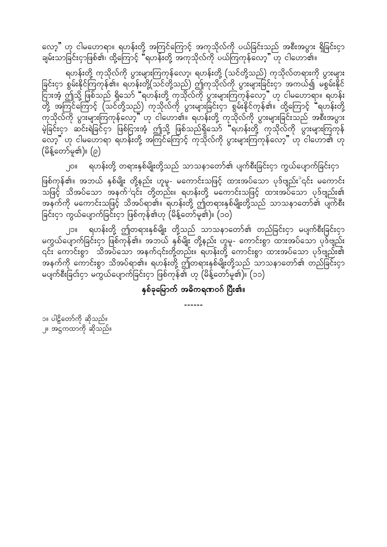လော့" ဟု ငါမဟောရာ။ ရဟန်းတို့ အကြင်ကြောင့် အကုသိုလ်ကို ပယ်ခြင်းသည် အစီးအပွား ရှိခြင်းငှာ ်<br>ချမ်းသာခြင်းငှာဖြစ်၏၊ ထို့ကြောင့် "ရဟန်းတို့ အကုသိုလ်ကို ပယ်ကြကုန်လော့" ဟု ငါဟော၏။

ရဟန်းတို့ ကုသိုလ်ကို ပွားများကြကုန်လော့၊ ရဟန်းတို့ (သင်တို့သည်) ကုသိုလ်တရားကို ပွားများ ခြင်းငှာ စွမ်းနိုင်ကြကုန်၏။ ရဟန်းတို့(သင်တို့သည်) ဤကုသိုလ်ကို ပွားများခြင်းငှာ အကယ်၍ မစွမ်းနိုင် မွာတွင် မြောင်းလှုံးများ ရှိရောက် များနောက် မြောင်းကြောက် မြောင်းကို ပါ များကို အကြံ<br>ပြားအံ့ ဤသို့ ဖြစ်သည် ရှိသော် "ရဟန်းတို့ ကုသိုလ်ကို ပွားများကြကုန်လော့" ဟု ငါမဟောရာ။ ရဟန်း တို့ အကြင်ကြောင့် (သင်တို့သည်) ကုသိုလ်ကို ပွားများခြင်းငှာ စွမ်းနိုင်ကုန်၏။ ထို့ကြောင့် **"**ရဟန်းတို့ ကုသိုလ်ကို ပွားများကြကုန်လော့" ဟု ငါဟော၏။ ရဟန်းတို့ ကုသိုလ်ကို ပွားများခြင်းသည် အစီးအပွား မဲ့ခြင်းငှာ ဆင်းရဲခြင်ငှာ ဖြစ်ငြားအံ့ ဤသို့ ဖြစ်သည်ရှိသော် "ရဟန်းတို့ ကုသိုလ်ကို ပွားများကြကုန် .<br>လော့" ဟု ငါမဟောရာ ရဟန်းတို့ အကြင်ကြောင့် ကုသိုလ်ကို ပွားများကြကုန်လော့" ဟု ငါဟော၏ ဟု  $($ မိန့်တော်မူ၏)။  $(\rho)$ 

၂၀။ ရဟန်းတို့ တရားနှစ်မျိုးတို့သည် သာသနာတော်၏ ပျက်စီးခြင်းငှာ ကွယ်ပျောက်ခြင်းငှာ

ဖြစ်ကုန်၏။ အဘယ် နှစ်မျိုး တို့နည်း ဟူမူ- မကောင်းသဖြင့် ထားအပ်သော ပုဒ်ဗျည်း $^{\circ}$ ၎င်း မကောင်း ညဖြင့် သိအပ်သော အနက်<sup>ပ</sup>၎င်း တို့တည်း။ ရဟန်းတို့ မကောင်းသဖြင့် ထားအပ်သော ပုဒ်ဗျည်း၏ းမြောက်ကို မကောင်းသဖြင့် သိအပ်ရာ၏။ ရဟန်းတို့ ဤတရားနှစ်မျိုးတို့သည် သာသနာတော်၏ ပျက်စီး ခြင်းငှာ ကွယ်ပျောက်ခြင်းငှာ ဖြစ်ကုန်၏ဟု (မိန့်တော်မူ၏)။ (၁၀)

၂၁။ ရဟန်းတို့ ဤတရားနှစ်မျိုး တို့သည် သာသနာတော်၏ တည်ခြင်းငှာ မပျက်စီးခြင်းငှာ rug တို့ တိုက်ခြင်းငှာ ဖြစ်ကုန်၏။ အဘယ် နှစ်မျိုး တို့နည်း ဟူမူ- ကောင်းစွာ ထားအပ်သော ပုဒ်ဗျည်း ္လင်း ကောင်းစွာ သိအပ်သော အနက်၎င်းတို့တည်း။ ရဟန်းတို့ ကောင်းစွာ ထားအပ်သော ပုဒ်ဗျည်း၏ း<br>အနက်ကို ကောင်းစွာ သိအပ်ရာ၏။ ရဟန်းတို့ ဤတရားနှစ်မျိုးတို့သည် သာသနာတော်၏ တည်ခြင်းငှာ မပျက်စီးခြင်းငှာ မကွယ်ပျောက်ခြင်းငှာ ဖြစ်ကုန်၏ ဟု (မိန့်တော်မူ၏)။ (၁၁)

နှစ်ခုမြောက် အဓိကရဏဝဂ် ပြီး၏။

------

၁။ ပါဠိတော်ကို ဆိုသည်။ ၂။ အဋ္ဌကထာကို ဆိုသည်။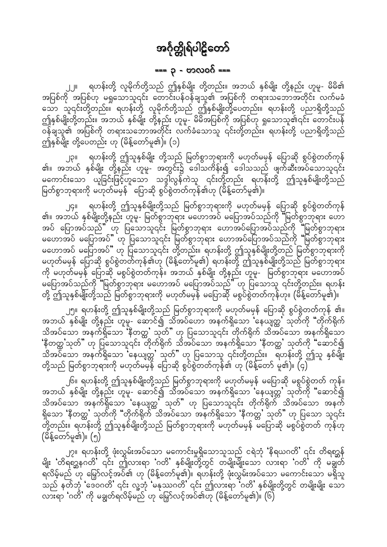#### === ၃ - ဗာလဝဂ် ===

<span id="page-15-0"></span>ရဟန်းတို့ လူမိုက်တို့သည် ဤနှစ်မျိုး တို့တည်း။ အဘယ် နှစ်မျိုး တို့နည်း ဟူမူ- မိမိ၏ အပြစ်ကို အပြစ်ဟု မရှုသောသူ၎င်း တောင်းပန်ဝန်ချသူ၏ အပြစ်ကို တရားသဘောအတိုင်း လက်မခံ သော သူ၎င်းတို့တည်း။ ရဟန်းတို့ လူမိုက်တို့သည် ဤနှစ်မျိုးတို့ပေတည်း။ ရဟန်းတို့ ပညာရှိတို့သည် ဤနှစ်မျိုးတို့တည်း။ အဘယ် နှစ်မျိုး တို့နည်း ဟူမူ- မိမိအပြစ်ကို အပြစ်ဟု ရှုသောသူ၏၎င်း တောင်းပန် ဝန်ချသူ၏ အပြစ်ကို တရားသဘောအတိုင်း လက်ခံသောသူ ၎င်းတို့တည်း။ ရဟန်းတို့ ပညာရှိတို့သည် ဤနှစ်မျိုး တို့ပေတည်း ဟု (မိန့်တော်မူ၏)။ (၁)

၂၃။ ရဟန်းတို့ ဤသူနှစ်မျိုး တို့သည် မြတ်စွာဘုရားကို မဟုတ်မမှန် ပြောဆို စွပ်စွဲတတ်ကုန်<br>၏။ အဘယ် နှစ်မျိုး တို့နည်း ဟူမူ- အတွင်း၌ ဒေါသကိန်း၍ ဒေါသသည် ဖျက်ဆီးအပ်သောသူ၎င်း မကောင်းသော ယူခြင်းဖြင့်ဟူသော သဒ္ဒါလွန်ကဲသူ ၎င်းတို့တည်း ရဟန်းတို့ ဤသူနှစ်မျိုးတို့သည် မြတ်စွာဘုရားကို မဟုတ်မမှန် ပြောဆို စွပ်စွဲတတ်ကုန်၏ဟု (မိန့်တော်မူ၏)။

ရဟန်းတို့ ဤသူနှစ်မျိုးတို့သည် မြတ်စွာဘုရားကို မဟုတ်မမှန် ပြောဆို စွပ်စွဲတတ်ကုန်  $|G||$ ္မွာ ေလွ်ာ္ ေလွ်ာ္ ေျပာင္း ေပါက္ခ်က္<br>၏။ အဘယ် နှစ်မိျးတို့နည်း ဟူမူ- မြတ်စွာဘုရား မဟောအပ် မပြောအပ်သည်ကို "မြတ်စွာဘုရား ဟော အပ် ပြောအပ်သည်" ဟု ပြသောသူ၎င်း မြတ်စွာဘုရား ဟောအပ်ပြောအပ်သည်ကို "မြတ်စွာဘုရား မဟောအပ် မပြောအပ်" ဟု ပြသောသူ၎င်း မြတ်စွာဘုရား ဟောအပ်ပြောအပ်သည်ကို "မြတ်စွာဘုရား မဟောအပ် မပြောအပ်" ဟု ပြသောသူ၎င်း တို့တည်း။ ရဟန်းတို့ ဤသူနှစ်မျိုးတို့တည် မြတ်စွာဘုရားကို မဟုတ်မမှန် ပြောဆို စွပ်စွဲတတ်ကုန်၏ဟု (မိန့်တော်မူ၏) ရဟန်းတို့ ဤသူနှစ်မျိုးတို့သည် မြတ်စွာဘုရား ကို မဟုတ်မမှန် ပြောဆို မစွပ်စွဲတတ်ကုန်။ အဘယ် နှစ်မျိုး တို့နည်း ဟူမူ- မြတ်စွာဘုရား မဟောအပ် မပြောအပ်သည်ကို "မြတ်စွာဘုရား မဟောအပ် မပြောအပ်သည်" ဟု ပြသောသူ ၎င်းတို့တည်း။ ရဟန်း တို့ ဤသူနှစ်မျိုးတို့သည် မြတ်စွာဘုရားကို မဟုတ်မမှန် မပြောဆို မစွပ်စွဲတတ်ကုန်ဟု။ (မိန့်တော်မူ၏)။

၂၅။ ရဟန်းတို့ ဤသူနှစ်မျိုးတို့သည် မြတ်စွာဘုရားကို မဟုတ်မမှန် ပြောဆို စွပ်စွဲတတ်ကုန် ၏။<br>အဘယ် နှစ်မျိုး တို့နည်း ဟူမူ- ဆောင်၍ သိအပ်ဟော အနက်ရှိသော 'နေယျတ္ထ' သုတ်ကို "တိုက်ရိုက် သိအပ်သော အနက်ရှိသော 'နီတတ္တ' သုတ်'' ဟု ပြသောသူ၎င်း တိုက်ရိုက် သိအပ်သော အနက်ရှိသော 'နီတတ္တ'သုတ်" ဟု ပြသောသူ၎င်း တိုက်ရိုက် သိအပ်သော အနက်ရှိသော 'နီတတ္တ' သုတ်ကို "ဆောင်၍ သိအပိသော အနက်ရှိသော 'နေယျတ္တ' သုတ်'' ဟု ပြသောသူ ၎င်းတို့တည်း။ ရိဟန်းတို့ ဤသူ နှစ်မျိုး တို့သည် မြတ်စွာဘုရားကို မဟုတ်မမှန် ပြောဆို စွပ်စွဲတတ်ကုန်၏ ဟု (မိန့်တော် မူ၏)။ (၄)

၂၆။ ရဟန်းတို့ ဤသူနှစ်မျိုးတို့သည် မြတ်စွာဘုရားကို မဟုတ်မမှန် မပြောဆို မစွပ်စွဲတတ် ကုန်။<br>အဘယ် နှစ်မျိုး တို့နည်း ဟူမူ- ဆောင်၍ သိအပ်သော အနက်ရှိသော 'နေယျတ္တ' သုတ်ကို "ဆောင်၍ သိအပ်သော အနက်ရှိသော 'နေယျတ္ထ' သုတ်'' ဟု ပြသောသူ၎င်း တိုက်ရိုက် သိအပ်သော အနက် ရှိသော 'နီတတ္တ' သုတ်ကို "တိုက်ရိုက် သိအပ်သော အနက်ရှိသော 'နီကတ္တ' သုတ်" ဟု ပြသော သူ၎င်း ာ.<br>တို့တည်း။ ရဟန်းတို့ ဤသူနှစ်မျိုးတို့သည် မြတ်စွာဘုရားကို မဟုတ်မမှန် မပြောဆို မစွပ်စွဲတတ် ကုန်ဟု  $(\tilde{\Im \xi} \in \overline{\mathrm{O}})$ ်မှု၏)။  $(\overline{\eta})$ 

၂၇။ ရဟန်းတို့ ဖုံးလွှမ်းအပ်သော မကောင်းမှုရှိသောသူသည် ငရဲဘုံ 'နိရယဂတိ' ၎င်း တိရစ္ဆန် မျိုး 'တိရစ္ဆန္ဘဂတိ' ၎င်း ဤလားရာ 'ဂတိ' နှစ်မျိုးတို့တွင် တမျိုးမျိုးသော လားရာ 'ဂတိ' ကို မချွတ် ရလိမ့်မည် ဟု မြှော်လင့်အပ်၏ ဟု (မိန့်တော်မူ၏)။ ရဟန်းတို့ ဖုံးလွှမ်းအပ်သော မကောင်းသော မရှိသူ သည် နတ်ဘုံ 'ဒေဝဂတိ' ၎င်း လူ့ဘုံ 'မနုဿဂတိ' ၎င်း ဤလားရာ ်ဂတိ' နှစ်မျိုးတို့တွင် တမျိုးမျိုး သော လားရာ 'ဂတိ' ကို မချွတ်ရလိမ့်မည် ဟု မြှော်လင့်အပ်၏ဟု (မိန့်တော်မူ၏)။ (၆)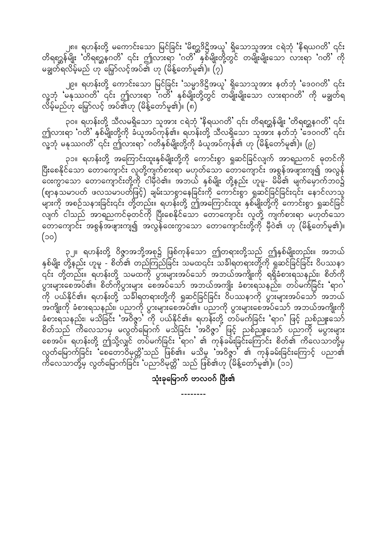၂၈။ ရဟန်းတို့ မကောင်းသော မြင်ခြင်း 'မိစ္ဆာဒိဋ္ဌိအယူ' ရှိသောသူအား ငရဲဘုံ 'နိရယဂတိ' ၎င်း တိရစ္ဆာန်မျိုး တိရစ္ဆာနဂတိ' ၎င်း ဤလားရာ 'ဂတိ' နှစ်မျိုးတို့တွင် တမျိုးမျိုးသော လားရာ 'ဂတိ' ကို မချွတ်ရလိမ့်မည် ဟု မြှော်လင့်အပ်၏ ဟု (မိန့်တော်မူ၏)။ (၇)

၂၉။ ရဟန်းတို့ ကောင်းသော မြင်ခြင်း 'သမ္မာဒိဋ္ဌိအယူ' ရှိသောသူအား နတ်ဘုံ 'ဒေဝဂတိ' ၎င်း လူ့ဘုံ 'မနုဿဂတိ' ၎င်း ဤလားရာ 'ဂတိ' နှစ်မျိုးတို့တွင် တမျိုးမျိုးသော လားရာဂတိ' ကို မချွတ်ရ<br>လိမ့်မည်ဟု မြှော်လင့် အပ်၏ဟု (မိန့်တော်မူ၏)။ (၈)

၃၀။ ရဟန်းတို့ သီလမရှိသော သူအား ငရဲဘုံ 'နိရယဂတိ' ၎င်း တိရစ္ဆ္ဆန်မျိုး 'တိရစ္ဆ္ဆနဂတိ' ၎င်း ဤလားရာ 'ဂတိ' နှစ်မျိုးတို့ကို ခံယူအပ်ကုန်၏။ ရဟန်းတို့ သီလရှိသော သူအား နတ်ဘုံ 'ဒေဝဂတိ' ၎င်း —<br>လူ့ဘုံ မနုဿဂတိ'၎င်း ဤလားရာ' ဂတိနှစ်မျိုးတို့ကို ခံယူအပ်ကုန်၏ ဟု (မိန့်တော်မူ၏)။ (၉)

၃၁။ ရဟန်းတို့ အကြောင်းထူးနှစ်မျိုးတို့ကို ကောင်းစွာ ရှုဆင်ခြင်လျက် အာရညကင် ဓုတင်ကို ပြီးစေနိုင်သော တောကျောင်း လူတို့ကျက်စားရာ မဟုတ်သော တောကျောင်း အစွန်အဖျားကျ၍ အလွန် -<br>ဝေးကွာသော တောကျောင်းတို့ကို ငါမှီဝဲ၏။ အဘယ် နှစ်မျိုး တို့နည်း ဟူမူ- မိမိ၏ မျက်မှောက်ဘဝ၌ (ဈာနသမာပတ် ဖလသမာပတ်ဖြင့်) ချမ်းသာစွာနေခြင်းကို ကောင်းစွာ ရှုဆင်ခြင်ခြင်း၎င်း နောင်လာသူ လျက် ငါသည် အာရညကင်ဓုတင်ကို ပြီးစေနိုင်သော တောကျောင်း လူတို့ ကျက်စားရာ မဟုတ်သော တောကျောင်း အစွန်အဖျားကျ၍ အလွန်ဝေးကွာသော တောကျောင်းတို့ကို မှီဝဲ၏ ဟု (မိန့်တော်မူ၏)။  $($ oo $)$ 

၃၂။ ရဟန်းတို့ ဝိဇ္ဇာအဘို့အစု၌ ဖြစ်ကုန်သော ဤတရားတို့သည် ဤနှစ်မျိုးတည်း။ အဘယ် နှစ်မျိုး တို့နည်း ဟူမူ - စိတ်၏ တည်ကြည်ခြင်း သမထ၎င်း သင်္ခါရတရားတို့ကို ရှုဆင်ခြင်ခြင်း ဝိပဿနာ ှင်း တို့တည်း။ ရဟန်းတို့ သမထကို ပွားများအပ်သော် အဘယ်အကျိုးကို ရရှိခံစားရသနည်း၊ စိတ်ကို ပွားများစေအပ်၏။ စိတ်ကိုပွားများ စေအပ်သော် အဘယ်အကျိုး ခံစားရသနည်း၊ တပ်မက်ခြင်း 'ရာဂ' .<br>ကို ပယ်နိုင်၏။ ရဟန်းတို့ သင်္ခါရတရားတို့ကို ရှုဆင်ခြင်ခြင်း ဝိပဿနာကို ပွားများအပ်သော် အဘယ် အကျိုးကို ခံစားရသနည်း၊ ပညာကို ပွားများစေအပ်၏။ ပညာကို ပွားများစေအပ်သော် အဘယ်အကျိုးကို<br>ခံစားရသနည်း၊ မသိခြင်း 'အဝိဇ္ဇာ' ကို ပယ်နိုင်၏။ ရဟန်းတို့ တပ်မက်ခြင်း 'ရာဂ' ဖြင့် ညစ်ညူးသော် စိတ်သည် ကိလေသာမှ မလွတ်မြောက် မသိခြင်း 'အဝိဇ္ဇာ' ဖြင့် ညစ်ညူးသော် ပညာကို မပွားများ စေအပ်။ ရဟန်းတို့ ဤသို့လျှင် တပ်မက်ခြင်း ရာဂ' ၏ ကုန်ခမ်းခြင်းကြောင်း စိတ်၏ ကိလေသာတို့မှ လွတ်မြောက်ခြင်း 'စေတောဝိမုတ္တိ'သည် ဖြစ်၏။ မသိမှု 'အဝိဇ္ဇာ' ၏ ကုန်ခမ်းခြင်းကြောင့် ပညာ၏ ကိလေသာတို့မှ လွတ်မြောက်ခြင်း 'ပညာဝိမုတ္တိ' သည် ဖြစ်၏ဟု (မိန့်တော်မူ၏)။ (၁၁)

#### သုံးခုမြောက် ဗာလဝဂ် ပြီး၏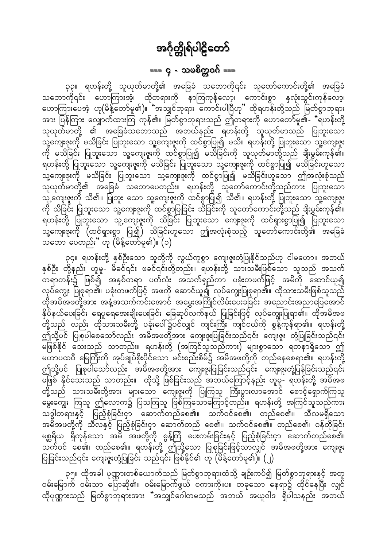## === ၄ - သမစိတ္တဝဂ် ===

<span id="page-17-0"></span>၃၃။ ရဟန်းတို့ သူယုတ်မာတို့၏ အခြေခံ သဘောကို၎င်း သူတော်ကောင်းတို့၏ အခြေခံ သဘောကို၎င်း ဟောကြားအံ့၊ ထိုတရားကို နာကြကုန်လော့၊ ကောင်းစွာ နှလုံးသွင်းကုန်လော့၊ ဟောကြားပေအံ့ ဟု(မိန့်တော်မူ၏)။ "အသျှင်ဘုရား ကောင်းပါပြီဟု" ထိုရဟန်းတို့သည် မြတ်စွာဘုရား အား ပြန်ကြား လျှောက်ထားကြ ကုန်၏။ မြတ်စွာဘုရားသည် ဤတရားကို ဟောတော်မူ၏- "ရဟန်းတို့ သူယုတ်မာတို့ ၏ အခြေခံသဘောသည် အဘယ်နည်း ရဟန်းတို့ သူယုတ်မာသည် ပြုဘူးသော ကို မသိခြင်း ပြုဘူးသော သူ့ကျေးဇူးကို ထင်စွာပြု၍ မသိခြင်းကို သူယုတ်မာတို့သည် ချီးမွမ်းကုန်၏။ ရဟန်းတို့ ပြုဘူးသော သူ့ကျေးဇူးကို မသိခြင်း ပြုဘူးသော သူ့ကျေးဇူးကို ထင်စွာပြု၍ မသိခြင်းဟူသော သူ့ကျေးဇူးကို မသိခြင်း ပြုဘူးသော သူ့ကျေးဇူးကို ထင်စွာပြု၍ မသိခြင်းဟူသော ဤအလုံးစုံသည် သူယုတ်မာတို့၏ အခြေခံ သဘောပေတည်း။ ရဟန်းတို့ သူတော်ကောင်းတို့သည်ကား ပြုဘူးသော သူ့ကျေးဇူးကို သိ၏။ ပြုဘူး သော သူ့ကျေးဇူးကို ထင်စွာပြု၍ သိ၏။ ရဟန်းတို့ ပြုဘူးသော သူ့ကျေးဇူး ကို သိခြင်း ပြုဘူးသော သူ့ကျေးဇူးကို ထင်စွာပြုခြင်း သိခြင်းကို သူတော်ကောင်းတို့သည် ချီးမွှမ်းကုန်၏။ ရဟန်းတို့ ပြုသူးသော သူ့တျေးဇူးကို သိခြင်း ပြုဘူးသော ကျေးဇူးကို ထင်ရှားစွာပြု၍ ပြုဘူးသော သူ့ကျေးဇူးကို (ထင်ရှားစွာ ပြု၍) သိခြင်းဟူသော ဤအလုံးစုံသည့် သူတော်ကောင်းတို့၏ အခြေခံ သဘော ပေတည်း" ဟု (မိန့်တော်မူ၏)။ (၁)

၃၄။ ရဟန်းတို့ နှစ်ဦးသော သူတို့ကို လွယ်ကူစွာ ကျေးဇူးတုံ့ပြုနိုင်သည်ဟု ငါမဟော။ အဘယ် နှစ်ဦး တို့နည်း ဟူမူ- မိခင်၎င်း ဖခင်၎င်းတို့တည်း။ ရဟန်းတို့ သားသမီးဖြစ်သော သူသည် အသက် တရာတန်း၌ ဖြစ်၍ အနှစ်တရာ ပတ်လုံး အသက်ရှည်ကာ ပခုံးတဖက်ဖြင့် အမိကို ဆောင်ယူ၍ လုပ်ကျွေး ပြုစုရာ၏၊ ပခုံးတဖက်ဖြင့် အဖကို ဆောင်ယူ၍ လုပ်ကျွေးပြုစုရာ၏။ ထိုသားသမီးဖြစ်သူသည် ထိုအမိအဖတို့အား အနံ့အသက်ကင်းအောင် အမွှေးအကြိုင်လိမ်းပေးခဲခြင်း အညောင်းအညာပြေအောင် နှိပ်နယ်ပေးခြင်း ရေပူရေအေးချိုးပေးခြင်း ခြေဆုပ်လက်နယ် ပြုခြင်းဖြင့် လုပ်ကျွေးပြုရာ၏။ ထိုအမိအဖ တို့သည် လည်း ထိုသားသမီးတို့ ပခုံးပေါ်၌ပင်လျှင် ကျင်းကြီး ကျင်ငယ်ကို စွန့်ကုန်ရာ၏။ ရဟန်းတို့ ဤသို့ပင် ပြုစုပါစေသော်လည်း အမိအဖတို့အား ကျေးဇူးပြုခြင်းသည်၎င်း ကျေးဇူး တုံ့ပြုခြင်းသည်၎င်း မြစ်နိုင် သေးသည် သာတည်း။ ရဟန်းတို့ (အကြင်သူသည်ကား) များစွာသော ရတနာရှိသော ဤ မဟာပထဝီ မြေကြီးကို အုပ်ချုပ်စိုးပိုင်သော မင်းစည်းစိမ်၌ အမိအဖတို့ကို တည်နေစေရာ၏။ ရဟန်းတို့ ဤသို့ပင် ပြုစုပါသော်လည်း အမိအဖတို့အား ကျေးဇူးပြုခြင်းသည်၎င်း ကျေးဇူးတုံ့ပြန်ခြင်းသည်၎င်း မြစ် နိုင်သေးသည် သာတည်း။ ထိုသို့ ဖြစ်ခြင်းသည် အဘယ်ကြောင့်နည်း ဟူမူ- ရဟန်းတို့ အမိအဖ<br>တို့သည် သားသမီးတို့အား များသော ကျေးဇူးကို ပြုကြသူ ကြီးပွားလာအောင် စောင့်ရှောက်ကြသူ မွေးကျွေး ကြသူ ဤလောက၌ ပြသကြသူ ဖြစ်ကြသောကြောင့်တည်း။ ရဟန်းတို့ အကြင်သူသည်ကား သဒ္ဓါတရားနှင့် ပြည့်စုံခြင်းငှာ ဆောက်တည်စေ၏။ သက်ဝင်စေ၏၊ တည်စေ၏။ သီလမရှိသော အမိအဖတို့ကို သီလနှင့် ပြည့်စုံခြင်းငှာ ဆောက်တည် စေ၏။ သက်ဝင်စေ၏။ တည်စေ၏၊ ဝန်တိုခြင်း မစ္ဆရိယ ရှိကုန်သော အမိ အဖတို့ကို စွန့်ကြဲ ပေးကမ်းခြင်းနှင့် ပြည့်စုံခြင်းငှာ ဆောက်တည်စေ၏၊ သက်ဝင် စေ၏၊ တည်စေ၏။ ရဟန်းတို့ ဤသို့သော ပြုစုခြင်းဖြင့်သာလျှင် အမိအဖတို့အား ကျေးဇူး ပြုခြင်းသည်၎င်း ကျေးဇူးတုံ့ပြုခြင်း သည်၎င်း ဖြစ်နိုင်၏ ဟု (မိန့်တော်မူ၏)။ (၂)

၃၅။ ထိုအခါ ပုဏ္ဏားတစ်ယောက်သည် မြတ်စွာဘုရားထံသို့ ချဉ်းကပ်၍ မြတ်စွာဘုရားနှင့် အတူ ဝမ်းမြောက် ဝမ်းသာ ပြောဆို၏။ ဝမ်းမြောက်ဖွယ် စကားကို။ပ။ တခုသော နေရာ၌ ထိုင်နေပြီး လျှင် ထိုပုဏ္ဏားသည် မြတ်စွာဘုရားအား "အသျှင်ဂေါတမသည် အဘယ် အယူဝါဒ ရှိပါသနည်း အဘယ်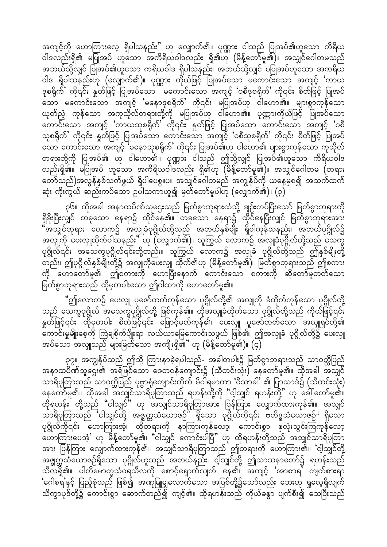အကျင့်ကို ဟောကြားလေ့ ရှိပါသနည်း" ဟု လျှောက်၏။ ပုဏ္ဏား ငါသည် ပြုအပ်၏ဟူသော ကိရိယ ၀ါဒလည်းရှိ၏ မပြုအပ် ဟူသော အကိရိယဝါဒလည်း ရှိ၏ဟု (မိန့်တော်မူ၏)။ အသျှင်ဂေါတမသည် အဘယ်သို့လျှင် ပြုအပ်၏ဟူသော ကရိယဝါဒ ရှိပါသနည်း၊ အဘယ်သို့လျှင် မပြုအပ်ဟူသော အကရိယ ဝါဒ ရှိပါသနည်းဟု (လျှောက်၏)။ ပုဏ္ဏား ကိုယ်ဖြင့် ပြုအပ်သော မကောင်းသော အကျင့် 'ကာယ 'ဒုစရိုက်ပါ ကို၎င်း နှတ်ဖြင့် ပြုအပ်သော မကောင်းသော အကျင့် 'ဝစီဒုစရိုက်' ကို၎င်း စိတ်ဖြင့် ပြုအပ် သော မကောင်းသော အကျင့် 'မနောဒုစရိုက်' ကို၎င်း မပြုအပ်ဟု ငါဟော၏။ များစွာကုန်သော ယုတ်ညံ့ ကုန်သော အကုသိုလ်တရားတို့ကို မပြုအပ်ဟု ငါဟော၏။ ပုဏ္ဏားကိုယ်ဖြင့် ပြုအပ်သော ကောင်းသော အကျင့် 'ကာယသုစရိုက်' ကို၎င်း နှတ်ဖြင့် ပြုအပ်သော ကောင်းသော အကျင့် 'ဝစီ သုစရိုက်ႛ ကို၎င်း နှုတ်ဖြင့် ပြုအပ်သော ကောင်းသော အကျင့် 'ဝစီသုစရိုက်ႛ ကို၎င်း စိတ်ဖြင့် ပြုအပ် \_\_\_\_<br>သော ကောင်းသော အကျင့် 'မနောသုစရိုက်' ကို၎င်း ပြုအပ်၏ဟု ငါဟော၏ များစွာကုန်သော ကုသိုလ် တရားတို့ကို ပြုအပ်၏ ဟု ငါဟော်၏။ ပုဏ္ဏား ငါသည် ဤသို့လျှင် ပြုအပ်၏ဟူသော ကိရိယဝါဒ လည်းရှိ၏။ မပြုအပ် ဟူသော အကိရိယဝါဒလည်း ရှိ၏ဟု (မိန့်တော်မူ၏)။ အသျှင်ဂေါတမ (တရား တော်သည်)အလွန်နှစ်သက်ဖွယ် ရှိပါပေစွ။ပ။ အသျှင်ဂေါတမည် အကျွန်ုပ်ကို ယနေ့မှစ၍ အသက်ထက် ဆုံး ကိုးကွယ် ဆည်းကပ်သော ဉပါသကာဟူ၍ မှတ်တော်မူပါဟု (လျှောက်၏)။ (၃)

၃၆။ ထိုအခါ အနာထပိဏ်သူဌေးသည် မြတ်စွာဘုရားထံသို့ ချဉ်းကပ်ပြီးသော် မြတ်စွာဘုရားကို ရှိခိုးပြီးလျှင် တခုသော နေရာ၌ ထိုင်နေ၏။ တခုသော နေရာ၌ ထိုင်နေပြီးလျှင် မြတ်စွာဘုရားအား "အသျှင်ဘုရား လောက၌ အလျှုခံပုဂ္ဂိုလ်တို့သည် အဘယ်နှစ်မျိုး ရှိပါကုန်သနည်း၊ အဘယ်ပုဂ္ဂိုလ်၌ ာလျှိဳက်<br>အလျှိုကို ပေးလျှုထိုက်ပါသနည်း" ဟု (လျှောက်၏)။ သူကြွယ် လောက၌ အလျှုခံပုဂ္ဂိုလ်တို့သည် သေက္ခ ပုဂ္ဂိုလ််ံ၎င်း အသေက္ခပုဂ္ဂိုလ်ံ၎င်းတို့တည်း။ သူကြွယ် လောက၌ အလျှုံခံ ပုဂ္ဂိုလ်ံတို့သည် ဤနှစ်မျိုးတို့ ်း…<br>တည်း၊ ဤပုဂ္ဂိုလ်နှစ်မျိုးတို့၌ အလျှုကိုပေးလျှ ထိုက်၏ဟု (မိန့်တော်မူ၏)။ မြတ်စွာဘုရားသည် ဤစကား ကို ဟောတော်မူ၏၊ ဤစကားကို ဟောပြီးနောက် ကောင်းသော စကားကို ဆိုတော်မူတတ်သော မြတ်စွာဘုရားသည် ထိုမှတပါးသော ဤဂါထာကို ဟောတော်မူ၏။

"ဤလောက၌ ပေးလှူ ပူဇော်တတ်ကုန်သော ပုဂ္ဂိုလ်တို့၏ အလှူကို ခံထိုက်ကုန်သော ပုဂ္ဂိုလ်တို့ သည် သေက္ခပုဂ္ဂိုလ် အသေက္ခပုဂ္ဂိုလ်တို့ ဖြစ်ကုန်၏။ ထိုအလျှုခံထိုက်သော ပုဂ္ဂိုလ်တို့သည် ကိုယ်ဖြင့်၎င်း န္မတ်ဖြင့်၎င်း ထိုမှတပါး စိတ်ဖြင့်၎င်း ဖြောင့်မတ်ကုန်၏၊ ပေးလျှု ပူဇော်တတ်သော အလျှုရှင်တို့၏ ...<br>ကောင်းမှုမျိုးစေ့ကို ကြဲချစိုက်ပျိုးရာ လယ်ယာမြေကောင်းသဖွယ် ဖြစ်၏၊ ဤအလျုခံ ပုဂ္ဂိုလ်တို့၌ ပေးလျှု အပ်သော အလျုသည် များမြတ်သော အကျိုးရှိ၏ $"$  ဟု (မိန့်တော်မူ၏)။  $(\varsigma)$ 

၃၇။ အကျွန်ုပ်သည် ဤသို့ ကြားနာခဲ့ရပါသည်- အခါတပါး၌ မြတ်စွာဘုရားသည် သာဝတ္ထိပြည် ် လွန်လွန်ပြီး အများကို ကွယ်လွန်ပေါက်နေ့ကျောင်း၌ (သီတင်းသုံး) နေတော်မူ၏။ ထိုအခါ အသျှင်<br>အနာထပိဏ်သူဌေး၏ အရံဖြစ်သော ဇေတဝန်ကျောင်း၌ (သီတင်းသုံး) နေတော်မူ၏။ ထိုအခါ အသျှင် သာရိပုတြာသည် သာဝတ္တိပြည် ပုဗ္ဗာရုံကျောင်းတိုက် မိဂါရမာတာ 'ဝိသာခါ' ၏ ပြာသာဒ်၌ (သီတင်းသုံး) aeawmfrl\/ xdktcg toQifom&dykMwmonf &[ef;wdkYudk ]]ighoQif &[ef;wdkY}} [k ac:awmfrl\/  $\alpha$ ရ်ရဟန်း တို့သည် "ငါသျှင်" ဟု အသျှင်သာရိပုတြာအား ပြန်ကြား လျှောက်ထားကုန်၏။ အသျှင် သာရိပုတြာသည် ငါသျှင်တို့ အရွက္တသံယောဇဉ်<sup>`</sup> ရှိသော ပုဂ္ဂိုလ်ကို၎င်း ဗဟိဒ္ဓသံယောဇဉ်<sup>၂</sup> ရှိသော ပုဂ္ဂိုလ်ကို၎င်း ဟောကြားအံ့၊ ထိုတရားကို နာကြားကုန်လော့၊ ကောင်းစွာ နှံလုံးသွင်းကြကုန်လော့ ္ပြယ္ပြယ္ပါတယ္။ အခ်ိန္ေတာ့မို႔ေပးသြင္ဆိုင္ရာ အသင္းပါေပးဆိုင္ရတယ္ အသိုင္ရသည္ အသိုင္ရတယ္ဆိုင္ရတြာ အား ပြန်ကြား လျှောက်ထားကုန်၏။ အသျှင်သာရိပုတြာသည် ဤတရားကို ဟောကြား၏။ 'ငါ့သျှင်တို့ အဇ္ဈတ္တသံယောဇဉ်ရှိသော ပုဂ္ဂိုလ်ဟူသည် အဘယ်နည်း၊ ငါ့သျှင်တို့ ဤသာသနာတော်၌ ရဟန်းသည် သီလရှိ၏။ ပါတိမောက္ခသံဝရသီလကို စောင့်ရှောက်လျက် နေ၏၊ အကျင့် 'အာစာရ<sup>7</sup> ကျက်စားရာ 'ဂေါစရန္နှင့် ပြည့်စုံသည် ဖြစ်၍ အဏုမြူမျှလောက်သော အပြစ်တို့၌သော်လည်း ဘေးဟု ရှုလေ့ရှိလျက် သိက္ခာပုဒ်တို့၌ ကောင်းစွာ ဆောက်တည်၍ ကျင့်၏။ ထိုရဟန်းသည် ကိုယ်ခန္ဓာ ပျက်စီး၍ သေပြီးသည်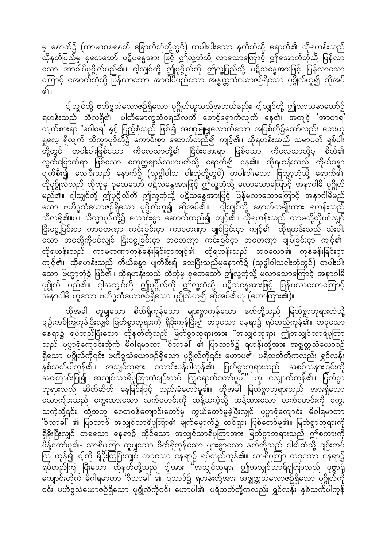မှ နောက်၌ (ကာမာဝစရနတ် ခြောက်ဘုံတို့တွင်) တပါးပါးသော နတ်ဘုံသို့ ရောက်၏ ထိုရဟန်းသည် -<br>ထိုနတ်ပြည်မှ<sup>ဲ</sup>စုတေသော် ပဋိပန္ဓေအား ဖြင့် ဤလူ့ဘုံသို့ လာသောကြောင့် ဤအောက်ဘုံသို့ ပြန်လာ သော အာဂါမိပုဂ္ဂိုလ်မည်၏။ ငါ့သျှင်တို့ ဤပုဂ္ဂိုလ်ကို ဤလူ့ပြည်သို့ ပဋိသန္ဓေအားဖြင့် ပြန်လာသော ကြောင့် အောက်ဘုံသို့ ပြန်လာသော အာဂါမိမည်သော အရွှတ္တသံယောဇဉ်ရှိသော ပုဂ္ဂိုလ်ဟူ၍ ဆိုအပ် ள்

င့ါသျှင်တို့ ဗဟိဒ္ဓသံယောဇဉ်ရှိသော ပုဂ္ဂိုလ်ဟူသည်အဘယ်နည်း၊ င့ါသျှင်တို့ ဤသာသနာတော်၌ ရဟန်းသည် သီလရှိ၏။ ပါတီမောက္ခသံဝရသီလကို စောင့်ရှောက်လျက် နေ၏၊ အကျင့် အာစာရ ကျက်စားရာ 'ဂေါစရ' နှင့် ပြည့်စုံသည် ဖြစ်၍ အဏုမြူမျှလောက်သော အပြစ်တို့၌သော်လည်း ဘေးဟု ရှုလေ့ ရှိလျက် သိက္ခာပုဒ်တို့၌ ကောင်းစွာ ဆောက်တည်၍ ကျင့်၏။ ထိုရဟန်းသည် သမာပတ် ရှစ်ပါး လွတ်မြောက်ရာ ဖြစ်သော စတုတ္ထဈာန်သမာပတ်သို့ ရောက်၍ နေ၏။ ထိုရဟန်းသည် ကိုယ်ခန္ဓာ ပျက်စီး၍ သေပြီးသည် နောက်၌ (သုဒ္ဓါဝါသ ငါးဘုံတို့တွင်) တပါးပါးသော ဗြဟ္မာ့ဘုံသို့ ရောက်၏၊ ထိုပုဂ္ဂိုလ်သည် ထိုဘုံမှ စုတေသော် ပဋိသန္ဓေအားဖြင့် ဤလူ့ဘုံသို့ မလာသောကြောင့် အနာဂါမိ ပုဂ္ဂိုလ် မည်၏။ ငါ့သျှင်တို့ ဤပုဂ္ဂိုလ်ကို ဤလူ့ဘုံသို့ ပဋိသန္ဓေအားဖြင့် ပြန်မလာသောကြောင့် အနာဂါမိမည် ု<br>သော ဗဟိဒ္ဓသံယောဇဉ်ရှိသော ပုဂ္ဂိုလ်ဟူ၍ ဆိုအပ်၏။ ငါ့သျှင်တို့ နောက်တမျိုးကား ရဟန်းသည် သီလရှိ၏။ပ။ သိက္ခာပုဒ်တို့၌ ကောင်းစွာ ဆောက်တည်၍ ကျင့်၏။ ထိုရဟန်းသည် ကာမတို့ကိုပင်လျှင် ငြီးငွေ့ခြင်းငှာ ကာမတဏှာ ကင်းခြင်းငှာ ကာမတဏှာ ချုပ်ခြင်းငှာ ကျင့်၏။ ထိုရဟန်းသည် သုံးပါး –<br>သော ဘဝတို့ကိုပင်လျှင် ငြီးငွေ့ခြင်းငှာ ဘဝတဏှာ ကင်းခြင်ငှာ ဘဝတဏှာ ချုပ်ခြင်းငှာ ကျင့်၏။ ထိုရဟန်းသည် ကာမတဏှာကုန်ခန်းခြင်းငှာကျင့်၏၊ ထိုရဟန်းသည် ဘဝလော၏ ကုန်ခန်းခြင်းငှာ ကျင့်၏။ ထိုရဟန်းသည် ကိုယ်ခန္ဓာ ပျက်စီး၍ သေပြီးသည်မှနောက်၌ (သုဒ္ဓါဝါသငါးဘုံတွင်) တပါးပါး သော ဗြဟ္မာ့ဘုံ၌ ဖြစ်၏။ ထိုရဟန်းသည် ထိုဘုံမှ စုတေသော် ဤလူ့ဘုံသို့ မလာသောကြောင့် အနာဂါမိ ုိ ၂ မ - ၂ မ - ၂<br>ပုဂ္ဂိုလ် မည်၏။ ငါ့အသျှင်တို့ ဤပုဂ္ဂိုလ်ကို ဤလူ့ဘုံသို့ ပဋိသန္ဓေအားဖြင့် ပြန်မလာသောကြောင့် ်လို့<br>အနာဂါမိ ဟူသော ဗဟိဒ္ဓသံယောဇဉ်ရှိသော ပုဂ္ဂိုလ်ဟူ၍ ဆိုအပ်၏ဟု (ဟောကြား၏)။

ထိုအခါ တူမျှသော စိတ်ရှိကုန်သော များစွာကုန်သော နတ်တို့သည် မြတ်စွာဘုရားထံသို့ ချဉ်းကပ်ကြကုန်ပြီးလျှင် မြတ်စွာဘုရားကို ရှိခိုးကုန်ပြီး၍ တခုသော နေရာ၌ ရပ်တည်ကုန်၏။ တခုသော<br>နေရာ၌ ရပ်တည်ပြီးသော ထိုနတ်တို့သည် မြတ်စွာဘုရားအား "အသျှင်ဘုရား ဤအသျှင်သာရိပုတြာ သည် ပုဗ္ဗာရုံကျောင်းတိုက် မိဂါရမာတာ ဝိသာခါ ၏ ပြာသာဒ်၌ ရဟန်းတို့အား အဇ္ဈတ္တသံယောဇဉ် ရှိသော ပုဂ္ဂိုလ်ကို၎င်း ဗဟိဒ္ဓသံယောဇဉ်ရှိသော ပုဂ္ဂိုလ်ကို၎င်း ဟောပ၏၊ ပရိသတ်တို့ကလည်း ရွှင်လန်း ာ<br>နှစ်သက်ပါကုန်၏။ အသျှင်ဘုရား တောင်းပန်ပါကုန်၏၊ မြတ်စွာဘုရားသည် အစဉ်သနားခြင်းကို အကြောင်းပြု၍ အသျှင်သာရိပုတြာထံချဉ်းကပ် ကြွရောက်တော်မူပါ" ဟု လျှောက်ကုန််၏။ မြတ်စွာ ဘုရားသည် ဆိတ်ဆိတ် နေခြင်းဖြင့် သည်းခံတော်မူ၏။ ထိုအခါ မြတ်စွာဘုရားသည် အားရှိသော သောက်ျားသည် ကွေးထားသော လက်မောင်းကို ဆန့်သကဲ့သို့ ဆန့်ထားသော လက်မောင်းကို ကွေး သကဲ့သို့၎င်း ထို့အတူ ဇေတဝန်ကျောင်းတော်မှ ကွယ်တော်မူခဲ့ပြီးလျှင် ပုဗွာရုံကျောင်း မိဂါရမာတာ 'ဝိသာခါ' ၏ ပြာသာဒ် အသျှင်သာရိပုတြာ၏ မျက်မှောက်၌ ထင်ရှား ဖြစ်တော်မူ၏။ မြတ်စွာဘုရားကို ရှိခိုးပြီးလျှင် တခုသော နေရာ၌ ထိုင်သော အသျှင်သာရိပုတြာအား မြတ်စွာဘုရားသည် ဤစကားကို မိန့်တော်မူ၏- သာရိပုတြာ တူမျှသော စိတ်ရှိကုန်သော များစွာသော နတ်တို့သည် ငါ၏ထံသို့ ချဉ်းကပ် ကြ ကုန်၍ ငါ့ကို ရှိခိုးကြပြီးလျှင် တခုသော နေရာ၌ ရပ်တည်ကုန်၏။ သာရိပုတြာ တခုသော နေရာ၌<br>ရပ်တည်ကြ ပြီးသော ထိုနတ်တို့သည် ငါ့အား "အသျှင်ဘုရား ဤအသျှင်သာရိပုတြာသည် ပုဗ္ဗာရုံ ကျောင်းတိုက် မိဂါရမာတာ 'ဝိသာခါ' ၏ ပြဿဒ်၌ ရဟန်းတို့အား အဇ္ဈတ္တသံယောဇဉ်ရှိသော ပုဂ္ဂိုလ်ကို ၎င်း ဗဟိဒ္ဓသံယောဇဉ်ရှိသော ပုဂ္ဂိုလ်ကို၎င်း ဟောပါ၏၊ ပရိသတ်တို့ကလည်း ရွှင်လန်း နှစ်သက်ပါကုန်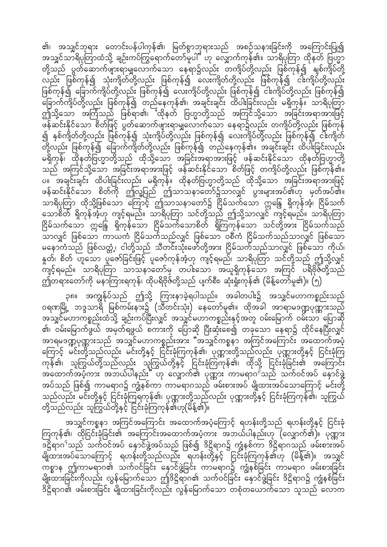၏၊ အသျှင်ဘုရား တောင်းပန်ပါကုန်၏၊ မြတ်စွာဘုရားသည် အစဉ်သနားခြင်းကို အကြောင်းပြု၍ အသျှင်သာရိပုတြာထံသို့ ချဉ်းကပ်ကြွရောက်တော်မူပါ" ဟု လျှောက်ကုန်၏။ သာရိပုတြာ ထိုနတ် ဗြဟ္မာ တို့သည် ပွတ်ဆောက်ဖျားရာမျှလောက်သော နေရာ၌လည်း တကျိပ်တို့လည်း ဖြစ်ကုန်၍ နျစ်ကျိပ်တို့ လည်း ဖြစ်ကုန်၍ သုံးကျိတ်တို့လည်း ဖြစ်ကုန်၍ လေးကျိတ်တို့လည်း ဖြစ်ကုန်၍ ငါးကျိပ်တို့လည်း ဖြစ်ကုန်၍ ခြောက်ကျိပ်တို့လည်း ဖြစ်ကုန်၍ လေးကျိပ်တို့လည်း ဖြစ်ကုန်၍ ငါးကျိပ်တို့လည်း ဖြစ်ကုန်၍ ခြောက်ကျိပ်တို့လည်း ဖြစ်ကုန်၍ တည်နေကုန်၏၊ အချင်းချင်း ထိပါးခြင်းလည်း မရှိကုန်။ သာရိပုတြာ <u>ရာ</u><br>တြံသို့သော အကြံသည် ဖြစ်ရာ၏၊ ထိုနတ် ဗြဟ္မာတို့သည် အကြင်သို့သော အခြင်းအရာအားဖြင့် zef<br>ဖန်ဆင်းနိုင်သော စိတ်ဖြင့် ပွတ်ဆောက်ဖျားရာမျှလောက်သော နေရာ၌လည်း တကျိပ်တို့လည်း ဖြစ်ကုန် <u>၍</u> နှစ်ကျိတ်တို့လည်း ဖြစ်ကုန်၍ သုံးကျိပ်တို့လည်း ဖြစ်ကုန်၍ လေးကျိပ်တို့လည်း ဖြစ်ကုန်၍ ငါးကျိတ် တို့လည်း ဖြစ်ကုန်၍ ခြောက်ကျိတ်တို့လည်း ဖြစ်ကုန်၍ တည်နေကုန်၏။ အချင်းချင်း ထိပါးခြင်းလည်း မရှိကုန်၊ ထိုနတ်ဗြဟ္မာတို့သည် ထိုသို့သော အခြင်းအရာအားဖြင့် ဖန်ဆင်းနိုင်သော ထိုနတ်ဗြဟ္မာတို့ သည် အကြင်သို့သော အခြင်းအရာအားဖြင့် ဖန်ဆင်းနိုင်သော စိတ်ဖြင့် တကျိပ်တို့လည်း ဖြစ်ကုန်၏။ ပ။ အချင်းချင်း ထိပါးခြင်းလည်း မရှိကုန်။ ထိုနတ်ဗြဟ္မာတို့သည် ထိုသို့သော အခြင်းအရာအားဖြင့် ဖန်ဆင်းနိုင်သော စိတ်ကို ဤလူ့ပြည် ဤသာသနာတော်၌သာလျှင် ပွားများအပ်၏ဟု မှတ်အပ်၏။ သာရိပုတြာ ထိုသို့ဖြစ်သော ကြောင့် ဤသာသနာတော်၌ ငြိမ်သက်သော ဣန္ဒြေ ရှိကုန်အံ့၊ ငြိမ်သက် သောစိတ် ရှိကုန်အံ့ဟု ကျင့်ရမည်။ သာရိပုတြာ သင်တို့သည် ဤသို့သာလျှင် ကျင့်ရမည်။ သာရိပုတြာ .<br>ပြိမ်သက်သော ဣန္ဒြေ ရှိကုန်သော ငြိမ်သက်သောစိတ် ရှိကြကုန်သော သင်တို့အား ငြိမ်သက်သည် omvQif jzpfaom um,uH NidrfoufonfvQif jzpfaom 0pDuH NidrfoufonfomvQif jzpfaom မနောကံသည် ဖြစ်လတ္တံ့၊ ငါတို့သည် သီတင်းသုံးဖော်တို့အား ငြိမ်သက်သည်သာလျှင် ဖြစ်သော ကိုယ်၊ နတ်၊ စိတ် ဟူသော ပူဇော်ခြင်းဖြင့် ပူဇော်ကုန်အံ့ဟု ကျင့်ရမည်၊ သာရိပုတြာ သင်တို့သည် ဤသို့လျှင် ကျင့်ရမည်။ သာရိပုတြာ သာသနာတော်မှ တပါးသော အယူရှိကုန်သော အကြင် ပရိဗိုဇ်တို့သည် ဤတရားတော်ကို မနာကြားရကုန်၊ ထိုပရိဗိုဇ်တို့သည် ပျက်စီး၊ ဆုံးရှုံးကုန်၏ (မိန့်တော်မူ၏)။ (၅)

၃၈။ အကျွန်ုပ်သည် ဤသို့ ကြားနာခဲ့ရပါသည်။ အခါတပါး၌ အသျှင်မဟာကစ္စည်းသည် ၀ရဏမြို့ ဘဒ္ဒသာရိ မြစ်ကမ်းနား၌ (သီတင်းသုံး) နေတော်မူ၏။ ထိုအခါ အာရာမဒဏ္ဍပုဏ္ဏားသည် .<br>အသျှင်မဟာကစ္စည်းထံသို့ ချဉ်းကပ်ပြီးလျှင် အသျှင်မဟာကစ္စည်းနှင့်အတူ ဝမ်းမြောက် ဝမ်းသာ ပြောဆို ၏၊ ဝမ်းမြောက်ဖွယ် အမှတ်ရဖွယ် စကားကို ပြောဆို ပြီးဆုံးစေ၍ တခုသော နေရာ၌ ထိုင်နေပြီးလျှင် ...<br>အာရမဒဏ္ဍပုဏ္ဏားသည် အသျှင်မဟာကစ္စည်းအား "အသျှင်ကစ္စနာ အကြင်အကြောင်း အထောက်အပံ့ ကြောင့် မင်းတို့သည်လည်း မင်းတို့နှင့် ငြင်းခုံကြကုန်၏၊ ပုဏ္ဏားတို့သည်လည်း ပုဏ္ဏားတို့နှင့် ငြင်းခုံကြ ကုန်၏၊ သူကြွယ်တို့သည်လည်း သူကြွယ်တို့နှင့် ငြင်းခုံကြကုန်၏၊ ထိုသို့ ငြင်းခုံခြင်း၏ အကြောင်း ာ<br>အထောက်အပံ့ကား အဘယ်ပါနည်း" ဟု လျှောက်၏ ပုဏ္ဏား ကာမရာဂ<sup>ို</sup>သည် သက်ဝင်အပ် နှောင်ဖွဲ့ အပ်သည် ဖြစ်၍ ကာမရာဂ၌ ကျွံနှစ်ကာ ကာမရာဂသည် ဖမ်းစားအပ် မျိုထားအပ်သောကြောင့် မင်းတို့ သည်လည်း မင်းတို့နှင့် ငြင်းခုံကြရကုန်၏၊ ပုဏ္ဏားတို့သည်လည်း ပုဏ္ဏားတို့နှင့် ငြင်းခုံကြကုန်၏၊ သူကြွယ် wdky which is the confunction of the confunction of the control of  $\mathcal{C}$ 

အသျှင်ကစ္စနာ အကြင်အကြောင်း အထောက်အပံ့ကြောင့် ရဟန်းတို့သည် ရဟန်းတို့နှင့် ငြင်းခုံ ကြကုန်၏၊ ထိုငြင်းခုံခြင်း၏ အကြောင်းအထောက်အပံ့ကား အဘယ်ပါနည်းဟု (လျှောက်၏)။ ပုဏ္ဏား '|d&m\*4 onf ouf0iftyf aESmifzGJYtyfonf jzpfí 'd|d&m\*ü uRHepfum 'd|d&m\*onf zrf;pm;tyf မျိုထားအပ်သောကြောင့် ရဟန်းတို့သည်လည်း ရဟန်းတို့နှင့် ငြင်းခုံကြကုန်၏ဟု (မိန့်၏)။ အသျှင် ကစ္စာန ဤကာမရာဂ၏ သက်ဝင်ခြင်း နှောင်ဖွဲ့ခြင်း ကာမရာဂ၌ ကျွံနစ်ခြင်း ကာမရာဂ ဖမ်းစားခြင်း မျိုးထားခြင်းကိုလည်း လွန်မြောက်သော ဤဒိဋ္ဌိရာဂ၏ သက်ဝင်ခြင်း နှောင်ဖွဲ့ခြင်း ဒိဋ္ဌိရာဂ၌ ကျွံနစ်ခြင်း ် ပြီး<br>ဒိဋ္ဌိရာဂ၏ ဖမ်းစားခြင်း မျိုထားခြင်းကိုလည်း လွန်မြောက်သော တစုံတယောက်သော သူသည် လောက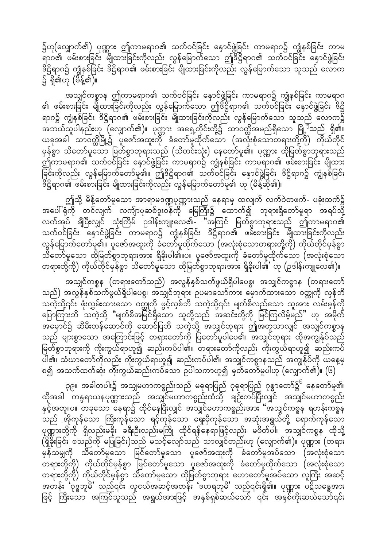၌ဟု(လျှောက်၏) ပုဏ္ဏား ဤကာမရာဂ၏ သက်ဝင်ခြင်း နှောင်ဖွဲ့ခြင်း ကာမရာဂ၌ ကျွံနစ်ခြင်း ကာမ – လ်ော် ဖမ်းစားခြင်း မျိုထားခြင်းကိုလည်း လွန်မြောက်သော ဤဒိဋ္ဌိရာဂ၏ သက်ဝင်ခြင်း နှောင်ဖွဲ့ခြင်း ဒိဋ္ဌိရာဂ၌ ကျွံနစ်ခြင်း ဒိဋ္ဌိရာဂ၏ ဖမ်းစားခြင်း မျိုထားခြင်းကိုလည်း လွန်မြောက်သော သူသည် လောက ၌ ရှိ၏ဟု (မိန့်၏)။

အသျှင်ကစ္စာန ဤကာမရာဂ၏ သက်ဝင်ခြင်း နှောင်ဖွဲ့ခြင်း ကာမရာဂ၌ ကျွံနစ်ခြင်း ကာမရာဂ ၏ ဖမ်းစားခြင်း မျိုထားခြင်းကိုလည်း လွန်မြောက်သော ဤဒိဋ္ဌိရာဂ၏ သက်ဝင်ခြင်း နှောင်ဖွဲ့ခြင်း ဒိဋ္ဌိ ရာဂ၌ ကျွံနစ်ခြင်း ဒိဋ္ဌိရာဂ၏ ဖမ်းစားခြင်း မျိုထားခြင်းကိုလည်း လွန်မြောက်သော သူသည် လောက၌ .<br>အဘယ်သူပါနည်းဟု (လျှောက်၏)။ ပုဏ္ဏား အရှေ့တိုင်းတို့၌ သာဝတ္ထိအမည်ရှိသော မြို့<sup>၁</sup>သည် ရှိ၏။ ယခုအခါ သာဝတ္ထိမြို့၌ ပူဇော်အထူးကို ခံတော်မူထိုက်သော (အလုံးစုံသောတရားတို့ကို) ကိုယ်တိုင် မှန်စွာ သိတော်မူသော မြတ်စွာဘုရားသည် (သီတင်းသုံး) နေတော်မူ၏။ ပုဏ္ဏား ထိုမြတ်စွာဘုရားသည် ာပြီ<br>၁၂ ကာမရာဂ၏ သက်ဝင်ခြင်း နှောင်ဖွဲ့ခြင်း ကာမရာဂ၌ ကျွန်စ်ခြင်း ကာမရာဂ၏ ဖမ်းစားခြင်း မျိုထား ခြင်းကိုလည်း လွန်မြောက်တော်မူ၏။ ဤဒိဋ္ဌိရာဂ၏ သက်ဝင်ခြင်း နှောင်ဖွဲ့ခြင်း ဒိဋ္ဌိရာဂ၌ ကျွံနစ်ခြင်း .<br>ဒိဋ္ဌိရာဂ၏ ဖမ်းစားခြင်း မျိုထားခြင်းကိုလည်း လွန်မြောက်တော်မူ၏ ဟု (မိန့်ဆို၏)။

ဤသို့ မိန့်တော်မူသော အာရာမဒဏ္ဍပုဏ္ဏားသည် နေရာမှ ထလျက် လက်ဝဲတဖက်- ပခုံးထက်၌ လက်အုပ် ချီပြီးလျှင် သုံးကြိမ် ဉဒါန်းကျူးလေ၏- "အကြင် မြတ်စွာဘုရားသည် ဤကာမရာဂ၏ သက်ဝင်ခြင်း နောင်ဖွဲ့ခြင်း ကာမရာဂ၌ ကျွံနစ်ခြင်း ဒိဋ္ဌိရာဂ၏ ဖမ်းစားခြင်း မျိုထားခြင်းကိုလည်း လွန်မြောက်တော်မူ၏။ ပူဇော်အထူးကို ခံတော်မူထိုက်သော (အလုံးစုံသောတရားတို့ကို) ကိုယ်တိုင်မှန်စွာ သိတော်မူသော ထိုမြတ်စွာဘုရားအား ရှိခိုးပါ၏။ပ။ ပူဇော်အထူးကို ခံတော်မူထိုက်သော (အလုံးစုံသော တရားတို့ကို) ကိုယ်တိုင်မှန်စွာ သိတော်မူသော ထိုမြတ်စွာဘုရားအား ရှိခိုးပါ၏ ဟု (ဉဒါန်းကျူလေ၏)။

အသျှင်ကစ္စန (တရားတော်သည်) အလွန်နှစ်သက်ဖွယ်ရှိပါပေစွ၊ အသျှင်ကစ္စာန (တရားတော် သည်) အလွန်နှစ်သက်ဖွယ်ရှိပါပေစွ၊ အသျှင်ဘုရား ဥပမာသော်ကား မှောက်ထားသော ဝတ္ထုကို လှန်ဘိ သကဲ့သို့၎င်း ဖုံးလွှမ်းထားသော ဝတ္ထုကို ဖွင့်လှစ်ဘိ သကဲ့သို့၎င်း မျက်စိလည်သော သူအား လမ်းမှန်ကို -<br>ပြောကြားဘိ သကဲ့သို့ "မျက်စိအမြင်ရှိသော သူတို့သည် အဆင်းတို့ကို မြင်ကြလိမ့်မည်" ဟု အမိုက် ုပ္ပြ ပြ<br>အမှောင်၌ ဆီမီးတန်ဆောင်ကို ဆောင်ပြဘိ သကဲ့သို့ အသျှင်ဘုရား ဤအတူသာလျှင် အသျှင်ကစ္စာန သည် များစွာသော အကြောင်းဖြင့် တရားတော်ကို ပြတော်မူပါပေ၏၊ အသျှင်ဘုရား ထိုအကျွန်ုပ်သည် မြတ်စွာဘုရားကို ကိုးကွယ်ရာဟူ၍ ဆည်းကပ်ပါ၏။ တရားတော်ကိုလည်း ကိုးကွယ်ရာဟူ၍ ဆည်းကပ် ပါ၏၊ သံဃာတော်ကိုလည်း ကိုးကွယ်ရာဟူ၍ ဆည်းကပ်ပါ၏၊ အသျှင်ကစ္စာနသည် အကျွန်ုပ်ကို ယနေ့မှ စ၍ အသက်ထက်ဆုံး ကိုးကွယ်ဆည်းကပ်သော ဉပါသကာဟူ၍ မှတ်တော်မူပါဟု (လျှောက်၏)။ (၆)

ှာ၉။ အခါတပါး၌ အသျှမဟာကစ္စည်းသည် မဓုရာပြည် ဂုဓုရာပြည် ဂုန္ဓာတော်၌<sup>၆</sup> နေတော်မူ၏၊ ထိုအခါ တန္ဒရာယနပုဏ္ဏားသည် အသျှင်မဟာတစ္စည်းထံသို့ ချဉ်းကပ်ပြီးလျှင် အသျှင်မဟာကစ္စည်း နှင့်အတူ။ပ။ တခုသော နေရာ၌ ထိုင်နေပြီးလျှင် အသျှင်မဟာကစ္စည်းအား "အသျှင်ကစ္စန ရဟန်းကစ္စန -<br>သည် အိုကုန်သော ကြီးကုန်သော ရင့်ကုန်သော ရှေးမှီကုန်သော အဆုံးအရွယ်တို့ ရောက်ကုန်သော ပုဏ္ဏားတို့ကို ရှိလည်းမခိုး ခရီးဦးလည်းမကြို ထိုင်ရန်နေရာဖြင့်လည်း မဖိတ်ပါ။ အသျှင်ကစ္စန ထိုသို့ (ရှိနိုးခြင်း စသည်ကို မပြုခြင်း)သည် မသင့်လျော်သည် သာလျှင်တည်းဟု (လျှောက်၏)။ ပုဏ္ဏား (တရား ာန်သမျှကို သိတော်မူသော မြင်တော်မူသော ပူဇော်အထူးကို ခံတော်မူအပ်သော (အလုံးစုံသော ာ<br>တရားတို့ကို) ကိုယ်တိုင်မှန်စွာ မြင်တော်မူသော ပူဇော်အထူးကို ခံတော်မူထိုက်သော (အလုံးစုံသော တရားတို့ကို) ကိုယ်တိုင်မှန်စွာ သိတော်မူသော ထိုမြတ်စွာဘုရား ဟောတော်မူအပ်သော လူကြီး အဆင့် အတန်း 'ဝုဒ္ဓဘူမ်ိ' သည်၎င်း လူငယ်အဆင့်အတန်း 'ဒဟရဘူမ်ိ' သည်၎င်းရှိ၏။ ပုဏ္ဏား ပဋိသန္ဓေအား ဖြင့် ကြီးသော အကြင်သူသည် အရွယ်အားဖြင့် အနှစ်ရှစ်ဆယ်သော် ၎င်း အနှစ်ကိုးဆယ်သော်၎င်း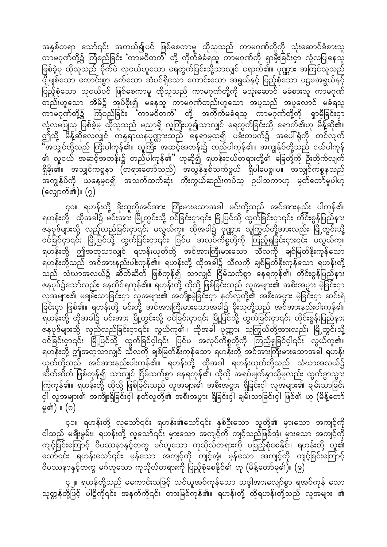အနှစ်တရာ သော်၎င်း အကယ်၍ပင် ဖြစ်စေကာမူ ထိုသူသည် ကာမဂုဏ်တို့ကို သုံးဆောင်ခံစားသူ ကာမဂုဏ်တို့၌ ကြံစည်ခြင်း 'ကာမဝိတက်' တို့ ကိုက်ခဲခံရသူ ကာမဂုဏ်ကို ရှာမှီးခြင်းငှာ လုံ့လပြုနေသူ ဖြစ်ခဲ့မူ ထိုသူသည် မိုက်မဲ လူငယ်ဟူသော ရေတွက်ခြင်းသို့သာလျှင် ရောက်၏။ ပုဏ္ဏား အကြင်သူသည် ပြည့်စုံသော သူငယ်ပင် ဖြစ်စေကာမူ ထိုသူသည် ကာမဂုဏ်တို့ကို မသုံးဆောင် မခံစားသူ ကာမဂုဏ် င်္ငြင်း<br>တည်းဟူသော အိမ်၌ အုပ်စိုး၍ မနေသူ ကာမဂုဏ်တည်းဟူသော အပူသည် အပူလောင် မခံရသူ ကာမဂုဏ်တို့၌ ကြံစည်ခြင်း ်ကာမဝိတက်' တို့ အကိုက်မခံရသူ ကာမဂုဏ်တို့ကို ရှာမှီခြင်းငှာ လုံ့လမပြုသူ ဖြစ်ခဲ့မူ ထိုသူသည် မညာရှိ လူကြီးဟူ၍သာလျှင် ရေတွက်ခြင်းသို့ ရောက်၏ဟု မိန့်ဆို၏။<br>ဤသို့ မိန့်ဆိုလေလျှင် ကန္ဒရာယနပုဏ္ဏားသည် နေရာမှထ၍ ပခုံးတဖက်၌ အပေါ်ရုံကို တင်လျက် မြော<br>"အသျှင်တို့သည် ကြီးပါကုန်၏။ လူကြီး အဆင့်အတန်း၌ တည်ပါကုန်၏။ အကျွန်ုပ်တို့သည် ငယ်ပါကုန် ၏ လူငယ် အဆင့်အတန်း၌ တည်ပါကုန်၏" ဟုဆို၍ ရဟန်းငယ်တရားတို့၏ ခြေတို့ကို ဦးတိုက်လျက် ရှိခိုး၏။ အသျှင်ကစ္စနာ (တရားတော်သည်) အလွန်နှစ်သက်ဖွယ် ရှိပါပေစွ။ပ။ အသျှင်ကစ္စနသည် ္မ်ိဳး<br>အကျွန်ုပ်ကို ယနေ့မှစ၍ အသက်ထက်ဆုံး ကိုးကွယ်ဆည်းကပ်သူ ဥပါသကာဟု မှတ်တော်မူပါဟု (လျှောက်၏)။  $(2)$ 

၄၀။ ရဟန်းတို့ ခိုးသူတို့အင်အား ကြီးမားသောအခါ မင်းတို့သည် အင်အားနည်း ပါကုန်၏၊ ရဟန်းတို့ ထိုအခါ၌ မင်းအား မြို့တွင်းသို့ ဝင်ခြင်းငှာ၎င်း မြို့ပြင်သို့ ထွက်ခြင်းငှာ၎င်း တိုင်းစွန်ပြည်နား .<br>ဇနပုဒ်များသို့ လှည့်လည်ခြင်းငှာ၎င်း မလွယ်ကူ။ ထိုအခါ၌ ပုဏ္ဏား သူကြွယ်တို့အားလည်း မြို့တွင်းသို့ ဝင်ခြင်ငှာ၎င်း မြို့ပြင်သို့ ထွက်ခြင်းငှာ၎င်း ပြင်ပ အလုပ်ကိစ္စတို့ကို ကြည့်ရှုခြင်းငှား၎င်း မလွယ်ကူ။ ရဟန်းတို့ ဤအတူသာလျှင် ရဟန်းယုတ်တို့ အင်အားကြီးမားသော သီလကို ချစ်မြတ်နိုးကုန်သော ရဟန်းတို့သည် အင်အားနည်းပါးကုန်၏။ ရဟန်းတို့ ထိုအခါ၌ သီလကို ချစ်မြတ်နိုးကုန်သော ရဟန်းတို့ သည် သံဃာအလယ်၌ ဆိတ်ဆိတ် ဖြစ်ကုန်၍ သာလျှင် ငြိမ်သက်စွာ နေရကုန်၏၊ တိုင်းစွန်ပြည်နား .<br>ဇနပုဒ်၌သော်လည်း နေထိုင်ရကုန်၏။ ရဟန်းတို့ ထိုသို့ ဖြစ်ခြင်းသည် လူအများ၏ အစီးအပွား မဲ့ခြင်းငှာ လူအများ၏ မချမ်းသာခြင်းငှာ လူအများ၏ အကျိုးမဲ့ခြင်းငှာ နတ်လူတို့၏ အစီးအပွား မဲ့ခြင်းငှာ ဆင်းရဲ ခြင်းငှာ ဖြစ်၏။ ရဟန်းတို့ မင်းတို့ အင်အားကြီးမားသောအခါ၌ ခိုးသူတို့သည် အင်အားနည်းပါးကုန်၏၊ မြ<br>မြတန်းတို့ ထိုအခါ၌ မင်းအား မြို့တွင်းသို့ ဝင်ခြင်းငှာ၎င်း မြို့ပြင်သို့ ထွက်ခြင်းငှာ၎င်း တိုင်းစွန်းပြည်နား ျားနားနားနား<br>ဇနပုဒ်များသို့ လှည်လည်ခြင်းငှာ၎င်း လွယ်ကူ၏။ ထိုအခါ ပုဏ္ဏား သူကြွယ်တို့အားလည်း မြို့တွင်းသို့<br>ဝင်ခြင်းငှာ၎င်း မြို့ပြင်သို့ ထွက်ခြင်ငှါ၎င်း ပြင်ပ အလုပ်ကိစ္စတို့ကို ကြည့်ရှုခြင်ငှါ၎င်း လွယ်ကူ၏။ ရဟန်းတို့ ဤအတူသာလျှင် သီလကို ချစ်မြတ်နိုးကုန်သော ရဟန်းတို့ အင်အားကြီးမားသောအခါ ရဟန်း ယုတ်တို့သည် အင်အားနည်းပါးကုန်၏။ ရဟန်းတို့ ထိုအခါ ရဟန်းယုတ်တို့သည် သံဃာအလယ်၌ ဆိတ်ဆိတ် ဖြစ်ကုန်၍ သာလျှင် ငြိမ်သက်စွာ နေရကုန်၏၊ ထိုထို အရပ်မျက်နှာသို့မူလည်း ထွက်ခွာသွား ကြကုန်၏။ ရဟန်းတို့ ထိုသို့ ဖြစ်ခြင်းသည် လူအများ၏ အစီးအပွား ရှိခြင်းငှါ လူအများ၏ ချမ်းသာခြင်း ငှါ် လူအများ၏ အကျိုးရှိခြင်းငှါ် နတ်လူတို့၏ အစီးအပွား ရှိခြင်းငှါ ချမ်းသာခြင်းငှါ ဖြစ်၏ ဟု (မိန့်တော် မ္၏)။ (၈)

၄၁။ ရဟန်းတို့ လူသော်၎င်း ရဟန်း၏သော်၎င်း နှစ်ဦးသော သူတို့၏ မှားသော အကျင့်ကို ငါသည် မချီးမွမ်း။ ရဟန်းတို့ လူသော်၎င်း မှားသော အကျင့်ကို ကျင့်သည်ဖြစ်အံ့၊ မှားသော အကျင့်ကို ကျင့်ခြင်းကြောင့် ဝိပဿနာနှင့်တကွ မဂ်ဟူသော ကုသိုလ်တရားကို မပြည့်စုံစေနိုင်။ ရဟန်းတို့ လူ၏ သော်၎င်း ရဟန်းသော်၎င်း မှန်သော အကျင့်ကို ကျင့်အံ့၊ မှန်သော အကျင့်ကို ကျင့်ခြင်းကြောင့် ဝိပဿနာနှင့်တကွ မဂ်ဟူသော ကုသိုလ်တရားကို ပြည့်စုံစေနိုင်၏ ဟု (မိန့်တော်မူ၏)။ (၉)

၄၂။ ရဟန်တို့သည် မကောင်းသဖြင့် သင်ယူအပ်ကုန်သော သဒ္ဒါအားလျော်စွာ ရအပ်ကုန် သော သုတ္တန်တို့ဖြင့် ပါဠိကို၎င်း အနက်ကို၎င်း တားမြစ်ကုန်၏။ ရဟန်းတို့ ထိုရဟန်းတို့သည် လူအများ ၏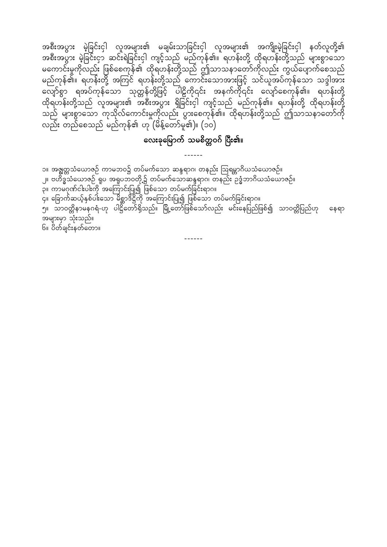အစီးအပွား မဲ့ခြင်းငှါ လူအများ၏ မချမ်းသာခြင်းငှါ လူအများ၏ အကျိုးမဲ့ခြင်းငှါ နတ်လူတို့၏ ့ သိုးသည်။ မိုးသည် အင်းရေခြင်းငှါ ကျင့်သည် မည်ကုန်၏။ ရဟန်းတို့ ထိုရဟန်းတို့သည် များစွာသော မကောင်းမှုကိုလည်း ဖြစ်စေကုန်၏ ထိုရဟန်းတို့သည် ဤသာသနာတော်ကိုလည်း ကွယ်ပျောက်စေသည် မည်ကုန်၏။ ရဟန်းတို့ အကြင် ရဟန်းတို့သည် ကောင်းသောအားဖြင့် သင်ယူအပ်ကုန်သော သဒ္ဒါအား လျော်စွာ ရအပ်ကုန်သော သုတ္တန်တို့ဖြင့် ပါဠိကို၎င်း အနက်ကို၎င်း လျော်စေကုန်၏။ ရဟန်းတို့ ထိုရဟန်းတို့သည် လူအများ၏ အစီးအပွား ရှိခြင်းငှါ ကျင့်သည် မည်ကုန်၏။ ရဟန်းတို့ ထိုရဟန်းတို့ သည် များစွာသော ကုသိုလ်ကောင်းမှုကိုလည်း ပွားစေကုန်၏။ ထိုရဟန်းတို့သည် ဤသာသနာတော်ကို လည်း တည်စေသည် မည်ကုန်၏ ဟု (မိန့်တော်မူ၏)။ (၁၀)

#### လေးခုမြောက် သမစိတ္တဝဂ် ပြီး၏။

၁။ အဇ္ဈတ္တသံယောဇဉ် ကာမဘဝ၌ တပ်မက်သော ဆန္ဒရာဂ၊ တနည်း ဩရမ္ဘာဂိယသံယောဇဉ်။ ္သူ ဗဟိဒ္ဓသံယောဇဉ် ရူပ အရူပဘဝတို့၌ တပ်မက်သောဆန္ဒရာဂ၊ တနည်း ဉဒ္ဓံဘာဂိယသံယောဇဉ်။<br>၃။ ကာမဂုဏ်ငါးပါးကို အကြောင်းပြု၍ ဖြစ်သော တပ်မက်ခြင်းရာဂ။ .<br>၄။ ခြောက်ဆယ့်နှစ်ပါးသော မိစ္ဆာဒိဋ္ဌိကို အကြောင်းပြု၍ ဖြစ်သော တပ်မက်ခြင်းရာဂ။ ှ<br>၅။ သာဝတ္တိနာမနဂရံ-ဟု ပါဋ္ဌိတော်ရှိသည်။ မြို့တော်ဖြစ်သော်လည်း မင်းနေပြည်ဖြစ်၍ သာဝတ္တိပြည်ဟု နေရာ အများမှာ သုံးသည်။ ၆။ ပိတ်ချင်းနတ်တော။

 $- - - - - -$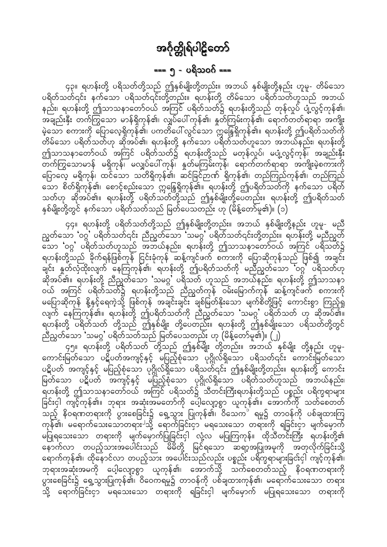### === ၅ - ပရိသဝဂ် ===

<span id="page-24-0"></span>၄၃။ ရဟန်းတို့ ပရိသတ်တို့သည် ဤနှစ်မျိုးတို့တည်း။ အဘယ် နှစ်မျိုးတို့နည်း ဟူမူ- တိမ်သော ပရိတ်သတ်၎င်း နက်သော ပရိသတ်၎င်းတို့တည်း။ ရဟန်းတို့ တိမ်သော ပရိတ်သတ်ဟူသည် အဘယ် နည်း၊ ရဟန်းတို့ ဤသာသနာတော်ဝယ် အကြင် ပရိတ်သတ်၌ ရဟန်းတို့သည် တုန်လှုပ် ပျံ့လွင့်ကုန်၏၊ .<br>အချည်းနှီး တက်ကြွသော မာန်ရှိကုန်၏၊ လျှပ်ပေါ် ကုန်၏၊ နှတ်ကြမ်းကုန်၏၊ ရောက်တတ်ရာရာ အကျိုး တိမ်သော ပရိတ်သတ်ဟု ဆိုအပ်၏၊ ရဟန်းတို့ နက်သော ပရိတ်သတ်ဟူသော အဘယ်နည်း၊ ရဟန်းတို့ ဤသာသနာတော်ဝယ် အကြင် ပရိတ်သတ်၌ ရဟန်းတို့သည် မတုန်လှုပ်၊ မပျံ့လွင့်ကုန်၊ အချည်းနှီး<br>တက်ကြွသောမာန် မရှိကုန်၊ မလျှပ်ပေါ်ကုန်၊ နှတ်မကြမ်းကုန်၊ ရောက်တက်ရာရာ အကျိုးမဲ့စကားကို ပြောလေ့ မရှိကုန်၊ ထင်သော သတိရှိကုန်၏၊ ဆင်ခြင်ဉာဏ် ရှိကုန်၏၊ တည်ကြည်ကုန်၏၊ တည်ကြည် ီသာ စိတ်ရှိကုန်၏၊ စောင့်စည်းသော ဣန္ဒြေရှိကုန်၏။ ရဟန်းတို့ ဤပရိတ်သတ်ကို နက်သော ပရိတ် သတ်ဟု ဆိုအပ်၏။ ရဟန်းတို့ ပရိတ်သတ်တို့သည် ဤနှစ်မျိုးတို့ပေတည်း။ ရဟန်းတို့ ဤပရိတ်သတ် နှစ်မျိုးတို့တွင် နက်သော ပရိတ်သတ်သည် မြတ်ပေသတည်း ဟု (မိန့်တော်မူ၏)။ (၁)

၄၄။ ရဟန်းတို့ ပရိတ်သတ်တို့သည် ဤနှစ်မျိုးတို့တည်း။ အဘယ် နှစ်မျိုးတို့နည်း ဟူမူ- မညီ ညွတ်သော 'ဝဂ္ဂ' ပရိတ်သတ်၎င်း ညီညွတ်သော 'သမဂ္ဂ' ပရိတ်သတ်၎င်းတို့တည်း။ ရဟန်းတို့ မညီညွတ် ဆော 'ဝဂ္ဂ' ပရိတ်သတ်ဟူသည် အဘယ်နည်း၊ ရဟန်းတို့ ဤသာသနာတော်ဝယ် အကြင် ပရိသတ်၌ ရဟန်းတို့သည် ခိုက်ရန်ဖြစ်ကုန် ငြင်းခုံကုန် ဆန့်ကျင်ဖက် စကားကို ပြောဆိုကုန်သည် ဖြစ်၍ အချင်း ချင်း နှတ်လှံထိုးလျက် နေကြကုန်၏၊ ရဟန်းတို့ ဤပရိတ်သတ်ကို မညီညွတ်သော ဝဂ္ဂ ပရိသတ်ဟု ဆိုအပ်၏။ ရဟန်းတို့ ညီညွတ်သော 'သမဂ္ဂ' ပရိသတ် ဟူသည် အဘယ်နည်း၊ ရဟန်းတို့ ဤသာသနာ ဝယ် အကြင် ပရိတ်သတ်၌ ရဟန်းတို့သည် ညီညွတ်ကုန် ဝမ်းမြောက်ကုန် ဆန့်ကျင်ဖက် စကားကို မပြောဆိုကုန် နို့နှင့်ရေကဲ့သို့ ဖြစ်ကုန် အချင်းချင်း ချစ်မြတ်နိုးသော မျက်စိတ်ို့ဖြင့် ကောင်းစွာ ကြည့်ရှု<br>လျက် နေကြကုန်၏။ ရဟန်းတို့ ဤပရိတ်သတ်ကို ညီညွတ်သော 'သမဂ္ဂ' ပရိတ်သတ် ဟု ဆိုအပ်၏။ ရဟန်းတို့ ပရိတ်သတ် တို့သည် ဤနှစ်မျိုး တို့ပေတည်း။ ရဟန်းတို့ ဤနှစ်မျိုးသော ပရိသတ်တို့တွင် ညီညွတ်သော 'သမဂ္ဂ' ပရိတ်သတ်သည် မြတ်ပေသတည်း ဟု (မိန့်တော်မူ၏)။ (၂)

၄၅။ ရဟန်းတို့ ပရိတ်သတ် တို့သည် ဤနှစ်မျိုး တို့တည်း။ အဘယ် နှစ်မျိုး တို့နည်း ဟူမူ-ကောင်းမြတ်သော ပဋိပတ်အကျင့်နှင့် မပြည့်စုံသော ပုဂ္ဂိုလ်ရှိသော ပရိသတ်၎င်း ကောင်းမြတ်သော ပဋိပတ် အကျင့်နှင့် မပြည့်စုံသော ပုဂ္ဂိုလ်ရှိသော ပရိသတ်၎င်း ဤနှစ်မျိုးတို့တည်း။ ရဟန်းတို့ ကောင်း ြ<br>မြတ်သော ပဋိပတ် အကျင့်နှင့် မပြည့်စုံသော ပုဂ္ဂိုလ်ရှိသော ပရိတ်သတ်ဟူသည် အဘယ်နည်း၊ ၂<br>ရဟန်းတို့ ဤသာသနာတော်ဝယ် အကြင် ပရိသတ်၌ သီတင်းကြီးရဟန်းတို့သည် ပစ္စည်း ပရိက္ခရာများ ခြင်းငှါ ကျင့်ကုန်၏။ ဘုရား အဆုံးအမတော်ကို ပေါ့လျော့စွာ ယူကုန်၏။ အောက်ကို သတ်စေတတ် ကုန်၏၊ မရောက်သေးသောတရား<sup>၂</sup>သို့ ရောက်ခြင်းငှာ မရသေးသော တရားကို ရခြင်းငှာ မျက်မှောက် မပြုရသေးသော တရားကို မျက်မှောက်ပြုခြင်းငှါ လုံ့လ မပြုကြကုန်။ ထိုသီတင်းကြီး ရဟန်းတို့၏ နောက်လာ တပည့်သားအပေါင်းသည် မိမိတို့ မြင်ရသော ဆရာ့အပြုအမူကို အတုလိုက်ခြင်းသို့ ရောက်ကုန်၏၊ ထိုနောင်လာ တပည့်သား အပေါင်းသည်လည်း ပစ္စည်း ပရိက္ခရာများခြင်းငှါ ကျင့်ကုန်၏၊ ဘုရားအဆုံးအမကို ပေါ့လျော့စွာ ယူကုန်၏၊ အောက်သို့ သက်စေတတ်သည့် နိဝရဏတရားကို ပွားစေခြင်း၌ ရှေ့သွားပြုကုန်၏၊ ဝိဝေကရမှု၌ တာဝန်ကို ပစ်ချထားကုန်၏၊ မရောက်သေးသော တရား သို့ ရောက်ခြင်းငှာ မရသေးသော တရားကို ရခြင်းငှါ မျက်မှောက် မပြုရသေးသော တရားကို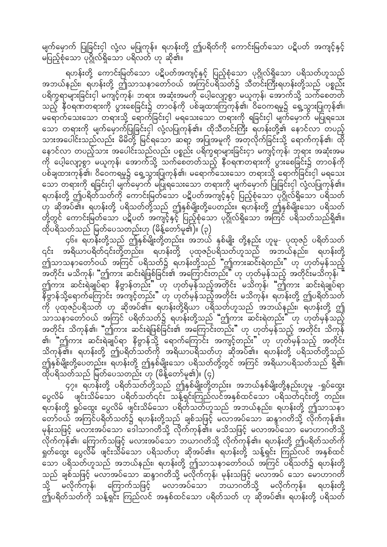မျက်မှောက် ပြုခြင်းငှါ လုံ့လ မပြုကုန်။ ရဟန်းတို့ ဤပရိတ်ကို ကောင်းမြတ်သော ပဋိပတ် အကျင့်နှင့် .<br>မပြည့်စုံသော ပုဂ္ဂိုလ်ရှိသော ပရိလတ် ဟု ဆို၏။

ရဟန်းတို့ ကောင်းမြတ်သော ပဋိပတ်အကျင့်နှင့် ပြည့်စုံသော ပုဂ္ဂိုလ်ရှိသော ပရိသတ်ဟူသည် အဘယ်နည်း၊ ရဟန်းတို့ ဤသာသနာတော်ဝယ် အကြင်ပရိသတ်၌ သီတင်းကြီးရဟန်းတို့သည် ပစ္စည်း ပရိက္ခရာများခြင်းငှါ မကျင့်ကုန်၊ ဘရား အဆုံးအမကို ပေ့ါလျော့စွာ မယူကုန်၊ အောက်သို့ သက်စေတတ် သည့် နီဝရဏတရားကို ပွားစေခြင်း၌ တာဝန်ကို ပစ်ချထားကြကုန်၏၊ ဝိဝေကရမူ၌ ရှေ့သွားပြုကုန်၏၊ မရောက်သေးသော တရားသို့ ရောက်ခြင်းငှါ မရသေးသော တရားကို ရခြင်းငှါ မျက်မှောက် မပြုရသေး သော တရားကို မျက်မှောက်ပြုခြင်းငှါ လုံ့လပြုကုန်၏။ ထိုသီတင်းကြီး ရဟန်းတို့၏ နောင်လာ တပည့် သားအပေါင်းသည်လည်း မိမိတို့ မြင်ရသော ဆရာ့ အပြုအမူကို အတုလိုက်ခြင်းသို့ ရောက်ကုန်၏၊ ထို နောင်လာ တပည့်သား အပေါင်းသည်လည်း ပစ္စည်း ပရိက္ခရာများခြင်းငှာ မကျင့်ကုန်၊ ဘုရား အဆုံးအမ ကို ပေါ့လျော့စွာ မယူကုန်၊ အောက်သို့ သက်စေတတ်သည့် နီဝရဏတရားကို ပွားစေခြင်း၌ တာဝန်ကို ပစ်ချထားကုန်၏၊ ဝိဝေကရမူ၌ ရှေ့သွားပြုကုန်၏၊ မရောက်သေးသော တရားသို့ ရောက်ခြင်းငှါ မရသေး သော တရားကို ရခြင်းငှါ မျက်မှောက် မပြုရသေးသော တရားကို မျက်မှောက် ပြုခြင်းငှါ လုံ့လပြုကုန်၏။ ရဟန်းတို့ ဤပရိတ်သတ်ကို ကောင်းမြတ်သော ပဋိပတ်အကျင့်နှင့် ပြည့်စုံသော ပုဂ္ဂိုလ်ရှိသော ပရိသတ် ဟု ဆိုအပ်၏။ ရဟန်းတို့ ပရိသတ်တို့သည် ဤနှစ်မျိုးတို့ပေတည်း။ ရဟန်းတို့ ဤနှစ်မျိုးသော ပရိသတ် တို့တွင် ကောင်းမြတ်သော ပဋိပတ် အကျင့်နှင့် ပြည့်စုံသော ပုဂ္ဂိုလ်ရှိသော အကြင် ပရိသတ်သည်ရှိ၏။ ထိုပရိသတ်သည် မြတ်ပေသတည်းဟု (မိန့်တော်မူ၏)။ (၃)

၄၆။ ရဟန်းတို့သည် ဤနှစ်မျိုးတို့တည်း။ အဘယ် နှစ်မျိုး တို့နည်း ဟူမှု- ပုထုဇဉ် ပရိတ်သတ် ၎င်း အရိယာပရိတ်၎င်းတို့တည်း။ ရဟန်းတို့ ပုထုဇဉ်ပရိသတ်ဟူသည် အဘယ်နည်း၊ ရဟန်းတို့ .<br>ဤသာသနာတော်ဝယ် အကြင် ပရိသတ်၌ ရဟန်းတို့သည် "ဤကားဆင်းရဲတည်း" ဟု ဟုတ်မှန်သည့် —<br>အတိုင်း မသိကုန်၊ "ဤကား ဆင်းရဲဖြစ်ခြင်း၏ အကြောင်းတည်း" ဟု ဟုတ်မှန်သည့် အတိုင်းမသိကုန်၊ ာသည်။ ၁၁၁ ရက် ၁၁၁ ရက် ၁၁၁၁ ရက်<br>(၂) အင်းရဲချုပ်ရာ နိဗ္ဗာန်တည်း ဟု ဟုတ်မှန်သည့်အတိုင်း မသိကုန်၊ ဤကား ဆင်းရဲချုပ်ရာ ုပ္ပံု<br>ကို ပုထုဇဉ်ပရိသတ် ဟု ဆိုအပ်၏။ ရဟန်းတို့ရိယာ ပရိသတ်ဟူသည် အဘယ်နည်း၊ ရဟန်းတို့ ဤ အတိုင်း သိကုန်၏၊ "ဤကား ဆင်းရဲဖြစ်ခြင်း၏ အကြောင်းတည်း" ဟု ဟုတ်မှန်သည့် အတိုင်း သိကုန် ၏၊ "ဤကား ဆင်းရဲချုပ်ရာ နိဗ္ဗာန်သို့ ရောက်ကြောင်း အကျင့်တည်း" ဟု ဟုတ်မှန်သည့် အတိုင်း သိကုန်၏။ ရဟန်းတို့ ဤပရိတ်သတ်ကို အရိယာပရိသတ်ဟု ဆိုအပ်၏။ ရဟန်းတို့ ပရိသတ်တို့သည် ဤနှစ်မျိုးတို့ပေတည်း။ ရဟန်းတို့ ဤနှစ်မျိုးသော ပရိသတ်တို့တွင် အကြင် အရိယာပရိသတ်သည် ရှိ၏၊ ထိုပရိသတ်သည် မြတ်ပေသတည်း ဟု (မိန့်တော်မူ၏)။ (၄)

၄၇။ ရဟန်းတို့ ပရိတ်သတ်တို့သည် ဤနှစ်မျိုးတို့တည်း။ အဘယ်နှစ်မျိုးတို့နည်းဟူမူ -ရှုပ်ထွေး ပွေလိမ် ဖျင်းသိမ်သော ပရိတ်သတ်၎င်း သန့်ရှင်းကြည်လင်အနှစ်ထင်သော ပရိသတ်၎င်းတို့ တည်း။ ရဟန်းတို့ ရှုပ်ထွေး ပွေလိမ် ဖျင်းသိမ်သော ပရိတ်သတ်ဟူသည် အဘယ်နည်း၊ ရဟန်းတို့ ဤသာသနာ တော်ဝယ် အကြင်ပရိတ်သတ်၌ ရဟန်းတို့သည် ချစ်သဖြင့် မလာအပ်သော ဆန္ဒာဂတိသို့ လိုက်ကုန်၏။ .<br>မုန်းသဖြင့် မလားအပ်သော ဒေါသာဂတိသို့ လိုက်ကုန်၏။ မသိသဖြင့် မလာအပ်သော မောဟာဂတိသို့ လိုက်ကုန်၏၊ ကြောက်သဖြင့် မလားအပ်သော ဘယာဂတိသို့ လိုက်ကုန်၏။ ရဟန်းတို့ ဤပရိတ်သတ်ကို ရှုတ်ထွေး ပွေလိမ် ဖျင်းသိမ်သော ပရိသတ်ဟု ဆိုအပ်၏။ ရဟန်းတို့ သန့်ရှင်း ကြည်လင် အနှစ်ထင် ာ<br>သော ပရိသတ်ဟူသည် အဘယ်နည်း၊ ရဟန်းတို့ ဤသာသနာတော်ဝယ် အကြင် ပရိသတ်၌ ရဟန်းတို့ သည် ချစ်သဖြင့် မလာအပ်သော ဆန္ဒာဂတိသို့ မလိုက်ကုန်၊ မုန်းသဖြင့် မလာအပ် သော မောဟာဂတိ မလိုက်ကုန်၊ ကြောက်သဖြင့် မလာအပ်သော ဘယာဂတိသို့ မလိုက်ကုန်။ သို့ ရဟန်းတို့ ဤပရိတ်သတ်ကို သန့်ရှင်း ကြည်လင် အနှစ်ထင်သော ပရိတ်သတ် ဟု ဆိုအပ်၏။ ရဟန်းတို့ ပရိသတ်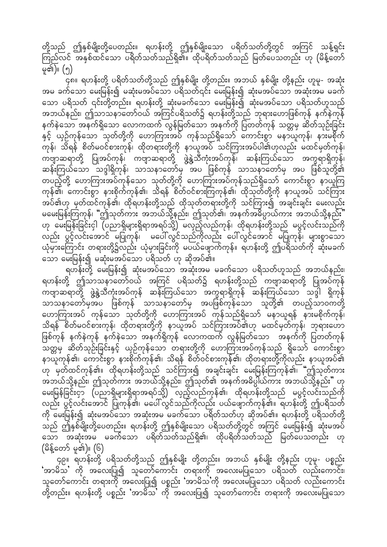တို့သည် ဤနှစ်မျိုးတို့ပေတည်း။ ရဟန်းတို့ ဤနှစ်မျိုးသော ပရိတ်သတ်တို့တွင် အကြင် သန့်ရှင်း ကြည်လင် အနှစ်ထင်သော ပရိတ်သတ်သည်ရှိ၏။ ထိုပရိတ်သတ်သည် မြတ်ပေသတည်း ဟု (မိန့်တော် မူ၏)။  $(\eta)$ 

. . .<br>၄၈။ ရဟန်းတို့ ပရိတ်သတ်တို့သည် ဤနှစ်မျိုး တို့တည်း။ အဘယ် နှစ်မျိုး တို့နည်း ဟူမူ- အဆုံး အမ ခက်သော မေးမြန်း၍ မဆုံးမအပ်သော ပရိသတ်၎င်း မေးမြန်း၍ ဆုံးမအပ်သော အဆုံးအမ မခက် သော ပရိသတ် ၎င်းတို့တည်း။ ရဟန်းတို့ ဆုံးမခက်သော မေးမြန်း၍ ဆုံးမအပ်သော ပရိသတ်ဟူသည် အဘယ်နည်း၊ ဤသာသနာတော်ဝယ် အကြင်ပရိသတ်၌ ရဟန်းတို့သည် ဘုရားဟောဖြစ်ကုန် နက်နဲကုန် နက်နဲသော အနက်ရှိသော လောကထက် လွန်မြတ်သော အနက်ကို ပြတတ်ကုန် သတ္တမှ ဆိတ်သုဉ်းခြင်း နှင့် ယှဉ်ကုန်သော သုတ်တို့ကို ဟောကြားအပ် ကုန်သည်ရှိသော် ကောင်းစွာ မနာယူကုန်၊ နားမစိုက် ာ<br>ကုန်၊ သိရန် စိတ်မဝင်စားကုန်၊ ထိုတရားတို့ကို နာယူအပ် သင်ကြားအပ်ပါ၏ဟုလည်း မထင်မှတ်ကုန်၊ ကဗျာဆရာတို့ ပြုအပ်ကုန်၊ ကဗျာဆရာတို့ ဖွဲ့နွဲ့သီကုံးအပ်ကုန်၊ ဆန်းကြယ်သော အက္ခရာရှိကုန်၊ ဆန်းကြယ်သော သဒ္ဒါရှိကုန်၊ သာသနာတော်မှ အပ ဖြစ်ကုန် သာသနာတော်မှ အပ ဖြစ်သူတို့၏ တပည့်တို့ ဟောကြားအပ်ကုန်သော သုတ်တို့ကို ဟောကြားအပ်ကုန်သည်ရှိသော် ကောင်းစွာ နာယူကြ ကုန်၏၊ ကောင်းစွာ နားစိုက်ကုန်၏၊ သိရန် စိတ်ဝင်စားကြကုန်၏၊ ထိုသုတ်တို့ကို နာယူအပ် သင်ကြား အပ်၏ဟု မှတ်ထင်ကုန်၏၊ ထိုရဟန်းတို့သည် ထိုသုတ်တ<sup>ြ</sup>ရားတို့ကို သင်ကြား၍ အချင်းချင်း မေးလည်း မမေးမြန်းကြကုန်၊ "ဤသုတ်ကား အဘယ်သို့နည်း၊ ဤသုတ်၏၊ အနက်အဓိပ္ပာယ်ကား အဘယ်သို့နည်း" ဟု မေးမြန်းခြင်းငှါ (ပညာရှိများရှိရာအရပ်သို့) မလှည့်လည်ကုန်၊ ထိုရဟန်းတို့သည် မပွင့်လင်းသည်ကို လည်း ပွင့်လင်းအောင် မပြုကုန်၊ မပေါ် လွင်သည်ကိုလည်း ပေါ်လွင်အောင် မပြုကုန်၊ များစွာသော ယုံမှားကြောင်း တရားတို့၌လည်း ယုံမှားခြင်းကို မပယ်ဖျောက်ကုန်။ ရဟန်းတို့ ဤပရိသတ်ကို ဆုံးမခက် သော မေးမြန်း၍ မဆုံးမအပ်သော ပရိသတ် ဟု ဆိုအပ်၏။

ရဟန်းတို့ မေးမြန်း၍ ဆုံးမအပ်သော အဆုံးအမ မခက်သော ပရိသတ်ဟူသည် အဘယ်နည်း၊ ရဟန်းတို့ ဤသာသနာတော်ဝယ် အကြင် ပရိသတ်၌ ရဟန်းတို့သည် ကဗျာဆရာတို့ ပြုအပ်ကုန် ကဗျာဆရာတို့ ဖွဲ့နွဲ့သီကုံးအပ်ကုန် ဆန်းကြယ်သော အက္ခရာရှိကုန် ဆန်းကြယ်သော သဒ္ဒါ ရှိကုန် သာသနာတော်မှအပ ဖြစ်ကုန် သာသနာတော်မှ အပဖြစ်ကုန်သော သူတို့၏ တပည့်သာဝကတို့ ကောကြားအပ် ကုန်သော သုတ်တို့ကို ဟောကြားအပ် ကုန်သည်ရှိသော် မနာယူရန် နားမစိုက်ကုန်၊ သိရန် စိတ်မဝင်စားကုန်၊ ထိုတရားတို့ကို နာယူအပ် သင်ကြားအပ်၏ဟု မထင်မှတ်ကုန်၊ ဘုရားဟော ဖြစ်ကုန် နက်နဲကုန် နက်နဲသော အနက်ရှိကုန် လောကထက် လွန်မြတ်သော အနက်ကို ပြတတ်ကုန် owårS qdwfokOf;jcif;ESifh ,SOfukefaom w&m;wdkYudk a[mMum;tyfukefonf &Sdaomf aumif;pGm နာယူကုန်၏၊ ကောင်းစွာ နားစိုက်ကုန်၏၊ သိရန် စိတ်ဝင်စားကုန်၏၊ ထိုတရားတို့ကိုလည်း နာယူအပ်၏ .<br>ဟု မှတ်ထင်ကုန်၏။ ထိုရဟန်းတို့သည် သင်ကြား၍ အချင်းချင်း မေးမြန်းကြကုန်၏၊ "ဤသုတ်ကား အဘယ်သို့နည်း၊ ဤသုတ်ကား အဘယ်သို့နည်း၊ ဤသုတ်၏ အနက်အဓိပ္ပါယ်ကား အဘယ်သို့နည်း" ဟု မေးမြန်ခြင်းငှာ (ပညာရှိများရှိရာအရပ်သို့) လှည့်လည်ကုန်၏၊ ထိုရဟန်းတို့သည် မပွင့်လင်းသည်ကို လည်း ပွင့်လင်းအောင် ပြုကုန်၏၊ မပေါ်လွင်သည်ကိုလည်း ပယ်ဖျောက်ကုန်၏။ ရဟန်းတို့ ဤပရိသတ် ကို မေးမြန်း၍ ဆုံးမအပ်သော အဆုံးအမ မခက်သော ပရိတ်သတ်ဟု ဆိုအပ်၏။ ရဟန်းတို့ ပရိသတ်တို့ သည် ဤနှစ်မျိုးတို့ပေတည်း။ ရဟန်းတို့ ဤနှစ်မျိုးသော ပရိသတ်တို့တွင် အကြင် မေးမြန်း၍ ဆုံးမအပ် ောင်း မြောက်ရောက် အသော အမြစ်သည်။ အမြစ်သည် အသော အသုံး ဟု<br>အောက် အဆုံးအမှ မခက်သော ပရိတ်သတ်သည်ရှိ၏၊ ထိုပရိတ်သတ်သည် မြတ်ပေသတည်း ဟု  $($ မိန့်တော် မူ၏)။  $(6)$ 

,<br>၄၉။ ရဟန်းတို့ ပရိသတ်တို့သည် ဤနှစ်မျိုး တို့တည်း။ အဘယ် နှစ်မျိုး တို့နည်း ဟူမှ- ပစ္စည်း  $\sim$  (ပ် ) ပြသလားပြု၍ သူတော်ကောင်း တရားကို အလေးမပြုသော ပရိသတ် လည်းကောင်း၊ သူတော်ကောင်း တရားကို အလေးပြု၍ ပစ္စည်း 'အာမိသ'ကို အလေးမပြုသော ပရိသတ် လည်းကောင်း တို့တည်း။ ရဟန်းတို့ ပစ္စည်း 'အာမိသ' ကို အလေးပြု၍ သူတော်ကောင်း တရားကို အလေးမပြုသော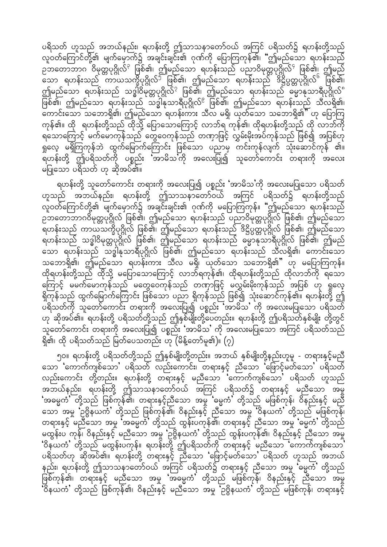ပရိသတ် ဟူသည် အဘယ်နည်း၊ ရဟန်းတို့ ဤသာသနာတော်ဝယ် အကြင် ပရိသတ်၌ ရဟန်းတို့သည် လူဝတ်ကြောင်တို့၏ မျက်မှောက်၌ အချင်းချင်း၏ ဂုဏ်ကို ပြောကြကုန်၏၊ "ဤမည်သော ရဟန်းသည် ည်္ဘာတော်ဘာဂ<sup>်</sup>ဝိမုတ္တပုဂ္ဂိုလ်<sup>၃</sup> ဖြစ်၏၊ ဤမည်သော ရဟန်းသည် ပညာဝိမုတ္တပုဂ္ဂိုလ်<sup>၄</sup> ဖြစ်၏၊ ဤမည် –<br>သော ရဟန်းသည် ကာယသက္ခိပုဂ္ဂိုလ်<sup>၁ </sup>ဖြစ်၏၊ ဤမည်သော ရဟန်းသည် ဒိဋ္ဌိပ္ပတ္တပုဂ္ဂိုလ်် ဖြစ်၏၊ ဤမည်သော ရဟန်းသည် သဒ္ဓါဝိမုတ္တပုဂ္ဂိုလ်<sup>?</sup> ဖြစ်၏၊ ဤမည်သော ရဟန်းသည် ဓမ္မာနုသာရီပုဂ္ဂိုလ်ံ ဖြစ်၏၊ ဤမည်သော ရဟန်းသည် သဒ္ဓါနုသာရီပုဂ္ဂိုလ်<sup>ဧ</sup> ဖြစ်၏၊ ဤမည်သော ရဟန်းသည် သီလရှိ၏၊ aumif;aom oabm&Sd\? þrnfaom &[ef;um; oDv r&Sd? ,kwfaom oabm&Sd\}} [k ajymMu ကုန်၏။ ထို ရဟန်းတို့သည် ထိုသို့ ပြောသောကြောင့် လာဘ်ရ ကုန်၏၊ ထိုရဟန်းတို့သည် ထို လာဘ်ကို ရသောကြောင့် မက်မောကုန်သည် တွေဝေကုန်သည် တဏှာဖြင့် လွှမ်းမိုးအပ်ကုန်သည် ဖြစ်၍ အပြစ်ဟု ရှုလေ့ မရှိကြကုန်ဘဲ ထွက်မြောက်ကြောင်း ဖြစ်သော ပညာမှ ကင်းကုန်လျက် သုံးဆောင်ကုန် ၏။ ရဟန်းတို့ ဤပရိသတ်ကို ပစ္စည်း အာမိသကို အလေးပြု၍ သူတော်ကောင်း တရားကို အလေး မပြုသော ပရိသတ် ဟု ဆိုအပ်၏။

ရဟန်းတို့ သူတော်ကောင်း တရားကို အလေးပြု၍ ပစ္စည်း 'အာမိသ'ကို အလေးမပြုသော ပရိသတ် ဟူသည် အဘယ်နည်း၊ ရဟန်းတို့ ဤသာသနာတော်ဝယ် အကြင် ပရိသတ်၌ ရဟန်းတို့သည် လူဝတ်ကြောင်တို့၏ မျက်မှောက်၌ အချင်းချင်း၏ ဂုဏ်ကို မပြောကြကုန်။ "ဤမည်သော ရဟန်းသည် ည်တောဘာဂဝိမုတ္တပုဂ္ဂိုလ် ဖြစ်၏၊ ဤမည်သော ရဟန်းသည် ပညာဝိမုတ္တပုဂ္ဂိုလ် ဖြစ်၏၊ ဤမည်သော \_<br>ရဟန်းသည် ကာယသက္ခိပုဂ္ဂိုလ် ဖြစ်၏၊ ဤမည်သော ရဟန်းသည် ဒိဋ္ဌိပ္ပတ္တပုဂ္ဂိုလ် ဖြစ်၏၊ ဤမည်သော ရဟန်းသည် သဒ္ဓါဝိမုတ္တပုဂ္ဂိုလ် ဖြစ်၏၊ ဤမည်သော ရဟန်းသည် ဓမ္မာနုသာရီပုဂ္ဂိုလ် ဖြစ်၏၊ ဤမည် သော ရဟန်းသည် သဒ္ဓါနုသာရီပုဂ္ဂိုလ် ဖြစ်၏၊ ဤမည်သော ရဟန်းသည် သီလရှိ၏၊ ကောင်းသော သဘောရှိ၏၊ ဤမည်သော ရဟန်းကား သီလ မရှိ၊ ယုတ်သော သဘောရှိ၏" ဟု မပြောကြကုန်။ ထိုရဟန်းတို့သည် ထိုသို့ မပြောသောကြောင့် လာဘ်ရကုန်၏၊ ထိုရဟန်းတို့သည် ထိုလာဘ်ကို ရသော ကြောင့် မမက်မောကုန်သည် မတွေဝေကုန်သည် တဏှာဖြင့် မလွှမ်းမိုးကုန်သည် အပြစ် ဟု ရှုလေ့ ရှိကုန်သည် ထွက်မြောက်ကြောင်း ဖြစ်သော ပညာ ရှိကုန်သည် ဖြစ်၍ သုံးဆောင်ကုန်၏။ ရဟန်းတို့ ဤ ပရိသတ်ကို သူတော်ကောင်း တရားကို အလေးပြု၍ ပစ္စည်း**ံ**အာမိသ**'** ကို အလေးမပြုသော ပရိသတ် ဟု ဆိုအပ်၏။ ရဟန်းတို့ ပရိသတ်တို့သည် ဤနှစ်မျိုးတို့ပေတည်း။ ရဟန်းတို့ ဤပရိသတ်နှစ်မျိုး တို့တွင် ာ် တော်ကောင်း တရားကို အလေးပြု၍ ပစ္စည်း 'အာမိသ' ကို အလေးမပြုသော အကြင် ပရိသတ်သည်<br>သူတော်ကောင်း တရားကို အလေးပြု၍ ပစ္စည်း 'အာမိသ' ကို အလေးမပြုသော အကြင် ပရိသတ်သည် ရှိ၏၊ ထို ပရိသတ်သည် မြတ်ပေသတည်း ဟု (မိန့်တော်မူ၏)။  $(\rm _2)$ 

၅၀။ ရဟန်းတို့ ပရိသတ်တို့သည် ဤနှစ်မျိုးတို့တည်း။ အဘယ် နှစ်မျိုးတို့နည်းဟူမူ - တရားနှင့်မညီ သော 'ကောက်ကျစ်သော' ပရိသတ် လည်းကောင်း၊ တရားနှင့် ညီသော 'ဖြောင့်မတ်သော' ပရိသတ် လည်းကောင်း တို့တည်း။ ရဟန်းတို့ တရားနှင့် မညီသော 'ကောက်ကျစ်သော' ပရိသတ် ဟူသည် အဘယ်နည်း၊ ရဟန်းတို့ ဤသာသနာတော်ဝယ် အကြင် ပရိသတ်၌ တရားနှင့် မညီသော အမှု ်အဓမ္မကံ တို့သည် ဖြစ်ကုန်၏၊ တရားနှင့်ညီသော အမှု 'ဓမ္မကံ တို့သည် မဖြစ်ကုန်၊ ဝိနည်းနှင့် မညီ ဆော အမှု 'ဥဗ္ဗိနယကီ' တို့သည် ဖြစ်ကုန်၏၊ ဝိနည်းနှင့် ညီသော အမှု 'ဝိနယကံ' တို့သည် မဖြစ်ကုန်၊ တရားနှင့် မညီသော အမှု 'အဓမ္မကႆ' တို့သည် ထွန်းပကုန်၏၊ တရားနှင့် ညီသော အမှု 'ဓမ္မကႆ' တို့သည် မထွန်းပ ကုန်၊ ဝိနည်းနှင့် မညီသော အမှု 'ဉဗ္ဗိနယကံ' တို့သည် ထွန်းပကုန်၏၊ ဝိနည်းနှင့် ညီသော အမှု .<br>ဗိနယင်္က တို့သည် မထွန်းပကုန်။ ရဟန်းတို့ ဤပရိသတ်ကို တရားနှင့် မညီသော 'ကောက်ကျစ်သော' ပရိသတ်ဟု ဆိုအပ်၏။ ရဟန်းတို့ တရားနှင့် ညီသော 'ဖြောင့်မတ်သော' ပရိသတ် ဟူသည် အဘယ် နည်း၊ ရဟန်းတို့ ဤသာသနာတော်ဝယ် အကြင် ပရိသတ်၌ တရားနှင့် ညီသော အမှု 'မွေကဲ' တို့သည် ှင့်<br>ဖြစ်ကုန်၏၊ တရားနှင့် မညီသော အမှု 'အဓမ္မကံ' တို့သည် မဖြစ်ကုန်၊ ဝိနည်းနှင့် ညီသော အမှု )<br>'ဝိနယကံ' တို့သည် ဖြစ်ကုန်၏၊ ဝိနည်းနှင့် မညီသော အမှု 'ဉဗ္ဗိနယကံ' တို့သည် မဖြစ်ကုန်၊ တရားနှင့်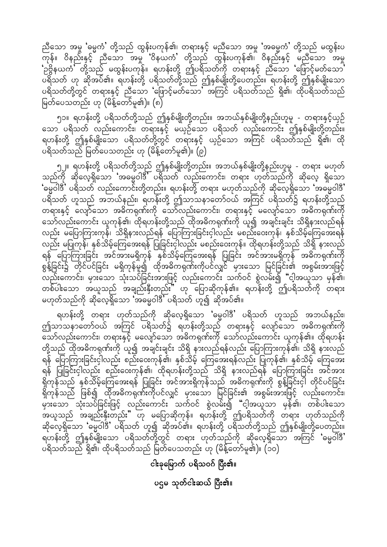ညီသော အမှု 'ဓမ္မကံ' တို့သည် ထွန်းပကုန်၏၊ တရားနှင့် မညီသော အမှု 'အဓမ္မကံ' တို့သည် မထွန်းပ 'ဉဗ္ဗိနယကႆ' တို့သည် မထွန်းပကုန်။ ရဟန်းတို့ ဤပရိသတ်ကို တရားနှင့် ညီသော 'ဖြောင့်မတ်သော' ပရိသတ် ဟု ဆိုအပ်၏။ ရဟန်းတို့ ပရိသတ်တို့သည် ဤနှစ်မျိုးတို့ပေတည်း။ ရဟန်းတို့ ဤနှစ်မျိုးသော<br>ပရိသတ်တို့တွင် တရားနှင့် ညီသော 'ဖြောင့်မတ်သော' အကြင် ပရိသတ်သည် ရှိ၏၊ ထိုပရိသတ်သည် မြတ်ပေသတည်း ဟု (မိန့်တော်မူ၏)။  $\overline{\mathfrak{g}}$ 

၅၁။ ရဟန်းတို့ ပရိသတ်တို့သည် ဤနှစ်မျိုးတို့တည်း။ အဘယ်နှစ်မျိုးတို့နည်းဟူမူ - တရားနှင့်ယှဉ် သော ပရိသတ် လည်းကောင်း၊ တရားနှင့် မယှဉ်သော ပရိသတ် လည်းကောင်း ဤနှစ်မျိုးတို့တည်း။ ရဟန်းတို့ ဤနှစ်မျိုးသော ပရိသတ်တို့တွင် တရားနှင့် ယှဉ်သော အကြင် ပရိသတ်သည် ရှိ၏၊ ထို ပရိသတ်သည် မြတ်ပေသတည်း ဟု (မိန့်တော်မူ၏)။ (၉)

၅၂။ ရဟန်းတို့ ပရိသတ်တို့သည် ဤနှစ်မျိုးတို့တည်း။ အဘယ်နှစ်မျိုးတို့နည်းဟူမူ - တရား မဟုတ် သည်ကို ဆိုလေ့ရှိသော 'အဓမ္မဝါဒီ' ပရိသတ် လည်းကောင်း၊ တရား ဟုတ်သည်ကို ဆိုလေ့ ရှိသော ်ဓမ္မဝါဒီ ပရိသတ် လည်းကောင်းတို့တည်း။ ရဟန်းတို့ တရား မဟုတ်သည်ကို ဆိုလေ့ရှိသော 'အဓမ္မဝါဒီ' ပရိသတ် ဟူသည် အဘယ်နည်း၊ ရဟန်းတို့ ဤသာသနာတော်ဝယ် အကြင် ပရိသတ်၌ ရဟန်းတို့သည် တရားနှင့် လျှော်သော အဓိကရုဏ်းကို သော်လည်းကောင်း၊ တရားနှင့် မလျော်သော အဓိကရုဏ်းကို သော်လည်းကောင်း ယူကုန်၏၊ ထိုရဟန်းတို့သည် ထိုအဓိကရုဏ်းကို ယူ၍ အချင်းချင်း သိရှိနားလည်ရန် လည်း မပြောကြားကုန်၊ သိရှိနားလည်ရန် ပြောကြားခြင်းငှါလည်း မစည်းဝေးကုန်၊ နှစ်သိမ့်ကြေအေးရန် လည်း မပြုကုန်၊ နှစ်သိမ့်ကြေအေးရန် ပြုခြင်းငှါလည်း မစည်းဝေးကုန်။ ထိုရဟန်းတို့သည် သိရှိ နားလည် ရန် ပြောကြားခြင်း အင်အားမရှိကုန် နှစ်သိမ့်ကြေအေးရန် ပြုခြင်း အင်အားမရှိကုန် အဓိကရုဏ်းကို စွန့်ခြင်း၌ တိုင်ပင်ခြင်း မရှိကုန်မှု၍ ထိုအဓိကရုဏ်းကိုပင်လျှင် မှားသော မြင်ခြင်း၏ အစွမ်းအားဖြင့် ပြီး မြို့<br>လည်းကောင်း၊ မှားသော သုံးသပ်ခြင်းအားဖြင့် လည်းကောင်း သက်ဝင် စွဲလမ်း၍ "ငါ့အယူသာ မှန်၏၊ တစ်ပါးသော အယူသည် အချည်းနှီးတည်း" ဟု ပြောဆိုကုန်၏။ ရဟန်းတို့ ဤပရိသတ်ကို တရား မဟုတ်သည်ကို ဆိုလေ့ရှိသော 'အဓမ္မဝါဒီ' ပရိသတ် ဟူ၍ ဆိုအပ်၏။

ရဟန်းတို့ တရား ဟုတ်သည်ကို ဆိုလေ့ရှိသော 'ဓမ္မဝါဒီ' ပရိသတ် ဟူသည် အဘယ်နည်း၊ ဤသာသနာတော်ဝယ် အကြင် ပရိသတ်၌ ရဟန်းတို့သည် တရားနှင့် လျော်သော အဓိကရုဏ်းကို သော်လည်းကောင်း၊ တရားနှင့် မလျော်သော အဓိကရုဏ်းကို သော်လည်းကောင်း ယူကုန်၏။ ထိုရဟန်း တို့သည် ထိုအဓိကရုဏ်းကို ယူ၍ အချင်းချင်း သိရှိ နားလည်ရန်လည်း ပြောကြားကုန်၏၊ သိရှိ နားလည် ရန် ပြောကြားခြင်းငှါလည်း စည်းဝေးကုန်၏၊ နှစ်သိမ့် ကြေအေးရန်လည်း ပြုကုန်၏၊ နှစ်သိမ့် ကြေအေး ရန် ပြုခြင်းငှါလည်း စည်းဝေးကုန်၏၊ ထိုရဟန်းတို့သည် သိရှိ နားလည်ရန် ပြောကြားခြင်း အင်အား ရှိကုန်သည် နှစ်သိမ့်ကြေအေးရန် ပြုခြင်း အင်အားရှိကုန်သည် အဓိကရုဏ်းကို စွန့်ခြင်းငှါ တိုင်ပင်ခြင်း ရှိကုန်သည် ဖြစ်၍ ထိုအဓိကရုဏ်းကိုပင်လျှင် မှားသော မြင်ခြင်း၏ အစွမ်းအားဖြင့် လည်းကောင်း၊ မြားသော သုံးသပ်ခြင်းဖြင့် လည်းကောင်း သက်ဝင် စွဲလမ်း၍ "ငါ့အယူသာ မှန်၏၊ တစ်ပါးသော အယူသည် အချည်းနှီးတည်း" ဟု မပြောဆိုကုန်။ ရဟန်းတို့ ဤပရိသတ်ကို တရား ဟုတ်သည်ကို ဆိုလေ့ရှိသော 'ဓမ္မဝါဒီ' ပရိသတ် ဟူ၍ ဆိုအပ်၏။ ရဟန်းတို့ ပရိသတ်တို့သည် ဤနှစ်မျိုးတို့ပေတည်း။ ရဟန်းတို့ ဤနှစ်မျိုးသော ပရိသတ်တို့တွင် တရား ဟုတ်သည်ကို ဆိုလေ့ရှိသော အကြင် 'ဓမ္မဝါ်ဒီ' ပရိသတ်သည် ရှိ၏၊ ထိုပရိသတ်သည် မြတ်ပေသတည်း ဟု (မိန့်တော်မူ၏)။ (၁၀)

ငါးခုမြောက် ပရိသဝဂ် ပြီး၏။

ပဌမ သုတ်ငါးဆယ် ပြီး၏။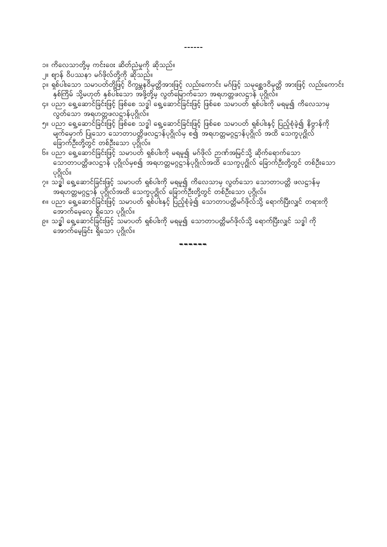- ၁။ ကိလေသာတို့မှ ကင်းဝေး ဆိတ်ညံမှုကို ဆိုသည်။
- ္။၊ ဈာန် ဝိပဿနာ မဂ်ဖိုလ်တို့ကို ဆိုသည်။
- ာ<br>၃။ ရှစ်ပါးသော သမာပတ်တို့ဖြင့် ဝိက္ခမ္ဘနဝိမုတ္တိအားဖြင့် လည်းကောင်း မဂ်ဖြင့် သမုစ္ဆေဒဝိမုတ္တိ အားဖြင့် လည်းကောင်း ျ<br>နှစ်ကြိမ် သို့မဟုတ် နှစ်ပါးသော အဖို့တို့မှ လွတ်မြောက်သော အရဟတ္တဖလဋ္ဌာန် ပုဂ္ဂိုလ်။

------

- ၄။ ပညာ ရှေ့ဆောင်ခြင်းဖြင့် ဖြစ်စေ သဒ္ဓါ ရှေ့ဆောင်ခြင်းဖြင့် ဖြစ်စေ သမာပတ် ရှစ်ပါးကို မရမူ၍ ကိလေသာမှ ထွတ်သော အရဟတ္တဖလဋ္ဌာန်ပုဂ္ဂိုလ်။
- ၅။ ပညာ ရှေ့ဆောင်ခြင်းဖြင့် ဖြစ်စေ သဒ္ဓါ ရှေ့ဆောင်ခြင်းဖြင့် ဖြစ်စေ သမာပတ် ရှစ်ပါးနှင့် ပြည့်စုံခဲ့၍ နိဗ္ဗာန်ကို မျက်မှောက် ပြုသော သောတာပတ္တိဖလဋ္ဌာန်ပုဂ္ဂိုလ်မှ စ၍ အရဟတ္တမဂ္ဂဋ္ဌာန်ပုဂ္ဂိုလ် အထိ သေက္ခပုဂ္ဂိုလ် ခြောက်ဦးတို့တွင် တစ်ဦးသော ပုဂ္ဂိုလ်။
- ၆။ ပညာ ရှေ့ဆောင်ခြင်းဖြင့် သမာပတ် ရှစ်ပါးကို မရမူ၍ မဂ်ဖိုလ် ဉာဏ်အမြင်သို့ ဆိုက်ရောက်သော ု<br>သောတာပတ္တိဖလဋ္ဌာန် ပုဂ္ဂိုလ်မှစ၍ အရဟတ္တမဂ္ဂဋ္ဌာန်ပုဂ္ဂိုလ်အထိ သေက္ခပုဂ္ဂိုလ် ခြောက်ဦးတို့တွင် တစ်ဦးသော ပုဂ္ဂိုလ်။
- ၇။ သဒ္ဓါ ရှေ့ဆောင်ခြင်းဖြင့် သမာပတ် ရှစ်ပါးကို မရမူ၍ ကိလေသာမှ လွတ်သော သောတာပတ္တိ ဖလဋ္ဌာန်မှ
- ၟၟၟၟၟၟၟၟၟၟၟၟၟၟၟၟၟၟၟၟၟၟၟၟၟၟၟ<br>အရဟတ္တမဂ္ဂဋာန် ပုဂ္ဂိုလ်အထိ သေက္ခပုဂ္ဂိုလ် ခြောက်ဦးတို့တွင် တစ်ဦးသော ပုဂ္ဂိုလ်။<br>၈။ ပညာ ရှေ့ဆောင်ခြင်းဖြင့် သမာ့ပတ် ရှစ်ပါးနှင့် ပြည့်စုံခဲ့၍ သောတာပတ္တိမဂ်ဖိုလ်သို့ ရောက်ပြီးလျှင် တရားကို
- ၉။ သဒ္ဓါ ရှေ့ဆောင်ခြင်းဖြင့် သမာပတ် ရှစ်ပါးကို မရမူ၍ သောတာပတ္တိမဂ်ဖိုလ်သို့ ရောက်ပြီးလျှင် သဒ္ဓါ ကို အောက်မေ့ခြင်း ရှိသော ပုဂ္ဂိုလ်။

. . . . . . .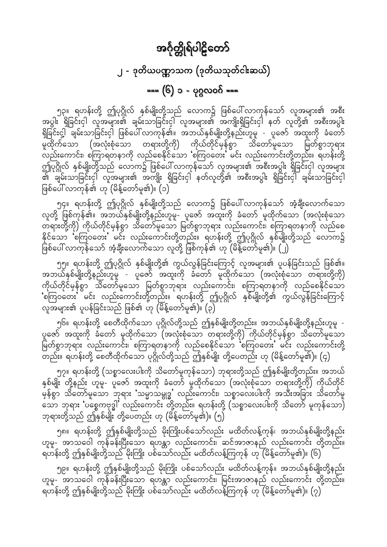# အင်္ဂုတ္တိုရ်ပါဠိတော် ၂ - ဒုတိယပဏ္ဏာသက (ဒုတိယသုတ်ငါးဆယ်) === (၆) ၁ - ပုဂ္ဂလဝဂ် ===

<span id="page-30-0"></span>၅၃။ ရဟန်းတို့ ဤပုဂ္ဂိုလ် နှစ်မျိုးတို့သည် လောက၌ ဖြစ်ပေါ် လာကုန်သော် လူအများ၏ အစီး အပွါး ရှိခြင်းငှါ လူအများ၏ ချမ်းသာခြင်းငှါ လူအများ၏ အကျိုးရှိခြင်းငှါ နတ် လူတို့၏ အစီးအပွါး ရှိခြင်းငှ့ါ် ချမ်းသာခြင်းငှါ ဖြစ်ပေါ် လာကုန်၏။ အဘယ်နှစ်မျိုးတို့နည်းဟူမူ - ပူဇော် အထူးကို ခံတော် း...<br>မူထိုက်သော (အလုံးစုံသော တရားတို့ကို) ကိုယ်တိုင်မှန်စွာ သိတော်မူသော မြတ်စွာဘုရား လည်းကောင်း၊ စကြာရတနာကို လည်စေနိုင်သော 'စကြဝတေး' မင်း လည်းကောင်းတို့တည်း။ ရဟန်းတို့ ဤပုဂ္ဂိုလ် နှစ်မျိုးတို့သည် လောက၌ ဖြစ်ပေါ် လာကုန်သော် လူအများ၏ အစီးအပွါး ရှိခြင်းငှါ လူအများ ၏ ချမ်းသာခြင်းငှါ လူအများ၏ အကျိုး ရှိခြင်းငှါ နတ်လူတို့၏ အစီးအပွါး ရှိခြင်းငှါ ချမ်းသာခြင်းငှါ ဖြစ်ပေါ် လာကုန်၏ ဟု (မိန့်တော်မူ၏)။ (၁)

၅၄။ ရဟန်းတို့ ဤပုဂ္ဂိုလ် နှစ်မျိုးတို့သည် လောက၌ ဖြစ်ပေါ် လာကုန်သော် အံ့ချီးလောက်သော လူတို့ ဖြစ်ကုန်၏။ အဘယ်နှစ်မျိုးတို့နည်းဟူမူ- ပူဇော် အထူးကို ခံတော် မူထိုက်သော (အလုံးစုံသော နိုင်သော စ်ကြဝတေး မင်း လည်းကောင်းတို့တည်း။ ရဟန်းတို့ ဤပုဂ္ဂိုလ် နှစ်မျိုးတို့သည် လောက၌ ဖြစ်ပေါ် လာကုန်သော် အံ့ချီးလောက်သော လူတို့ ဖြစ်ကုန်၏ ဟု (မိန့်တော်မူ၏)။ (၂)

၅၅။ ရဟန်းတို့ ဤပုဂ္ဂိုလ် နှစ်မျိုးတို့၏ ကွယ်လွန်ခြင်းကြောင့် လူအများ၏ ပူပန်ခြင်းသည် ဖြစ်၏။ .<br>အဘယ်နှစ်မျိုးတို့နည်းဟူမူ - ပူဇော် အထူးကို ခံတော် မူထိုက်သော (အလုံးစုံသော တရားတို့ကို) .<br>ကိုယ်တိုင်မှန်စွာ သိတော်မူသော မြတ်စွာဘုရား လည်းကောင်း၊ စကြာရတနာကို လည်စေနိုင်သော 'စကြဝတေး' မင်း လည်းကောင်းတို့တည်း။ ရဟန်းတို့ ဤပုဂ္ဂိုလ် နှစ်မျိုးတို့၏ ကွယ်လွန်ခြင်းကြောင့် လူအများ၏ ပူပန်ခြင်းသည် ဖြစ်၏ ဟု (မိန့်တော်မူ၏)။  $\overline{(\mathfrak{d})}$ 

၅၆။ ရဟန်းတို့ စေတီထိုက်သော ပုဂ္ဂိုလ်တို့သည် ဤနှစ်မျိုးတို့တည်း။ အဘယ်နှစ်မျိုးတို့နည်းဟူမူ -ပူဇော် အထူးကို ခံတော် မူထိုက်သော (အလုံးစုံသော တရားတို့ကို) ကိုယ်တိုင်မှန်စွာ သိတော်မူသော မြတ်စွာဘုရား လည်းကောင်း၊ စကြာရတနာကို လည်စေနိုင်သော 'စကြဝတေး' မင်း လည်းကောင်းတို့ .<br>တည်း။ ရဟန်းတို့ စေတီထိုက်သော ပုဂ္ဂိုလ်တို့သည် ဤနှစ်မျိုး တို့ပေတည်း ဟု (မိန့်တော်မူ၏)။ (၄)

၅၇။ ရဟန်းတို့ (သစ္စာလေးပါးကို သိတော်မူကုန်သော) ဘုရားတို့သည် ဤနှစ်မျိုးတို့တည်း။ အဘယ် နှစ်မျိုး တို့နည်း ဟူမူ- ပူဇော် အထူးကို ခံတော် မူထိုက်သော (အလုံးစုံသော တရားတို့ကို) ကိုယ်တိုင် .<br>မှန်စွာ သိတော်မူသော ဘုရား 'သမ္မာသမ္ဗုဒ္ဓ' လည်းကောင်း၊ သစ္စာလေးပါးကို အသီးအခြား သိတော်မူ ာ်လာ ဘုရား 'ပစ္စေကဗုဒ္ဓါ' လည်းကောင်း တို့တည်း။ ရဟန်းတို့ (သစ္စာလေးပါးကို သိတော် မူကုန်သော)် ဘုရားတို့သည် ဤနှစ်မျိုး တို့ပေတည်း ဟု (မိန့်တော်မူ၏)။ (၅)

၅၈။ ရဟန်းတို့ ဤနှစ်မျိုးတို့သည် မိုးကြိုးပစ်သော်လည်း မထိတ်လန့်ကုန်၊ အဘယ်နှစ်မျိုးတို့နည်း<br>ဟူမူ- အာသဝေါ ကုန်ခန်းပြီးသော ရဟန္တာ လည်းကောင်း၊ ဆင်အာဇာနည် လည်းကောင်း တို့တည်း။ ု့<br>ရဟန်းတို့ ဤနှစ်မျိုးတို့သည် မိုးကြိုး ပစ်သော်လည်း မထိတ်လန့်ကြကုန် ဟု (မိန့်တော်မူ၏)။ (၆)

၅၉။ ရဟန်းတို့ ဤနှစ်မျိုးတို့သည် မိုးကြိုး ပစ်သော်လည်း မထိတ်လန့်ကုန်။ အဘယ်နှစ်မျိုးတို့နည်း ဟူမူ- အာသဝေါ ကုန်ခန်းပြီးသော ရဟန္တာ လည်းကောင်း၊ မြင်းအာဇာနည် လည်းကောင်း တို့တည်း။ ရဟန်းတို့ ဤနှစ်မျိုးတို့သည် မိုးကြိုး ပစ်သော်လည်း မထိတ်လန့်ကြကုန် ဟု (မိန့်တော်မူ၏)။ (၇)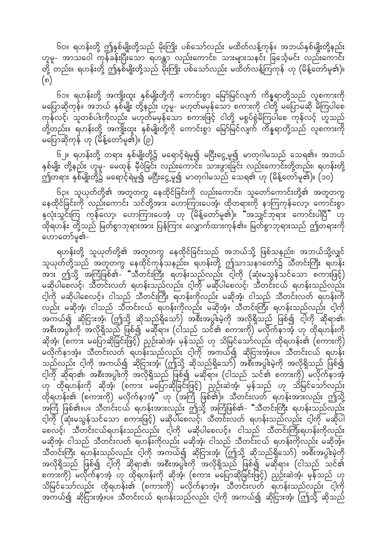၆၀။ ရဟန်းတို့ ဤနှစ်မျိုးတို့သည် မိုးကြိုး ပစ်သော်လည်း မထိတ်လန့်ကုန်။ အဘယ်နှစ်မျိုးတို့နည်း ဟူမူ- အာသဝေါ ကုန်ခန်းပြီးသော ရဟန္တာ လည်းကောင်း၊ သားများသနင်း ခြင်္သေ့မင်း လည်းကောင်း တို့ တည်း။ ရဟန်းတို့ ဤနှစ်မျိုးတို့သည် မိုးကြိုး ပစ်သော်လည်း မထိတ်လန့်ကြကုန် ဟု (မိန့်တော်မူ၏)။  $($ ၈)

၆၁။ ရဟန်းတို့ အကျိုးထူး နှစ်မျိုးတို့ကို ကောင်းစွာ မြော်မြင်လျက် ကိန္နရာတို့သည် လူစကားကို မပြောဆိုကုန်။ အဘယ် နှစ်မျိုး တို့နည်း ဟူမူ- မဟုတ်မမှန်သော စကားကို ငါတို့ မပြောမဆို မိကြပါစေ ကုန်လင့်၊ သူတစ်ပါးကိုလည်း မဟုတ်မမှန်သော စကားဖြင့် ငါတို့ မစွပ်စွဲမိကြပါစေ ကုန်လင့် ဟူသည် တို့တည်း။ ရဟန်းတို့ အကျိုးထူး နှစ်မျိုးတို့ကို ကောင်းစွာ မြော်မြင်လျက် ကိန္နရာတို့သည် လူစကားကို မပြောဆိုကုန် ဟု (မိန့်တော်မူ၏)။ (၉)

၆၂။ ရဟန်းတို့ တရား နှစ်မျိုးတို့၌ မရောင့်ရဲမူ၍ မငြီးငွေ့မူ၍ မာတုဂါမသည် သေရ၏။ အဘယ် နှစ်မျိုး တို့နည်း ဟူမူ- မေထုန် မှီဝဲခြင်း လည်းကောင်း၊ သားဖွားခြင်း လည်းကောင်းတို့တည်း၊ ရဟန်းတို့ -<br>ဤတရား နှစ်မျိုးတို့၌ မရောင့်ရဲမူ၍ မငြီးငွေ့မူ၍ မာတုဂါမသည် သေရ၏ ဟု (မိန့်တော်မူ၏)။ (၁၀)

၆၃။ သူယုတ်တို့၏ အတူတကွ နေထိုင်ခြင်းကို လည်းကောင်း၊ သူတော်ကောင်းတို့၏ အတူတကွ နေထိုင်ခြင်းကို လည်းကောင်း သင်တို့အား ဟောကြားပေအံ့၊ ထိုတရားကို နာကြကုန်လော့၊ ကောင်းစွာ နှလုံးသွင်းကြ<sup>ဲ</sup> ကုန်လော့၊ ဟောကြားပေအံ့ ဟု (မိန့်တော်မူ၏)။ "အသျှင်ဘုရား ကောင်းပါပြီ" ဟု .<br>ထိုရဟန်း တို့သည် မြတ်စွာဘုရားအား ပြန်ကြား လျှောက်ထားကုန်၏။ မြတ်စွာဘုရားသည် ဤတရားကို ဟောတော်မူ၏-

ရဟန်းတို့ သူယုတ်တို့၏ အတူတကွ နေထိုင်ခြင်းသည် အဘယ်သို့ ဖြစ်သနည်း၊ အဘယ်သို့လျှင်<br>သူယုတ်တို့သည် အတူတကွ နေထိုင်ကုန်သနည်း။ ရဟန်းတို့ ဤသာသနာတော်၌ သီတင်းကြီး ရဟန်း<br>အား ဤသို့ အကြံဖြစ်၏- "သီတင်းကြီး ရဟန်းသည်လည်း ငါ့ကို (ဆုံးမသွန်သ မဆိုပါစေလင့်၊ သီတင်းလတ် ရဟန်းသည်လည်း ငါ့ကို မဆိုပါစေလင့်၊ သီတင်းငယ် ရဟန်းသည်လည်း ငါ့ကို မဆိုပါစေလင့်။ ငါသည် သီတင်းကြီး ရဟန်းကိုလည်း မဆိုအံ့၊ ငါသည် သီတင်းလတ် ရဟန်းကို ု<br>လည်း မဆိုအံ့၊ ငါသည် သီတင်းငယ် ရဟန်းကိုလည်း မဆိုအံ့။ သီတင်းကြီး ရဟန်းသည်လည်း ငါ့ကို .<br>အကယ်၍ ဆိုငြားအံ့၊ (ဤသို့ ဆိုသည်ရှိသော်) အစီးအပွါးမဲ့ကို အလိုရှိသည် ဖြစ်၍ ငါ့ကို ဆိုရာ၏၊ အစီးအပွါးကို အလိုရှိသည် ဖြစ်၍ မဆိုရာ။ (ငါသည် သင်၏ စကားကို) မလိုက်နာအံ့ ဟု ထိုရဟန်းကို ဆိုအံ့၊ (စကား မပြောဆိုခြင်းဖြင့်) ညှဉ်းဆဲအံ့၊ မှန်သည် ဟု သိမြင်သော်လည်း ထိုရဟန်း၏ (စကားကို) မလိုက်နာအံ့။ သီတင်းလတ် ရဟန်းသည်လည်း ငါ့ကို အကယ်၍ ဆိုငြားအံ့။ပ။ သီတင်းငယ် ရဟန်း သည်လည်း ငါ့ကို အကယ်၍ ဆိုငြားအံ့၊ (ဤသို့ ဆိုသည်ရှိသော်) အစီးအပွါးမဲ့ကို အလိုရှိသည် ဖြစ်၍ င့ါကို ဆိုရာ၏၊ အစီးအပွါးကို အလိုရှိသည် ဖြစ်၍ မဆိုရာ။ (ငါသည် သင်၏ စကားကို) မလိုက်နာအံ့ .<br>ဟု ထိုရဟန်းကို ဆိုအံ့၊ (စကား မပြောဆိုခြင်းဖြင့်) ညှဉ်းဆဲအံ့၊ မှန်သည် ဟု သိမြင်သော်လည်း ထိုရဟန်း၏ (စကားကို) မလိုက်နာအံ့" ဟု (အကြံ ဖြစ်၏)။ သီတင်းလတ် ရဟန်းအားလည်း ဤသို့<br>အကြံ ဖြစ်၏။ပ။ သီတင်းငယ် ရဟန်းအားလည်း ဤသို့ အကြံဖြစ်၏- "သီတင်းကြီး ရဟန်းသည်လည်း ငါ့ကို (ဆုံးမသွန်သင်သော စကားဖြင့်) မဆိုပါစေလင့်၊ သီတင်းလတ် ရဟန်းသည်လည်း ငါ့ကို မဆိုပါ စေလင့်၊ သီတင်းငယ်ရဟန်းသည်လည်း ငါ့ကို မဆိုပါစေလင့်။ ငါသည် သီတင်းကြီးရဟန်းကိုလည်း မဆိုအံ့၊ ငါသည် သီတင်းလတ် ရဟန်းကိုလည်း မဆိုအံ့၊ ငါသည် သီတင်းငယ် ရဟန်းကိုလည်း မဆိုအံ့။ သီတင်းကြီး ရဟန်းသည်လည်း ငါ့ကို အကယ်၍ ဆိုငြားအံ့၊ (ဤသို့ ဆိုသည်ရှိသော်) အစီးအပွါးမဲ့ကို အလိုရှိသည် ဖြစ်၍ ငါ့ကို ဆိုရာ၏၊ အစီးအပွါးကို အလိုရှိသည် ဖြစ်၍ မဆိုရာ။ (ငါသည် သင်၏ သိမြင်သော်လည်း ထိုရဟန်း၏ (စကားကို) မလိုက်နာအံ့။ သီတင်းလတ် ရဟန်းသည်လည်း ငါ့ကို အကယ်၍ ဆိုငြားအံ့။ပ။ သီတင်းငယ် ရဟန်းသည်လည်း ငါ့ကို အကယ်၍ ဆိုငြားအံ့၊ (ဤသို့ ဆိုသည်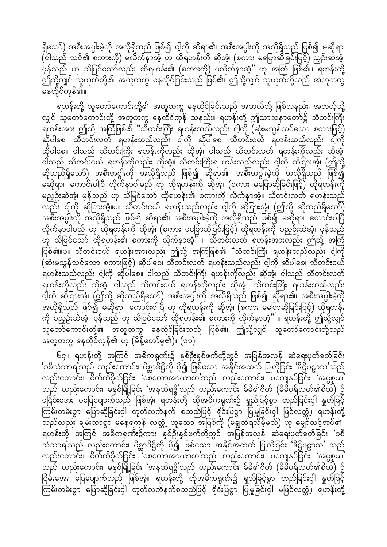ရှိသော်) အစီးအပွါးမဲ့ကို အလိုရှိသည် ဖြစ်၍ ငါ့ကို ဆိုရာ၏၊ အစီးအပွါးကို အလိုရှိသည် ဖြစ်၍ မဆိုရာ၊  $\overline{h}$  (ငါသည် သင်၏ စကားကို) မလိုက်နာအံ့ ဟု ထိုရဟန်းကို ဆိုအံ့၊ (စကား မပြောဆိုခြင်းဖြင့်) ညှဉ်းဆဲအံ့၊ မှန်သည် ဟု သိမြင်သော်လည်း ထိုရဟန်း၏ (စကားကို) မလိုက်နာအံ့" ဟု အကြံ ဖြစ်၏။ ရဟန်းတို့ ာ်<br>ဤသို့လျှင် သူယုတ်တို့၏ အတူတကွ နေထိုင်ခြင်းသည် ဖြစ်၏၊ ဤသို့လျှင် သူယုတ်တို့သည် အတူတကွ နေထိုင်ကုန်၏။

ရဟန်းတို့ သူတော်ကောင်းတို့၏ အတူတကွ နေထိုင်ခြင်းသည် အဘယ်သို့ ဖြစ်သနည်း၊ အဘယ့်သို့ လျှင် သူတော်ကောင်းတို့ အတူတကွ နေထိုင်ကုန် သနည်း။ ရဟန်းတို့ ဤသာသနာတော်၌ သီတင်းကြီး  $\frac{1}{2}$ ရဟန်းအား ဤသို့ အကြံဖြစ်၏ "သီတင်းကြီး ရဟန်းသည်လည်း ငါ့ကို (ဆုံးမသွန်သင်သော စကားဖြင့်) ဆိုပါစေ၊ သီတင်းလတ် ရဟန်းသည်လည်း ငါ့ကို ဆိုပါစေ၊ သီတင်းငယ် ရဟန်းသည်လည်း ငါ့ကို ဆိုပါစေ။ ငါသည် သီတင်းကြီး ရဟန်းကိုလည်း ဆိုအံ့၊ ငါသည် သီတင်းလတ် ရဟန်းကိုလည်း ဆိုအံ့၊ ငါသည် သီတင်းငယ် ရဟန်းကိုလည်း ဆိုအံ့။ သီတင်းကြီးရ ဟန်းသည်လည်း ငါ့ကို ဆိုငြားအံ့၊ (ဤသို့ ဆိုသည်ရှိသော်) အစီးအပွါးကို အလိုရှိသည် ဖြစ်၍ ဆိုရာ၏၊ အစီးအပွါးမဲ့ကို အလိုရှိသည် ဖြစ်၍ မဆိုရာ။ ကောင်းပါပြီ လိုက်နာပါမည် ဟု ထိုရဟန်းကို ဆိုအံ့၊ (စကား မပြောဆိုခြင်းဖြင့်) ထိုရဟန်းကို မညှဉ်းဆဲအံ့၊ မှန်သည် ဟု သိမြင်သော် ထိုရဟန်း၏ စကားကို လိုက်နာအံ့။ သီတင်းလတ် ရဟန်းသည် လည်း ငါ့ကို ဆိုငြားအံ့။ပ။ သီတင်းငယ် ရဟန်းသည်လည်း ငါ့ကို ဆိုငြားအံ့၊ (ဤသို့ ဆိုသည်ရှိသော်) အစီးအပွါးကို အလိုရှိသည် ဖြစ်၍ ဆိုရာ၏၊ အစီးအပွါးမဲ့ကို အလိုရှိသည် ဖြစ်၍ မဆိုရာ။ ကောင်းပါပြီ လိုက်နာပါမည် ဟု ထိုရဟန်းကို ဆိုအံ့၊ (စကား မပြောဆိုခြင်းဖြင့်) ထိုရဟန်းကို မညှဉ်းဆဲအံ့၊ မှန်သည် ဟု သိမြင်သော် ထိုရဟန်း၏ စကားကို လိုက်နာအံ့" ။ သီတင်းလတ် ရဟန်းအားလည်း ဤသို့ အကြံ ဖြစ်၏။ပါ။ သီတင်းငယ် ရဟန်းအားလည်း ဤသို့ အကြံဖြစ်၏ "သီတင်းကြီး ရဟန်းသည်လည်း ငါ့ကို  $\breve{q}$ ဆုံးမသွန်သင်သော စကားဖြင့်) ဆိုပါစေ၊ သီတင်းလတ် ရဟန်းသည်လည်း ငါ့ကို ဆိုပါစေ၊ သီတင်းငယ် ရဟန်းသည်လည်း ငါ့ကို ဆိုပါစေ။ ငါသည် သီတင်းကြီး ရဟန်းကိုလည်း ဆိုအံ့၊ ငါသည် သီတင်းလတ် ရဟန်းကိုလည်း ဆိုအံ့၊ ငါသည် သီတင်းငယ် ရဟန်းကိုလည်း ဆိုအံ့။ သီတင်းကြီး ရဟန်းသည်လည်း င့ါကို ဆိုငြားအံ့၊ (ဤသို့ ဆိုသည်ရှိသော်) အစီးအပွါးကို အလိုရှိသည် ဖြစ်၍ ဆိုရာ၏၊ အစီးအပွါးမဲ့ကို အလိုရှိသည် ဖြစ်၍ မဆိုရာ။ ကောင်းပါပြီ ဟု ထိုရဟန်းကို ဆိုအံ့၊ (စကား မပြောဆိုခြင်းဖြင့်) ထိုရဟန်း udk rn§Of;qJtHh? rSefonf [k odjrifaomf xdk&[ef;\ pum;udk vdkufemtHh}} / &[ef;wdkY þodkYvQif သူတော်ကောင်းတို့၏ အတူတကွ နေထိုင်ခြင်းသည် ဖြစ်၏၊ ဤသို့လျှင် သူတော်ကောင်းတို့သည် းတူတကွ နေထိုင်ကုန်၏ ဟု (မိန့်တော်မူ၏)။  $($ ၁၁ $)\overline{}$ 

၆၄။ ရဟန်းတို့ အကြင် အဓိကရုဏ်း၌ နှစ်ဦးနှစ်ဖက်တို့တွင် အပြန်အလှန် ဆဲရေးပုတ်ခတ်ခြင်း  $\sim$ ်စီသံသာရသည် လည်းကောင်း၊ မိစ္ဆာဒိဋ္ဌိကို မှီ၍ ဖြစ်သော အနိုင်အထက် ပြုလိုခြင်း 'ဒိဋ္ဌိပဋ္ဌာသ'သည် လည်းကောင်း၊ စိတ်ထိခိုက်ခြင်း 'စေတောအာယာတ'သည် လည်းကောင်း၊ မကျေနပ်ခြင်း 'အပ္ပစ္စယ' သည် လည်းကောင်း၊ မနှစ်မြို့ခြင်း 'အနဘိရ<sup>ဥ္မ</sup>'သည် လည်းကောင်း မိမိ၏စိတ် (မိမိပရိသတ်၏စိတ်) ၌ မငြိမ်းအေး မပြေပျောက်သည် ဖြစ်အံ့၊ ရဟန်းတို့ ထိုအဓိကရုဏ်း၌ ရှည်မြင့်စွာ တည်ခြင်းငှါ နှုတ်ဖြင့် ကြမ်းတမ်းစွာ ပြောဆိုခြင်းငှါ် တုတ်လက်နက် စသည်ဖြင့် ရိုင်းပြစွာ ပြုမူခြင်းငှါ ဖြစ်လတ္တံ့၊ ရဟန်းတို့ \_\_<br>သည်လည်း ချမ်းသာစွာ မနေရကုန် လတ္တံ့ ဟူသော အပြစ်ကို (မချွတ်ရလိမ့်မည်) ဟု မျှော်လင့်အပ်၏။ ရဟန်းတို့ အကြင် အဓိကရုဏ်း၌ကား နှစ်ဦးနှစ်ဖက်တို့တွင် အပြန်အလှန် ဆဲရေးပုတ်ခတ်ခြင်း 'ဝစီ သံသာရ သည် လည်းကောင်း၊ မိစ္ဆာဒိဋ္ဌိကို မှီ၍ ဖြစ်သော အနိုင်အထက် ပြုလိုခြင်း 'ဒိဋ္ဌိပဠာသ' သည် လည်းကောင်း၊ စိတ်ထိခိုက်ခြင်း ိုစေတောအာယာတ'သည် လည်းကောင်း၊ မကျေနပ်ခြင်း 'အပ္ပစ္စယ' သည် လည်းကောင်း၊ မနှစ်မြို့ခြင်း 'အနဘိရဒ္ဓိ'သည် လည်းကောင်း မိမိ၏စိတ် (မိမိပရိသတ်၏စိတ်) ၌ .<br>ငြိမ်းအေး ပြေပျောက်သည် ဖြစ်အံ့။ ရဟန်းတို့ ထိုအဓိကရုဏ်း၌ ရှည်မြင့်စွာ တည်ခြင်းငှါ နှုတ်ဖြင့် Murf;wrf;pGm ajymqdkjcif;iSg wkwfvufeufponfjzifh ½dkif;jypGm jyKrljcif;iSg rjzpfvwåHU? &[ef;wdkY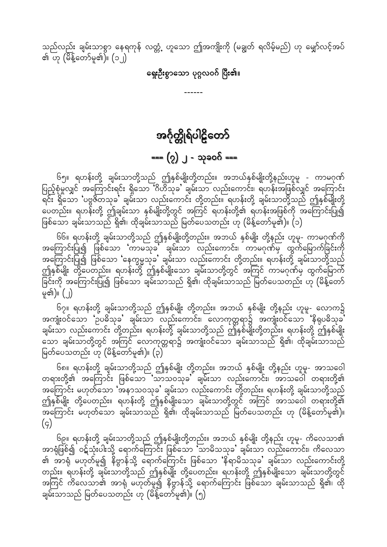<span id="page-33-0"></span>သည်လည်း ချမ်းသာစွာ နေရကုန် လတ္တံ့ ဟူသော ဤအကျိုးကို (မချွတ် ရလိမ့်မည်) ဟု မျှော်လင့်အပ် ၏ ဟု (မိန့်တော်မူ၏)။ (၁၂)

### ရှေးဦးစွာသော ပုဂ္ဂလဝဂ် <mark>ပြီး၏</mark>။

# အင်္ဂုတ္တိုရ်ပါဠိတော်

## ---- (၇) ၂ - သုခဝဂ် ----

၆၅။ ရဟန်းတို့ ချမ်းသာတို့သည် ဤနှစ်မျိုးတို့တည်း။ အဘယ်နှစ်မျိုးတို့နည်းဟူမူ - ကာမဂုဏ်<br>ပြည့်စုံမှုလျှင် အကြောင်းရင်း ရှိသော ဂိဟိသုခ' ချမ်းသာ လည်းကောင်း၊ ရဟန်းအဖြစ်လျှင် အကြောင်း ပြင်း ပူး<br>" ရိုသော 'ပဗ္ဗဇိတသုခ' ချမ်းသာ လည်းကောင်း တို့တည်း။ ရဟန်းတို့ ချမ်းသာတို့သည် ဤနှစ်မျိုးတို့ ပေတည်း။ ရဟန်းတို့ ဤချမ်းသာ နှစ်မျိုးတို့တွင် အကြင် ရဟန်းတို့၏ ရဟန်းအဖြစ်ကို အကြောင်းပြု၍ ဖြစ်သော ချမ်းသာသည် ရှိ၏၊ ထိုချမ်းသာသည် မြတ်ပေသတည်း ဟု (မိန့်တော်မူ၏)။ (၁)

၆၆။ ရဟန်းတို့ ချမ်းသာတို့သည် ဤနှစ်မျိုးတို့တည်း။ အဘယ် နှစ်မျိုး တို့နည်း ဟူမူ- ကာမဂုဏ်ကို အကြောင်းပြု၍ ဖြစ်သော 'ကာမသုခ' ချမ်းသာ လည်းကောင်း၊ ကာမဂုဏ်မှ ထွက်မြောက်ခြင်းကို အကြောင်းပြု၍ ဖြစ်သော 'နေက္ခမ္မသုခ' ချမ်းသာ လည်းကောင်း တို့တည်း။ ရဟန်းတို့ ချမ်းသာတို့သည် ဤနှစ်မျိုး တို့ပေတည်း။ ရဟန်းတို့ ဤနှစ်မျိုးသော ချမ်းသာတို့တွင် အကြင် ကာမဂုဏ်မှ ထွက်မြောက် မူ၏)။ (၂)

၆၇။ ရဟန်းတို့ ချမ်းသာတို့သည် ဤနှစ်မျိုး တို့တည်း။ အဘယ် နှစ်မျိုး တို့နည်း ဟူမူ- လောက၌ .<br>အကျုံးဝင်သော 'ဉပဓိသုခ' ချမ်းသာ လည်းကောင်း၊ လောကုတ္တရာ၌ အကျုံးဝင်သော 'နိရုပဓိသုခ' ချမ်းသာ လည်းကောင်း တို့တည်း။ ရဟန်းတို့ ချမ်းသာတို့သည် ဤနှစ်မျိုးတို့တည်း။ ရဟန်းတို့ ဤနှစ်မျိုး ့<br>သော ချမ်းသာတို့တွင် အကြင် လောကုတ္တရာ၌ အကျုံးဝင်သော ချမ်းသာသည် ရှိ၏၊ ထိုချမ်းသာသည် မြတ်ပေသတည်း ဟု (မိန့်တော်မူ၏)။ (၃)

၆၈။ ရဟန်းတို့ ချမ်းသာတို့သည် ဤနှစ်မျိုး တို့တည်း။ အဘယ် နှစ်မျိုး တို့နည်း ဟူမူ- အာသဝေါ<br>တရားတို့၏ အကြောင်း ဖြစ်သော 'သာသဝသုခ' ချမ်းသာ လည်းကောင်း၊ အာသဝေါ တရားတို့၏ အကြောင်း မဟုတ်သော 'အနာသဝသုခ' ချမ်းသာ လည်းကောင်း တို့တည်း။ ရဟန်းတို့ ချမ်းသာတို့သည် ဤနှစ်မျိုး တို့ပေတည်း။ ရဟန်းတို့ ဤနှစ်မျိုးသော ချမ်းသာတို့တွင် အကြင် အာသဝေါ တရားတို့၏  $(q)$ 

၆၉။ ရဟန်းတို့ ချမ်းသာတို့သည် ဤနှစ်မျိုးတို့တည်း။ အဘယ် နှစ်မျိုး တို့နည်း ဟူမူ- ကိလေသာ၏<br>အာရုံဖြစ်၍ ဝဋ်သုံးပါးသို့ ရောက်ကြောင်း ဖြစ်သော 'သာမိသသုခ' ချမ်းသာ လည်းကောင်း၊ ကိလေသာ အကြင် ကိလေသာ၏ အာရုံ မဟုတ်မူ၍ နိဗ္ဗာန်သို့ ရောက်ကြောင်း ဖြစ်သော ချမ်းသာသည် ရှိ၏၊ ထို ချမ်းသာသည် မြတ်ပေသတည်း ဟု (မိန့်တော်ိမူ၏)။ (၅)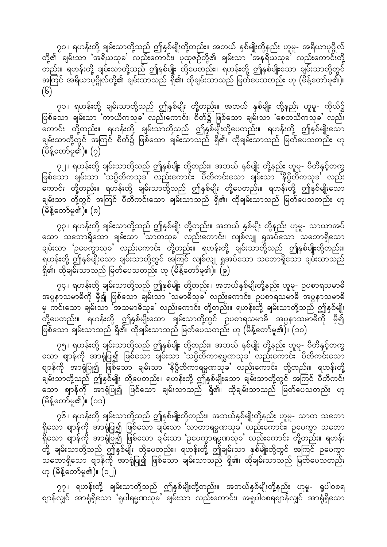၇၀။ ရဟန်းတို့ ချမ်းသာတို့သည် ဤနှစ်မျိုးတို့တည်း။ အဘယ် နှစ်မျိုးတို့နည်း ဟူမူ- အရိယာပုဂ္ဂိုလ် တို့၏ ချမ်းသာ 'အရိယသုခ' လည်းကောင်း၊ ပုထုဇဉ်တို့၏ ချမ်းသာ 'အနရိယသုခ' လည်းကောင်းတို့ တည်း။ ရဟန်းတို့ ချမ်းသာတို့သည် ဤနှစ်မျိုး တို့ပေတည်း။ ရဟန်းတို့ ဤနှစ်မျိုးသော ချမ်းသာတို့တွင် အကြင် အရိယာပုဂ္ဂိုလ်တို့၏ ချမ်းသာသည် ရှိ၏၊ ထိုချမ်းသာသည် မြတ်ပေသတည်း ဟု (မိန့်တော်မူ၏)။  $(6)$ 

၇၁။ ရဟန်းတို့ ချမ်းသာတို့သည် ဤနှစ်မျိုး တို့တည်း။ အဘယ် နှစ်မျိုး တို့နည်း ဟူမူ- ကိုယ်၌ ဖြစ်သော ချမ်းသာ 'ကာယိကသုခ' လည်းကောင်း၊ စိတ်၌ ဖြစ်သော ချမ်းသာ 'စေတသိကသုခ' လည်း \_<br>ကောင်း တို့တည်း။ ရဟန်းတို့ ချမ်းသာတို့သည် ဤနှစ်မျိုးတို့ပေတည်း။ ရဟန်းတို့ ဤနှစ်မျိုးသော ချမ်းသာတို့တွင် အကြင် စိတ်၌ ဖြစ်သော ချမ်းသာသည် ရှိ၏၊ ထိုချမ်းသာသည် မြတ်ပေသတည်း ဟု  $(\mathrm{\check{e}}\mathrm{\check{s}}$ တော်မူ၏)။  $\mathrm{(2)}$ 

၇၂။ ရဟန်းတို့ ချမ်းသာတို့သည် ဤနှစ်မျိုး တို့တည်း။ အဘယ် နှစ်မျိုး တို့နည်း ဟူမူ- ပီတိနှင့်တကွ ဖြစ်သော ချမ်းသာ သပ္ပိတိကသုခ<sup>့်</sup> လည်းကောင်း၊ ပိတိကင်းသော ချမ်းသာ နိပ္ပိတိကသုခ<sup>့်</sup> လည်း ကြောင်း တို့တည်း။ ရဟန်းတို့ ချမ်းသာတို့သည် ဤနှစ်မျိုး တို့ပေတည်း။ ရဟန်းတို့ ဤနှစ်မျိုးသော ချမ်းသာ တို့တွင် အကြင် ပီတိကင်းသော ချမ်းသာသည် ရှိ၏၊ ထိုချမ်းသာသည် မြတ်ပေသတည်း ဟု  $(\overset{\circ}{\theta}\overset{\circ}{\xi}$ တော်မူ၏)။  $(n)$ 

၇၃။ ရဟန်းတို့ ချမ်းသာတို့သည် ဤနှစ်မျိုး တို့တည်း။ အဘယ် နှစ်မျိုး တို့နည်း ဟူမူ- သာယာအပ် သော သဘောရှိသော ချမ်းသာ သာတသုခ' လည်းကောင်း၊ လျစ်လျူ ရှုအပ်သော သဘောရှိသော ချမ်းသာ **'**ဉပေက္ခာသုခ' လည်းကောင်း တို့တည်း။ ရဟန်းတို့ ချမ်းသာတို့သည် ဤနှစ်မျိုးတို့တည်း။ ရဟန်းတို့ ဤနှစ်မျိုးသော ချမ်းသာတို့တွင် အကြင် လျစ်လျူ ရှုအပ်သော သဘောရှိသော ချမ်းသာသည် ရှိ၏၊ ထိုချမ်းသာသည် မြတ်ပေသတည်း ဟု (မိန့်တော်မူ၏)။  $\overline{\left(\begin{matrix} \rho\end{matrix}\right)}$ 

၇၄။ ရဟန်းတို့ ချမ်းသာတို့သည် ဤနှစ်မျိုး တို့တည်း။ အဘယ်နှစ်မျိုးတို့နည်း ဟူမူ- ဉပစာရသမာဓိ <u>အပ္ပနာ့သမာဓိကို မှီ၍ ဖြ</u>စ်သော ချမ်းသာ သမာဓိသုခ' လည်းကောင်း၊ ဥပစာရသမာဓိ အပ္ပနာသမာဓိ မှ ကင်းသော ချမ်းသာ ်အသမာဓိသုခ' လည်းကောင်း တို့တည်း။ ရဟန်းတို့ ချမ်းသာတို့သည် ဤနှစ်မျိုး ာ်<br>တို့ပေတည်း။ ရဟန်းတို့ ဤနှစ်မျိုးသော ချမ်းသာတို့တွင် ဉပစာရသမာဓိ အပ္ပနာသမာဓိကို မှီ၍ ဖြစ်သော ချမ်းသာသည် ရှိ၏၊ ထိုချမ်းသာသည် မြတ်ပေသတည်း ဟု (မိန့်တော်မူ၏)။ (၁၀)

၇၅။ ရဟန်းတို့ ချမ်းသာတို့သည် ဤနှစ်မျိုး တို့တည်း။ အဘယ် နှစ်မျိုး တို့နည်း ဟူမူ- ပီတိနှင့်တကွ သော စျာန်ကို အာရုံပြု၍ ဖြစ်သော ချမ်းသာ 'သပ္ပီတိကာရမ္မဏသုခ' လည်းကောင်း၊ ပီတိကင်းသော ဈာန်ကို အာရုံပြု၍ ဖြစ်သော ချမ်းသာ 'နိပ္ပီတိကာရမ္မဏသုခ' လည်းကောင်း တို့တည်း။ ရဟန်းတို့ ချမ်းသာတို့သည် ဤနှစ်မျိုး တို့ပေတည်း။ ရဟန်းတို့ ဤနှစ်မျိုးသော ချမ်းသာတို့တွင် အကြင် ပီတိကင်း ေသာ ဈာန်ကို အာရုံပြု၍ ဖြစ်သော ချမ်းသာသည် ရှိ၏၊ ထိုချမ်းသာသည် မြတ်ပေသတည်း ဟု  $( \hat{\theta} \hat{\delta}_{\mathbf{S}} \hat{\Theta} \hat{\Theta} \hat{\Theta} \hat{\Theta} )$ ။  $(33)$ 

၇၆။ ရဟန်းတို့ ချမ်းသာတို့သည် ဤနှစ်မျိုးတို့တည်း။ အဘယ်နှစ်မျိုးတို့နည်း ဟူမူ- သာတ သဘော  $\S$ သော ဈာန်ကို အာရုံပြု၍ ဖြစ်သော ချမ်းသာ 'သာတာရမ္မဏသုခ' လည်းကောင်း၊ ဉပေက္ခာ သဘော  $\stackrel{\sim}{}\operatorname{s}$ သော ဈာန်ကို အာရုံပြု၍ ဖြစ်သော ချမ်းသာ 'ဥပေက္ခာရမ္မဏသုခ' လည်းကောင်း တို့တည်း။ ရဟန်း တို့ ချမ်းသာတို့သည် ဤနှစ်မျိုး တို့ပေတည်း။ ရဟန်းတို့ ဤချမ်းသာ နှစ်မျိုးတို့တွင် အကြင် ဉပေတွာ သဘောရှိသော ဈာန်ကို အာရုံပြု၍ ဖြစ်သော ချမ်းသာသည် ရှိ၏၊ ထိုချမ်းသာသည် မြတ်ပေသတည်း ဟု  $($ မိန့်တော်မူ၏)။  $($ ၁၂)

၇၇။ ရဟန်းတို့ ချမ်းသာတို့သည် ဤနှစ်မျိုးတို့တည်း။ အဘယ်နှစ်မျိုးတို့နည်း ဟူမှ- ရူပါဝစရ စျာန်လျှင် အာရုံရှိသော 'ရူပါရမ္မဏသုခ' ချမ်းသာ လည်းကောင်း၊ အရူပါဝစရစျာန်လျှင် အာရုံရှိသော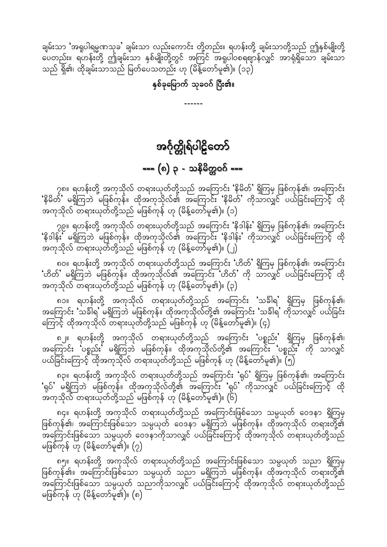နှစ်ခုမြောက် သုခဝဂ် ပြီး၏။

 $- - - - - -$ 

အင်္ဂုတ္တိုရ်ပါဠိတော်

=== (၈) ၃ - သနိမိတ္တဝဂ် ===

<span id="page-35-0"></span>ချမ်းသာ 'အရူပါရမ္မဏသုခ' ချမ်းသာ လည်းကောင်း တို့တည်း။ ရဟန်းတို့ ချမ်းသာတို့သည် ဤနှစ်မျိုးတို့ ၖ<br>ပေတည်း။ ရဟန်းတို့ ဤချမ်းသာ နှစ်မျိုးတို့တွင် အကြင် အရူပါဝစရစျာန်လျှင် အာရုံရှိသော ချမ်းသာ သည် ရှိ၏၊ ထိုချမ်းသာသည် မြတ်ပေသတည်း ဟု (မိန့်တော်မူ၏)။ (၁၃)

၇၈။ ရဟန်းတို့ အကုသိုလ် တရားယုတ်တို့သည် အကြောင်း 'နိမိတ်' ရှိကြမှ ဖြစ်ကုန်၏၊ အကြောင်း 'နိမိတ်' မရှိကြဘဲ မဖြစ်ကုန်။ ထိုအကုသိုလ်၏ အကြောင်း 'နိမိတ်' ကိုသာလျှင် ပယ်ခြင်းကြောင့် ထို အကုသိုလ် တရားယုတ်တို့သည် မဖြစ်ကုန် ဟု (မိန့်တော်မူ၏)။ (၁)

၇၉။ ရဟန်းတို့ အကုသိုလ် တရားယုတ်တို့သည် အကြောင်း 'နိဒါန်း' ရှိကြမှ ဖြစ်ကုန်၏၊ အကြောင်း 'နိဒါန်း' မရှိကြဘဲ မဖြစ်ကုန်။ ထိုအကုသိုလ်၏ အကြောင်း 'နိဒါန်း' ကိုသာလျှင် ပယ်ခြင်းကြောင့် ထို အကုသိုလ် တရားယုတ်တို့သည် မဖြစ်ကုန် ဟု (မိန့်တော်မူ၏)။ (၂)

၈၀။ ရဟန်းတို့ အကုသိုလ် တရားယုတ်တို့သည် အကြောင်း 'ဟိတ်' ရှိကြမှ ဖြစ်ကုန်၏၊ အကြောင်း 'ဟိတ်' မရှိကြဘဲ မဖြစ်ကုန်။ ထိုအကုသိုလ်၏ အကြောင်း 'ဟိတ်' ကို သာလျှင် ပယ်ခြင်းကြောင့် ထို အကုသိုလ် တရားယုတ်တို့သည် မဖြစ်ကုန် ဟု (မိန့်တော်မူ၏)။ (၃)

၈၁။ ရဟန်းတို့ အကုသိုလ် တရားယုတ်တို့သည် အကြောင်း 'သခ်ါရ' ရှိကြမှ ဖြစ်ကုန်၏၊ ကြောင့် ထိုအကုသိုလ် တရားယုတ်တို့သည် မဖြစ်ကုန် ဟု (်မိန့်တော်မူ၏)။ (၄)

၈၂။ ရဟန်းတို့ အကုသိုလ် တရားယုတ်တို့သည် အကြောင်း ပစ္စည်း ရှိကြမှ ဖြစ်ကုန်၏၊<br>အကြောင်း ပစ္စည်း မရှိကြဘဲ မဖြစ်ကုန်။ ထိုအကုသိုလ်တို့၏ အကြောင်း ပစ္စည်း ကို သာလျှင် ပယ်ခြင်းကြောင့် ထိုအကုသိုလ် တရားယုတ်တို့သည် မဖြစ်ကုန် ဟု (မိန့်တော်မူ၏)။ (၅)

၈၃။ ရဟန်းတို့ အကုသိုလ် တရားယုတ်တို့သည် အကြောင်း 'ရုပ်' ရှိကြမှ ဖြစ်ကုန်၏၊ အကြောင်း ်ရုပ်ႛ မဲရှိကြဘဲ မဖြစ်ကုန်။ ထိုအကုသိုလ်တို့၏ အကြောင်း 'ရုပ်ႛ ကိုသာလျှင် ပယ်ခြင်းကြောင့် ထို .<br>အကုသိုလ် တရားယုတ်တို့သည် မဖြစ်ကုန် ဟု (မိန့်တော်မူ၏)။ (၆)

၈၄။ ရဟန်းတို့ အကုသိုလ် တရားယုတ်တို့သည် အကြောင်းဖြစ်သော သမ္ပယုတ် ဝေဒနာ ရှိကြမှ ဖြစ်ကုန်၏၊ အကြောင်းဖြစ်သော သမ္ပယုတ် ဝေဒနာ မရှိကြဘဲ မဖြစ်ကုန်။ ထိုအကုသိုလ် တရားတို့၏<br>အကြောင်းဖြစ်သော သမ္ပယုတ် ဝေဒနာကိုသာလျှင် ပယ်ခြင်းကြောင့် ထိုအကုသိုလ် တရားယုတ်တို့သည် မဖြစ်ကုန် ဟု (မိန့်တော်မူ၏)။ (၇)

၈၅။ ရဟန်းတို့ အကုသိုလ် တရားယုတ်တို့သည် အကြောင်းဖြစ်သော သမ္ပယုတ် သညာ ရှိကြမှ ဖြစ်ကုန်၏။ အကြောင်းဖြစ်သော သမ္ပယုတ် သညာ မရှိကြဘဲ မဖြစ်ကုန်။ ထိုအကုသိုလ် တရားတို့၏ -<br>အကြောင်းဖြစ်သော သမ္ပယုတ် သညာကိုသာလျှင် ပယ်ခြင်းကြောင့် ထိုအကုသိုလ် တရားယုတ်တို့သည် မဖြစ်ကုန် ဟု (မိန့်တော်မူ၏)။ (၈)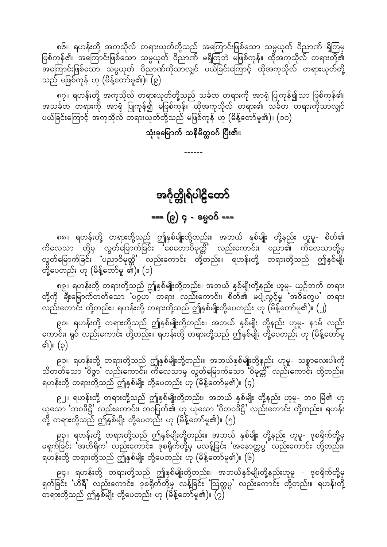<span id="page-36-0"></span>၈၆။ ရဟန်းတို့ အကုသိုလ် တရားယုတ်တို့သည် အကြောင်းဖြစ်သော သမ္ပယုတ် ဝိညာဏ် ရှိကြမှ ဖြစ်ကုန်၏၊ အကြောင်းဖြစ်သော သမ္ပယုတ် ဝိညာဏ် မရှိကြဘဲ မဖြစ်ကုန်။ ထိုအကုသိုလ် တရားတို့၏ -<br>အကြောင်းဖြစ်သော သမ္ပယုတ် ဝိညာဏ်ကိုသာလျှင် ပယ်ခြင်းကြောင့် ထိုအကုသိုလ် တရားယုတ်တို့ သည် မဖြစ်ကုန် ဟု (မိန့်တော်မူ၏)။ (၉)

၈၇။ ရဟန်းတို့ အကုသိုလ် တရားယုတ်တို့သည် သင်္ခတ တရားကို အာရုံ ပြုကုန်၍သာ ဖြစ်ကုန်၏၊ အသင်္ခတ တရားကို အာရုံ ပြုကုန်၍ မဖြစ်ကုန်။ ထိုအကုသိုလ် တရား၏ သင်္ခတ တရားကိုသာလျှင် ပယ်ခြင်းကြောင့် အကုသိုလ် တရားယုတ်တို့သည် မဖြစ်ကုန် ဟု (မိန့်တော်မူ၏)။ (၁၀)

သုံးခုမြောက် သနိမိတ္တဝဂ် ပြီး၏။

## အင်္ဂုတ္တိုရ်ပါဠိတော်

=== (၉) ၄ - ဓမ္မဝဂ် ===

၈၈။ ရဟန်းတို့ တရားတို့သည် ဤနှစ်မျိုးတို့တည်း။ အဘယ် နှစ်မျိုး တို့နည်း ဟူမူ- စိတ်၏<br>ကိလေသာ တို့မှ လွတ်မြောက်ခြင်း 'စေတောဝိမုတ္တိ' လည်းကောင်း၊ ပညာ၏ ကိလေသာတို့မှ လွတ်မြောက်ခြင်း 'ပညာဝိမုတ္တိ' လည်းကောင်း တို့တည်း။ ရဟန်းတို့ တရားတို့သည် ဤနှစ်မျိုး တို့ပေတည်း ဟု (မိန့်တော်မူ<sup>ံ</sup>၏)။ (၁)

၈၉။ ရဟန်းတို့ တရားတို့သည် ဤနှစ်မျိုးတို့တည်း။ အဘယ် နှစ်မျိုးတို့နည်း ဟူမူ- ယှဉ်ဘက် တရား<br>တို့ကို ချီးမြှောက်တတ်သော 'ပဂ္ဂဟ' တရား လည်းကောင်း၊ စိတ်၏ မပျံ့လွင့်မှု 'အဝိတ္ဓေပ' တရား လည်းကောင်း တို့တည်း။ ရဟန်းတို့ တရားတို့သည် ဤနှစ်မျိုးတို့ပေတည်း ဟု (မိန့်တော်မူ၏)။ (၂)

၉ဝ။ ရဟန်းတို့ တရားတို့သည် ဤနှစ်မျိုးတို့တည်း။ အဘယ် နှစ်မျိုး တို့နည်း ဟူမူ- နာမ် လည်း<br>ကောင်း၊ ရုပ် လည်းကောင်း တို့တည်း။ ရဟန်းတို့ တရားတို့သည် ဤနှစ်မျိုး တို့ပေတည်း ဟု (မိန့်တော်မူ ၏)။ (၃)

၉၁။ ရဟန်းတို့ တရားတို့သည် ဤနှစ်မျိုးတို့တည်း။ အဘယ်နှစ်မျိုးတို့နည်း ဟူမူ- သစ္စာလေးပါးကို သိတတ်သော 'ဝိဇ္ဇာ' လည်းကောင်း၊ ကိလေသာမှ လွတ်မြောက်သော 'ဝိမုတ္တိ' လည်းကောင်း တို့တည်း။ ရဟန်းတို့ တရားတို့သည် ဤနှစ်မျိုး တို့ပေတည်း ဟု (မိန့်တော်မူ၏)။ (၄)

၉၂။ ရဟန်းတို့ တရားတို့သည် ဤနှစ်မျိုးတို့တည်း။ အဘယ် နှစ်မျိုး တို့နည်း ဟူမူ- ဘဝ မြဲ၏ ဟု ယူသော 'ဘဝဒိဋ္ဌိ' လည်းကောင်း၊ ဘဝပြတ်၏ ဟု ယူသော 'ဝိဘဝဒိဋ္ဌိ' လည်းကောင်း တို့တည်း။ ရဟန်း တို့ တရားတို့သည် ဤနှစ်မျိုး တို့ပေတည်း ဟု (မိန့်တော်မူ၏)။ (၅)

၉၃။ ရဟန်းတို့ တရားတို့သည် ဤနှစ်မျိုးတို့တည်း။ အဘယ် နှစ်မျိုး တို့နည်း ဟူမူ- ဒုစရိုက်တို့မှ မရှက်ခြင်း အဟိရိက လည်းကောင်း၊ ဒုစရိုက်တို့မှ မလန့်ခြင်း အနောတ္တပ္ပ လည်းကောင်း တို့တည်း။ ာ " ၂<br>ရဟန်းတို့ တရားတို့သည် ဤနှစ်မျိုး တို့ပေတည်း ဟု (မိန့်တော်မူ၏)။ (၆)

၉၄။ ရဟန်းတို့ တရားတို့သည် ဤနှစ်မျိုးတို့တည်း။ အဘယ်နှစ်မျိုးတို့နည်းဟူမူ - ဒုစရိုက်တို့မှ ရှက်ခြင်း 'ဟိရီ' လည်းကောင်း၊ ဒုစရိုက်တို့မှ လန့်ခြင်း 'ဩတ္တပ္ပ' လည်းကောင်း တို့တည်း။ ရဟန်းတို့ -<br>- တရားတို့သည် ဤနှစ်မျိုး တို့ပေတည်း ဟု (မိန့်တော်မူ၏)။ (၇)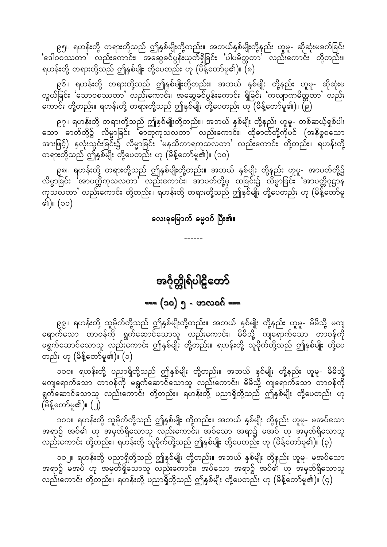<span id="page-37-0"></span>၉၅။ ရဟန်းတို့ တရားတို့သည် ဤနှစ်မျိုးတို့တည်း။ အဘယ်နှစ်မျိုးတို့နည်း ဟူမူ- ဆိုဆုံးမခက်ခြင်း  $\sim$ ်ပြီလာသည် (သည်းကောင်း၊ အဆွေခင်ပွန်းယုတ်ရှိခြင်း ပါပမိတ္တတာ လည်းကောင်း တို့တည်း။ ရဟန်းတို့ တရားတို့သည် ဤနှစ်မျိုး တို့ပေတည်း ဟု (မိန့်တော်မူ၏)။ (၈)

၉၆။ ရဟန်းတို့ တရားတို့သည် ဤနှစ်မျိုးတို့တည်း။ အဘယ် နှစ်မျိုး တို့နည်း ဟူမူ- ဆိုဆုံးမ လွယ်ခြင်း 'သောဝစဿတာ' လည်းကောင်း၊ အဆွေခင်ပွန်းကောင်း ရှိခြင်း 'ကလျာဏမိတ္တတာ' လည်း .<br>ကောင်း တို့တည်း။ ရဟန်းတို့ တရားတို့သည် ဤနှစ်မျိုး တို့ပေတည်း ဟု (မိန့်တော်မူ၏)။ (၉)

၉၇။ ရဟန်းတို့ တရားတို့သည် ဤနှစ်မျိုးတို့တည်း။ အဘယ် နှစ်မျိုး တို့နည်း ဟူမူ- တစ်ဆယ့်ရှစ်ပါး aom "mwfwdkYü vdr®mjcif; ]"mwkukovwm} vnf;aumif;? xdk"mwfwdkYudkyif (tedpöpaom အားဖြင့်) နှလုံးသွင်းခြင်း၌ လိမ္မာခြင်း 'မနသိကာရကုသလတာ' လည်းကောင်း တို့တည်း။ ရဟန်းတို့ တရားတို့သည် ဤနှစ်မျိုး တို့ပေတည်း ဟု (မိန့်တော်မူ၏)။ (၁၀)

၉၈။ ရဟန်းတို့ တရားတို့သည် ဤနှစ်မျိုးတို့တည်း။ အဘယ် နှစ်မျိုး တို့နည်း ဟူမူ- အာပတ်တို့၌ လိမ္မာခြင်း 'အာပတ္တိကုသလတာ' လည်းကောင်း၊ အာပတ်တို့မှ ထခြင်း၌ လိမ္မာခြင်း 'အာပတ္တိဝုဋ္ဌာန ကုသလတာ' လည်းကောင်း တို့တည်း။ ရဟန်းတို့ တရားတို့သည် ဤနှစ်မျိုး တို့ပေတည်း ဟု (မိန့်တော်မူ ၏)။ (၁၁)

လေးခုမြောက် ဓမ္မဝဂ် ပြီး၏။

------

အင်္ဂုတ္တိုရ်ပါဠိတော် k k  $\mathsf{l}$ f f d d<br>D<br>D<br>D<br>D<br>D<br>D<br>D<br>D<br>D<br>D<br>D<br>D<br>D<br>D<br>D<br>D<br>D<br>D<br>cal $\vdots$ f ==== (၁၀) ၅ - ဗာလဝဂ် ===

၉၉။ ရဟန်းတို့ သူမိုက်တို့သည် ဤနှစ်မျိုးတို့တည်း။ အဘယ် နှစ်မျိုး တို့နည်း ဟူမူ- မိမိသို့ မကျ ra more with whole with whole which will be the control of the control of the control of the control of the co<br>Bad which will be the control of the control of the control of the control of the control of the control of th မရွက်ဆောင်သောသူ လည်းကောင်း ဤနှစ်မျိုး တို့တည်း။ ရဟန်းတို့ သူမိုက်တို့သည် ဤနှစ်မျိုး တို့ပေ တည်း ဟု (မိန့်တော်မူ၏)။ (၁)

၁၀၀။ ရဟန်းတို့ ပညာရှိတို့သည် ဤနှစ်မျိုး တို့တည်း။ အဘယ် နှစ်မျိုး တို့နည်း ဟူမူ- မိမိသို့ မကျရောက်သော တာဝန်ကို မရွက်ဆောင်သောသူ လည်းကောင်း၊ မိမိသို့ ကျရောက်သော တာဝန်ကို ရွက်ဆောင်သောသူ လည်းကောင်း တို့တည်း။ ရဟန်းတို့ ပညာရှိတို့သည် ဤနှစ်မျိုး တို့ပေတည်း ဟု  $\bigl(\mathrm{\ddot{\hat{G}}}\mathrm{\boldsymbol{\hat{\hat{S}}}}$ တော်မူ၏)။  $\bigl(\mathrm{\ddot{\hat{J}}}\bigr)$ 

၁၀၁။ ရဟန်းတို့ သူမိုက်တို့သည် ဤနှစ်မျိုး တို့တည်း။ အဘယ် နှစ်မျိုး တို့နည်း ဟူမူ- မအပ်သော ာ ရာ၌ အပ်၏ ဟု အမှတ်ရှိသောသူ လည်းကောင်း၊ အပ်သော အရာ၌ မအပ် ဟု အမှတ်ရှိသောသူ လည်းကောင်း တို့တည်း။ ရဟန်းတို့ သူမိုက်တို့သည် ဤနှစ်မျိုး တို့ပေတည်း ဟု (မိန့်တော်မူ၏)။ (၃)

၁၀၂။ ရဟန်းတို့ ပညာရှိတို့သည် ဤနှစ်မျိုး တို့တည်း။ အဘယ် နှစ်မျိုး တို့နည်း ဟူမူ- မအပ်သော .<br>အရာ၌ မအပ် ဟု အမှတ်ရှိသောသူ လည်းကောင်း၊ အပ်သော အရာ၌ အပ်၏ ဟု အမှတ်ရှိသောသူ လည်းကောင်း တို့တည်း။ ရဟန်းတို့ ပညာရှိတို့သည် ဤနှစ်မျိုး တို့ပေတည်း ဟု (မိန့်တော်မူ၏)။ (၄)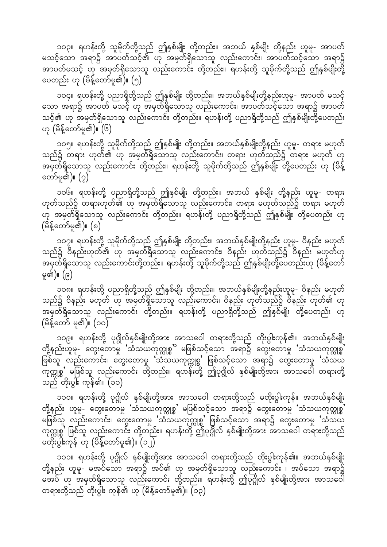၁၀၃။ ရဟန်းတို့ သူမိုက်တို့သည် ဤနှစ်မျိုး တို့တည်း။ အဘယ် နှစ်မျိုး တို့နည်း ဟူမူ- အာပတ်

မသင့်သော အရာ၌ အာပတ်သင့်၏ ဟု အမှတ်ရှိသောသူ လည်းကောင်း၊ အာပတ်သင့်သော အရာ၌ <u>အာပတ်မသင့် ဟု အမှတ်ရှိသောသူ လည်းကောင်း တို့တ</u>ည်း။ ရဟန်းတို့ သူမိုက်တို့သည် ဤနှစ်မျိုးတို့ ပေတည်း ဟု (မိန့်တော်မူ၏)။ (၅)

၁၀၄။ ရဟန်းတို့ ပညာရှိတို့သည် ဤနှစ်မျိုး တို့တည်း။ အဘယ်နှစ်မျိုးတို့နည်းဟူမူ- အာပတ် မသင့် သော အရာ၌ အာပတ် မသင့် ဟု အမှတ်ရှိသောသူ လည်းကောင်း၊ အာပတ်သင့်သော အရာ၌ အာပတ် သင့်၏ ဟု အမှတ်ရှိသောသူ လည်းကောင်း တို့တည်း။ ရဟန်းတို့ ပညာရှိတို့သည် ဤနှစ်မျိုးတို့ပေတည်း  $\infty$  (မိန့်တော်မူ၏)။  $\overline{\text{(6)}}$ 

၁၀၅။ ရဟန်းတို့ သူမိုက်တို့သည် ဤနှစ်မျိုး တို့တည်း။ အဘယ်နှစ်မျိုးတို့နည်း ဟူမူ- တရား မဟုတ် သည်၌ တရား ဟုတ်၏ ဟု အမှတ်ရှိသောသူ လည်းကောင်း၊ တရား ဟုတ်သည်၌ တရား မဟုတ် ဟု းသြောက်ရှိသောသူ လည်းကောင်း တို့တည်း။ ရဟန်းတို့ သူမိုက်တို့သည် ဤနှစ်မျိုး တို့ပေတည်း ဟု (မိန့် တော်မူ၏)။  $(2)$ 

၁၀၆။ ရဟန်းတို့ ပညာရှိတို့သည် ဤနှစ်မျိုး တို့တည်း။ အဘယ် နှစ်မျိုး တို့နည်း ဟူမူ- တရား ကုတ်သည်၌ တရားဟုတ်၏ ဟု အမှတ်ရှိသောသူ လည်းကောင်း၊ တရား မဟုတ်သည်၌ တရား မဟုတ် |<br>ဟု အမှတ်ရှိသောသူ လည်းကောင်း တို့တည်း။ ရဟန်းတို့ ပညာရှိတို့သည် ဤနှစ်မျိုး တို့ပေတည်း ဟု  $(\mathrm{\ddot{\hat{a}}\boldsymbol{\hat{\hat{s}}\hat{e}}}$ တော်မူ၏)။  $\mathrm{(6)}$ 

၁၀၇။ ရဟန်းတို့ သူမိုက်တို့သည် ဤနှစ်မျိုး တို့တည်း။ အဘယ်နှစ်မျိုးတို့နည်း ဟူမူ- ဝိနည်း မဟုတ် သည်၌ ဝိနည်းဟုတ်၏ ဟု အမှတ်ရှိသောသူ လည်းကောင်း၊ ဝိနည်း ဟုတ်သည်၌ ဝိနည်း မဟုတ်ဟု အမှတ်ရှိသောသူ လည်းကောင်းတို့တည်း။ ရဟန်းတို့ သူမိုက်တို့သည် ဤနှစ်မျိုးတို့ပေတည်းဟု (မိန့်တော် မူ၏)။  $\left( \rho\right)$ 

၁၀၈။ ရဟန်းတို့ ပညာရှိတို့သည် ဤနှစ်မျိုး တို့တည်း။ အဘယ်နှစ်မျိုးတို့နည်းဟူမူ- ဝိနည်း မဟုတ် သည်၌ ဝိနည်း မဟုတ် ဟု အမှတ်ရှိသောသူ လည်းကောင်း၊ ဝိနည်း ဟုတ်သည်၌ ဝိနည်း ဟုတ်၏ ဟု trawition was available to the conference of the top of the set of the set of the set of property of the set o<br>Suppose the property of the species with the set of the set of the set of the set of the set of the set of the (မိန့်တော် မူ၏)။  $(30)$ 

၁၀၉။ ရဟန်းတို့ ပုဂ္ဂိုလ်နှစ်မျိုးတို့အား အာသဝေါ တရားတို့သည် တိုးပွါးကုန်၏။ အဘယ်နှစ်မျိုး တို့နည်းဟူမူ- တွေးတောမှု 'သံသယကုက္ကုစ္စ' မဖြစ်သင့်သော အရာ၌ တွေးတောမှု 'သံသယကုက္ကုစ္စါ ြင်းသူ လည်းကောင်း၊ တွေးတောမှု 'သံသယကုက္ကုစ္စ' ဖြစ်သင့်သော အရာ၌ တွေးတောမှု 'သံသယ ပ<br>ကုတ္ကုစ္စ' မဖြစ်သူ လည်းကောင်း တို့တည်း။ ရဟန်းတို့ ဤပုဂ္ဂိုလ် နှစ်မျိုးတို့အား အာသဝေါ တရားတို့ ုလ္ပူး<br>ကျော် တိုးပွါး ကုန်၏။ (၁၁)

၁၁၀။ ရဟန်းတို့ ပုဂ္ဂိုလ် နှစ်မျိုးတို့အား အာသဝေါ တရားတို့သည် မတိုးပွါးကုန်။ အဘယ်နှစ်မျိုး တို့နည်း ဟူမူ- တွေးတော်မှု 'သံသယကုက္ကုစ္စ' မဖြစ်သင့်သော အရာ၌ တွေးတောမှု 'သံသယကုက္ကုစ္စ' ု့<br>မဖြစ်သူ လည်းကောင်း၊ တွေးတောမှု သံသယကုက္ကုစ္စ' ဖြစ်သင့်သော အရာ၌ တွေးတောမှု သံသယ ပြောက္တုစ္စ<sup>ီ</sup> ဖြစ်သူ လည်းကောင်း တို့တည်း။ ရဟန်းတို့ ဤပုဂ္ဂိုလ် နှစ်မျိုးတို့အား အာသဝေါ တရားတို့သည် မတိုးပွါးကုန် ဟု (မိန့်တော်မူ၏)။ (၁၂)

၁၁၁။ ရဟန်းတို့ ပုဂ္ဂိုလ် နှစ်မျိုးတို့အား အာသဝေါ တရားတို့သည် တိုးပွါးကုန်၏။ အဘယ်နှစ်မျိုး တို့နည်း ဟူမူ- မအပ်သော အရာ၌ အပ်၏ ဟု အမှတ်ရှိသောသူ လည်းကောင်း ၊ အပ်သော အရာ၌ ာက်ကြေးကြောင့် ကြောက်နေ့တွင် ကိုးကျောင်း တို့တည်း။ ရဟန်းတို့ ဤပုဂ္ဂိုလ် နှစ်မျိုးတို့အား အာသဝေါ် တရားတို့သည် တိုးပွါး ကုန်၏ ဟု (မိန့်တော်မူ၏)။  $($ ၁၃)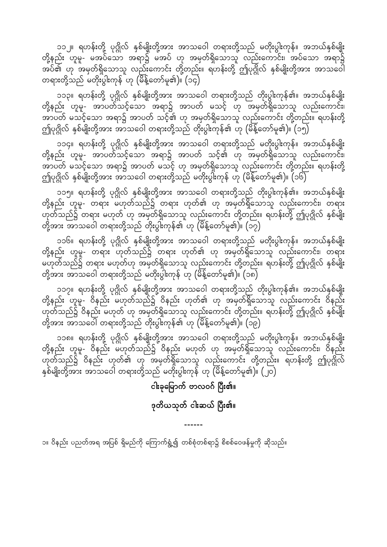၁၁၂။ ရဟန်းတို့ ပုဂ္ဂိုလ် နှစ်မျိုးတို့အား အာသဝေါ တရားတို့သည် မတိုးပွါးကုန်။ အဘယ်နှစ်မျိုး တို့နည်း ဟူမူ- မအပ်သော အရာ၌ မအပ် ဟု အမှတ်ရှိသောသူ လည်းကောင်း၊ အပ်သော အရာ၌ ာပ်၏ ဟု အမှတ်ရှိသောသူ လည်းကောင်း တို့တည်း။ ရဟန်းတို့ ဤပုဂ္ဂိုလ် နှစ်မျိုးတို့အား အာသဝေါ တရားတို့သည် မတိုးပွါးကုန်<sup>"</sup>ဟု (မိန့်တော်မူ၏)။ (၁၄)

၁၁၃။ ရဟန်းတို့ ပုဂ္ဂိုလ် နှစ်မျိုးတို့အား အာသဝေါ တရားတို့သည် တိုးပွါးကုန်၏။ အဘယ်နှစ်မျိုး တို့နည်း ဟူမူ- အာပတ်သင့်သော အရာ၌ အာပတ် မသင့် ဟု အမှတ်ရှိသောသူ လည်းကောင်း၊ ်က်တို့ မသင့်သော အရာ၌ အာပတ် သင့်၏ ဟု အမှတ်ရှိသောသူ လည်းကောင်း တို့တည်း။ ရဟန်းတို့ ဤပုဂ္ဂိုလ် နှစ်မျိုးတို့အား အာသဝေါ တရားတို့သည် တိုးပွါးကုန်၏ ဟု (မိန့်တော်မူ၏)။ (၁၅)

၁၁၄။ ရဟန်းတို့ ပုဂ္ဂိုလ် နှစ်မျိုးတို့အား အာသဝေါ တရားတို့သည် မတိုးပွါးကုန်။ အဘယ်နှစ်မျိုး တို့နည်း ဟူမူ- အာပတ်သင့်သော အရာ၌ အာပတ် သင့်၏ ဟု အမှတ်ရှိသောသူ လည်းကောင်း၊ ်က်ကြီး များ<br>ကြီးလွှင့် မသင့်သော အရာ၌ အာပတ် မသင့် ဟု အမှတ်ရှိသောသူ လည်းကောင်း တို့တည်း။ ရဟန်းတို့ ဤပုဂ္ဂိုလ် နှစ်မျိုးတို့အား အာသဝေါ တရားတို့သည် မတိုးပွါးကုန် ဟု (မိန့်တော်မူ၏)။  $\overline{(\texttt{06})}$ 

၁၁၅။ ရဟန်းတို့ ပုဂ္ဂိုလ် နှစ်မျိုးတို့အား အာသဝေါ တရားတို့သည် တိုးပွါးကုန်၏။ အဘယ်နှစ်မျိုး တို့နည်း ဟူမူ- တရား မဟုတ်သည်၌ တရား ဟုတ်၏ ဟု အမှတ်ရှိသောသူ လည်းကောင်း၊ တရား က်သည်၌ တရား မဟုတ် ဟု အမှတ်ရှိသောသူ လည်းကောင်း တို့တည်း။ ရဟန်းတို့ ဤပုဂ္ဂိုလ် နှစ်မျိုး တို့အား အာသဝေါ တရားတို့သည် တိုးပွါးကုန်၏ ဟု (မိန့်တော်မူ၏)။  $(2\bar q)$ 

၁၁၆။ ရဟန်းတို့ ပုဂ္ဂိုလ် နှစ်မျိုးတို့အား အာသဝေါ တရားတို့သည် မတိုးပွါးကုန်။ အဘယ်နှစ်မျိုး တို့နည်း ဟူမူ- တရား ဟုတ်သည်၌ တရား ဟုတ်၏ ဟု အမှတ်ရှိသောသူ လည်းကောင်း၊ တရား မဟုတ်သည်၌ တရား မဟုတ်ဟု အမှတ်ရှိသောသူ လည်းကောင်း တို့တည်း။ ရဟန်းတို့ ဤပုဂ္ဂိုလ် နှစ်မျိုး တို့အား အာသဝေါ တရားတို့သည် မတိုးပွါးကုန်<sup>ီ</sup>ဟု (မိန့်တော်မူ၏)။ (၁၈)

၁၁၇။ ရဟန်းတို့ ပုဂ္ဂိုလ် နှစ်မျိုးတို့အား အာသဝေါ တရားတို့သည် တိုးပွါးကုန်၏။ အဘယ်နှစ်မျိုး တို့နည်း ဟူမူ- ဝိနည်း မဟုတ်သည်၌ ဝိနည်း ဟုတ်၏ ဟု အမှတ်ရှိသောသူ လည်းကောင်း ဝိနည်း .<br>ဟုတ်သည်၌ ဝိနည်း မဟုတ် ဟု အမှတ်ရှိသောသူ လည်းကောင်း တို့တည်း။ ရဟန်းတို့ ဤပုဂ္ဂိုလ် နှစ်မျိုး တို့အား အာသဝေါ် တရားတို့သည် တိုးပွါးကုန်၏ ဟု (မိန့်တော်မူ၏)။ (၁၉)

၁၁၈။ ရဟန်းတို့ ပုဂ္ဂိုလ် နှစ်မျိုးတို့အား အာသဝေါ တရားတို့သည် မတိုးပွါးကုန်။ အဘယ်နှစ်မျိုး တို့နည်း ဟူမူ- ဝိနည်း မဟုတ်သည်၌ ဝိနည်း မဟုတ် ဟု အမှတ်ရှိသောသူ လည်းကောင်း၊ ဝိနည်း ြောက်သည်၌ ဝိနည်း ဟုတ်၏ ဟု အမှတ်ရှိသောသူ လည်းကောင်း တို့တည်း။ ရဟန်းတို့ ဤပုဂ္ဂိုလ် နှစ်မျိုးတို့အား အာသဝေါ တရားတို့သည် မတိုးပွါးကုန် ဟု (မိန့်တော်မူ၏)။  $\left(\bigcup\limits_{}^{\infty}\right)$ 

ငါးခုမြောက် ဗာလဝဂ် ပြီး၏။

#### ဒုတိယသုတ် ငါးဆယ် ပြီး၏။

------

၁။ ဝိနည်း ပညတ်အရ အပြစ် ရှိမည်ကို ကြောက်ရွံ့၍ တစ်စုံတစ်ရာ၌ စိစစ်ဝေဖန်မှုကို ဆိုသည်။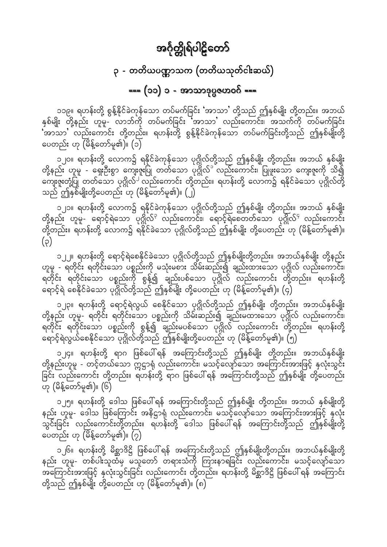### ၃ - တတိယပဏ္ဏာသက (တတိယသုတ်ငါးဆယ်)

### === (၁၁) ၁ - အာသာဒုပ္ပဇဟဝဂ် ===

<span id="page-40-0"></span>၁၁၉။ ရဟန်းတို့ စွန့်နိုင်ခဲကုန်သော တပ်မက်ခြင်း 'အာသာ' တို့သည် ဤနှစ်မျိုး တို့တည်း။ အဘယ်<br>နှစ်မျိုး တို့နည်း ဟူမူ- လာဘ်ကို တပ်မက်ခြင်း 'အာသာ' လည်းကောင်း၊ အသက်ကို တပ်မက်ခြင်း ်အာသာ လည်းကောင်း တို့တည်း။ ရဟန်းတို့ စွန့်နိုင်ခဲကုန်သော တပ်မက်ခြင်းတို့သည် ဤနှစ်မျိုးတို့ ပေတည်း ဟု (မိန့်တော်မူ၏)။ (၁)

၁၂၀။ ရဟန်းတို့ လောက၌ ရနိုင်ခဲကုန်သော ပုဂ္ဂိုလ်တို့သည် ဤနှစ်မျိုး တို့တည်း။ အဘယ် နှစ်မျိုး တို့နည်း ဟူမူ - ရှေးဦးစွာ ကျေးဇူးပြု တတ်သော ပုဂ္ဂိုလ်ိ<sup>ိ</sup>လည်းကောင်း၊ ပြုဖူးသော ကျေးဇူးကို သိ၍ ကျေးဇူးတုံ့ပြု တတ်သော ပုဂ္ဂိုလ်<sup>၂ </sup>လည်းကောင်း တို့တည်း။ ရဟန်းတို့ လောက၌ ရနိုင်ခဲသော ပုဂ္ဂိုလ်တို့ သည် ဤနှစ်မျိုးတို့ပေတည်း ဟု (မိန့်တော်မူ၏)။ (၂)

၁၂၁။ ရဟန်းတို့ လောက၌ ရနိုင်ခဲကုန်သော ပုဂ္ဂိုလ်တို့သည် ဤနှစ်မျိုး တို့တည်း။ အဘယ် နှစ်မျိုး တို့နည်း ဟူမှု- ရောင့်ရဲသော ပုဂ္ဂိုလ်<sup>၃</sup> လည်းကောင်း၊ ရောင့်ရဲစေတတ်သော ပုဂ္ဂိုလ်<sup>9</sup> လည်းကောင်း တို့တည်း။ ရဟန်းတို့ လောက၌ ရနိုင်ခဲသော ပုဂ္ဂိုလ်တို့သည် ဤနှစ်မျိုး တို့ပေတည်း ဟု (မိန့်တော်မူ၏)။  $(\varphi)$ 

၁၂၂။ ရဟန်းတို့ ရောင့်ရဲစေနိုင်ခဲသော ပုဂ္ဂိုလ်တို့သည် ဤနှစ်မျိုးတို့တည်း။ အဘယ်နှစ်မျိုး တို့နည်း ဟူမူ - ရတိုင်း ရတိုင်းသော ပစ္စည်းကို မသုံးမစား သိမ်းဆည်း၍ ချည်းထားသော ပုဂ္ဂိုလ် လည်းကောင်း၊ ရတိုင်း ရတိုင်းသော ပစ္စည်းကို စွန့်၍ ချည်းပစ်သော ပုဂ္ဂိုလ် လည်းကောင်း တို့တည်း။ ရဟန်းတို့ ရောင့်ရဲ စေနိုင်ခဲသော ပုဂ္ဂိုလ်တို့သည် ဤနှစ်မျိုး တို့ပေတည်း ဟု (မိန့်တော်မူ၏)။ (၄)

၁၂၃။ ရဟန်းတို့ ရောင့်ရဲလွယ် စေနိုင်သော ပုဂ္ဂိုလ်တို့သည် ဤနှစ်မျိုး တို့တည်း။ အဘယ်နှစ်မျိုး တို့နည်း ဟူမူ- ရတိုင်း ရတိုင်းသော ပစ္စည်းကို သိမ်းဆည်း၍ ချည်းမထားသော ပုဂ္ဂိုလ် လည်းကောင်း၊ ္မွာ ျပင္ပြား<br>ရတိုင်း ရတိုင်းသော ပစ္စည်းကို စွန့်၍ ချည်းမပစ်သော ပုဂ္ဂိုလ် လည်းကောင်း တို့တည်း။ ရဟန်းတို့ ရောင့်ရဲလွယ်စေနိုင်သော ပုဂ္ဂိုလ်တို့သည် ဤနှစ်မျိုးတို့ပေတည်း ဟု (မိန့်တော်မူ၏)။ (၅)

၁၂၄။ ရဟန်းတို့ ရာဂ ဖြစ်ပေါ်ရန် အကြောင်းတို့သည် ဤနှစ်မျိုး တို့တည်း။ အဘယ်နှစ်မျိုး ြင်း လည်းကောင်း တို့တည်း။ ရဟန်းတို့ ရာဂ ဖြစ်ပေါ် ရန် အကြောင်းတို့သည် ဤနှစ်မျိုး တို့ပေတည်း ဟု (မိန့်တော်မူ၏)။ (၆)

၁၂၅။ ရဟန်းတို့ ဒေါသ ဖြစ်ပေါ်ရန် အကြောင်းတို့သည် ဤနှစ်မျိုး တို့တည်း။ အဘယ် နှစ်မျိုးတို့ နည်း ဟူမူ- ဒေါသ ဖြစ်ကြောင်း အနိဋ္ဌာရုံ လည်းကောင်း၊ မသင့်လျော်သော အကြောင်းအားဖြင့် နှလုံး .<br>သွင်းခြင်း လည်းကောင်းတို့တည်း။ ရဟန်းတို့ ဒေါသ ဖြစ်ပေါ်ရန် အကြောင်းတို့သည် ဤနှစ်မျိုးတို့ ပေတည်း ဟု (မိန့်တော်မူ၏)။ (၇)

၁၂၆။ ရဟန်းတို့ မိစ္ဆာဒိဋ္ဌိ ဖြစ်ပေါ် ရန် အကြောင်းတို့သည် ဤနှစ်မျိုးတို့တည်း။ အဘယ်နှစ်မျိုးတို့ နည်း ဟူမူ- တစ်ပါးသူထံမှ မသူတော် တရားသံကို ကြားနာရခြင်း လည်းကောင်း၊ မသင့်လျော်သော .<br>အကြောင်းအားဖြင့် နှလုံးသွင်းခြင်း လည်းကောင်း တို့တည်း။ ရဟန်းတို့ မိစ္ဆာဒိဋ္ဌိ ဖြစ်ပေါ် ရန် အကြောင်း တို့သည် ဤနှစ်မျိုး တို့ပေတည်း ဟု (မိန့်တော်မူ၏)။ (၈)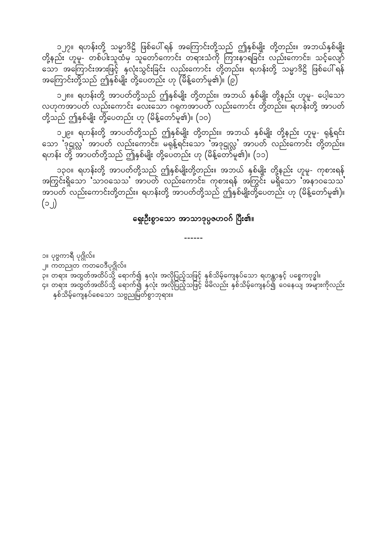၁၂၇။ ရဟန်းတို့ သမ္မာဒိဋ္ဌိ ဖြစ်ပေါ်ရန် အကြောင်းတို့သည် ဤနှစ်မျိုး တို့တည်း။ အဘယ်နှစ်မျိုး တို့နည်း ဟူမူ- တစ်ပါးသူထံမှ သူတော်ကောင်း တရားသံကို ကြားနာရခြင်း လည်းကောင်း၊ သင့်လျော် အကြောင်းတို့သည် ဤနှစ်မျိုး တို့ပေတည်း ဟု (မိန့်တော်မူ၏)။ (၉)

၁၂၈။ ရဟန်းတို့ အာပတ်တို့သည် ဤနှစ်မျိုး တို့တည်း။ အဘယ် နှစ်မျိုး တို့နည်း ဟူမူ- ပေါ့သော လဟုကအာပတ် လည်းကောင်း လေးသော ဂရုကအာပတ် လည်းကောင်း တို့တည်း။ ရဟန်းတို့ အာပတ် တို့သည် ဤနှစ်မျိုး တို့ပေတည်း ဟု (မိန့်တော်မူ၏)။ (၁၀)

၁၂၉။ ရဟန်းတို့ အာပတ်တို့သည် ဤနှစ်မျိုး တို့တည်း။ အဘယ် နှစ်မျိုး တို့နည်း ဟူမူ- ရုန့်ရင်း<br>သော 'ဒုဋ္ဌုလ္လ' အာပတ် လည်းကောင်း၊ မရုန့်ရင်းသော 'အဒုဋ္ဌုလ္လ' အာပတ် လည်းကောင်း တို့တည်း။ ရဟန်း တို့ အာပတ်တို့သည် ဤနှစ်မျိုး တို့ပေတည်း ဟု (မိန့်တော်မူ၏)။ (၁၁)

၁၃၀။ ရဟန်းတို့ အာပတ်တို့သည် ဤနှစ်မျိုးတို့တည်း။ အဘယ် နှစ်မျိုး တို့နည်း ဟူမူ- ကုစားရန် အကြွင်းရှိသော 'သာဝသေသ' အာပတ် လည်းကောင်း၊ ကုစားရန် အကြွင်း မရှိသော 'အနာဝသေသ' အာပတ် လည်းကောင်းတို့တည်း။ ရဟန်းတို့ အာပတ်တို့သည် ဤနှစ်မျိုးတို့ပေတည်း ဟု (မိန့်တော်မူ၏)။  $(\circ)$ 

#### ရှေးဦးစွာသော အာသာဒုပ္ပဇဟဝဂ် ပြီး၏။

၁။ ပုဗ္ဗကာရီ ပုဂ္ဂိုလ်။

၂။ ကတညျတ ကတဝေဒီပုဂ္ဂိုလ်။

နှစ်သိမ့်ကျေနပ်စေသော သဗ္ဗညုမြတ်စွာဘုရား။

ှ<br>၃။ တရား အထွတ်အထိပ်သို့ ရောက်၍ နှလုံး အလိုပြည့်သဖြင့် နှစ်သိမ့်ကျေနပ်သော ရဟန္တာနှင့် ပစ္စေကဗုဒ္ဓါ။<br>၄။ တရား အထွတ်အထိပ်သို့ ရောက်၍ နှလုံး အလိုပြည့်သဖြင့် မိမိလည်း နှစ်သိမ့်ကျေနပ်၍ ဝေနေယျ အများကိုလည်း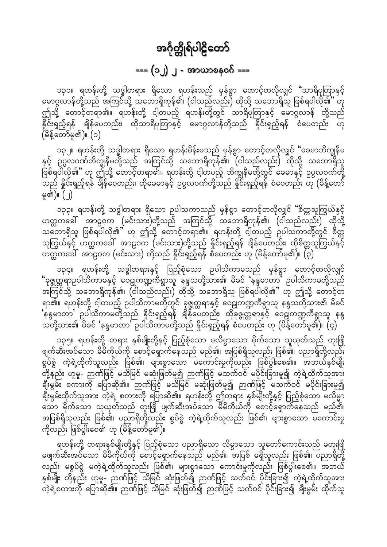### === (၁၂) ၂ - အာယာစနဝဂ် ===

<span id="page-42-0"></span>၁၃၁။ ရဟန်းတို့ သဒ္ဓါတရား ရှိသော ရဟန်းသည် မှန်စွာ တောင့်တလိုလျှင် "သာရိပုတြာနှင့် မောဂ္ဂလာန်တို့သည် အကြင်သို့ သဘောရှိကုန်၏၊ (ငါသည်လည်း) ထိုသို့ သဘောရှိသူ ဖြစ်ရပါလို၏" ဟု ဤသို့ တောင့်တရာ၏။ ရဟန်းတို့ ငါ့တပည့် ရဟန်းတို့တွင် သာရိပုံတြာနှင့် မောဂ္ဂလာန် တို့သည် င္တြင်း<br>နှိုင်းရှည့်ရန် ချိန်ပေတည်း၊ ထိုသာရိပုံတြာနှင့် မောဂ္ဂလာန်တို့သည် နှိုင်းရှည့်ရန် စံပေတည်း ဟု (မိန့်တော်မူ၏)။ (၁)

၁၃၂။ ရဟန်းတို့ သဒ္ဓါတရား ရှိသော ရဟန်းမိန်းမသည် မှန်စွာ တောင့်တလိုလျှင် "ခေမာဘိက္ခုနီမ နှင့် ဉပ္ပလဝဏ်ဘိက္ခုနီမတို့သည် အကြင်သို့ သဘောရှိကုန်၏၊ (ငါသည်လည်း) ထိုသို့ သဘောရှိသူ .<br>ဖြစ်ရပါလို၏" ဟု ဤသို့ တောင့်တရာ၏။ ရဟန်းတို့ ငါ့တပည့် ဘိက္ခုနီမတို့တွင် ခေမာနှင့် ဥပ္ပလဝဏ်တို့ .<br>သည် နိုင်းရှည့်ရန် ချိန်ပေတည်း၊ ထိုခေမာနှင့် ဥပ္ပလဝဏ်တို့သည် နိုင်းရှည့်ရန် စံပေတည်း ဟု (မိန့်တော် မှု၏)။  $( \ )$ 

၁၃၃။ ရဟန်းတို့ သဒ္ဓါတရား ရှိသော ဉပါသကာသည် မှန်စွာ တောင့်တလိုလျှင် "စိတ္တသူကြွယ်နှင့် ဟတ္တကဪ အာဠဝက (မင်းသား)တို့သည် အကြင်သို့ သဘောရှိကုန်၏၊ (ငါသည်လည်း) ထိုသို့ သဘောရှိသူ ဖြစ်ရပါလို၏" ဟု ဤသို့ တောင့်တရာ၏။ ရဟန်းတို့ ငါ့တပည့် ဥပါသကာတို့တွင် စိတ္တ သူကြွယ်နှင့် ဟတ္ထကခေါ် အာဠဝက (မင်းသား)တို့သည် နှိုင်းရှည့်ရန် ချိန်ပေတည်း၊ ထိုစိတ္တသူကြွယ်နှင့် ယ်ထိုကခေါ် အာဠဝက (မင်းသား) တို့သည် နိူင်းရှည့်ရန် စံပေတည်း ဟု (မိန့်တော်မူ၏)။ (၃)

၁၃၄။ ရဟန်းတို့ သဒ္ဓါတရားနှင့် ပြည့်စုံသော ဉပါသိကာမသည် မှန်စွာ တောင့်တလိုလျှင် "ခုဇ္ဈတ္တရာဥပါသိကာမနှင့် ဝေဠုကဏ္ဍကီရွာသူ နန္ဒသတို့သား၏ မိခင် 'နန္ဒမာတာ' ဥပါသိကာမတို့သည် ု ရိုက္တို႔<br>အကြင်သို့ သဘောရှိကုန်၏၊ (ငါသည်လည်း) ထိုသို့ သဘောရှိသူ ဖြစ်ရပါလို၏" ဟု ဤသို့ တောင့်တ ျား မြားနီးတို့ ငါ့တပည့် ဥပါသိကာမတို့တွင် ခုဇ္ဈတ္တရာနှင့် ဝေဠုကဏ္ဍကီရွာသူ နန္ဒသတို့သား၏ မိခင်<br>'နန္ဒမာတာ' ဥပါသိကာမတို့သည် နှိုင်းရှည့်ရန် ချိန်ပေတည်း၊ ထိုခုဇ္ဈတ္တရာနှင့် ဝေဠုကဏ္ဍကီရွာသူ နန္ဒ<br>သတို့သား၏ မိခင် 'နန္ဒမာတာ' ဥပါသ

၁၃၅။ ရဟန်းတို့ တရား နှစ်မျိုးတို့နှင့် ပြည့်စုံသော မလိမ္မာသော မိုက်သော သူယုတ်သည် တူးဖြို . ၂ ၂ ၂ ၂ ၂ ၂ ရက်ဆီး ၂ ၂ ၂ ၂ ရက် ၁ ၂ ၂ ရက် ၁ ၂ ရက် ၁ ၂ ရက်ဆီးအပ်သော မြန်မာ ၂ ရက်ဆီးအပ်သော မြန်မာ ၂ ရက်<br>ဖြစ်ဆီးအပ်သော မိမိကိုယ်ကို စောင့်ရှောက်နေသည် မည်၏၊ အပြစ်ရှိသူလည်း ဖြစ်၏၊ ပညာရှိတို့လည်း စွပ်စွဲ ကဲ့ရဲ့ထိုက်သူလည်း ဖြစ်၏၊ များစွာသော မကောင်းမှုကိုလည်း ဖြစ်ပွါးစေ၏။ အဘယ်နှစ်မျိုး -<br>တို့နည်း ဟူမူ- ဉာဏ်ဖြင့် မသိမြင် မဆုံးဖြတ်မူ၍ ဉာဏ်ဖြင့် မသက်ဝင် မပိုင်းခြားမူ၍ ကဲ့ရဲ့ထိုက်သူအား ချီးမွမ်း စကားကို ပြောဆို၏။ ဉာဏ်ဖြင့် မသိမြင် မဆုံးဖြတ်မူ၍ ဉာဏ်ဖြင့် မသက်ဝင် မပိုင်းခြားမူ၍ ချီးမွမ်းထိုက်သူအား ကဲ့ရဲ့ စကားကို ပြောဆို၏။ ရဟန်းတို့ ဤတရား နှစ်မျိုးတို့နှင့် ပြည့်စုံသော မလိမ္မာ<br>သော မိုက်သော သူယုတ်သည် တူးဖြို ဖျက်ဆီးအပ်သော မိမိကိုယ်ကို စောင့်ရှောက်နေသည် မည်၏၊ အပြစ်ရှိသူလည်း ဖြစ်၏၊ ပညာရှိတို့လည်း စွပ်စွဲ ကဲ့ရဲ့ထိုက်သူလည်း ဖြစ်၏၊ များစွာသော မကောင်းမှု ကိုလည်း ဖြစ်ပွါးစေ၏ ဟု (မိန့်တော်မူ၏)။

ရဟန်းတို့ တရားနှစ်မျိုးတို့နှင့် ပြည့်စုံသော ပညာရှိသော လိမ္မာသော သူတော်ကောင်းသည် မတူးဖြို မဖျက်ဆီးအပ်သော မိမိကိုယ်ကို စောင့်ရှောက်နေသည် မည်၏၊ အပြစ် မရှိသူလည်း ဖြစ်၏၊ ပညာရှိတို့ လည်း မစွပ်စွဲ မကဲ့ရဲ့ထိုက်သူလည်း ဖြစ်၏၊ များစွာသော ကောင်းမှုကိုလည်း ဖြစ်ပွါးစေ၏။ အဘယ် နှစ်မျိုး တို့နည်း ဟူမူ- ဉာဏ်ဖြင့် သိမြင် ဆုံးဖြတ်၍ ဉာဏ်ဖြင့် သက်ဝင် ပိုင်းခြား၍ ကဲ့ရဲ့ထိုက်သူအား ာ<br>ကဲ့ရဲ့စကားကို ပြောဆို၏။ ဉာဏ်ဖြင့် သိမြင် ဆုံးဖြတ်၍ ဉာဏ်ဖြင့် သက်ဝင် ပိုင်းခြား၍ ချီးမွမ်း ထိုက်သူ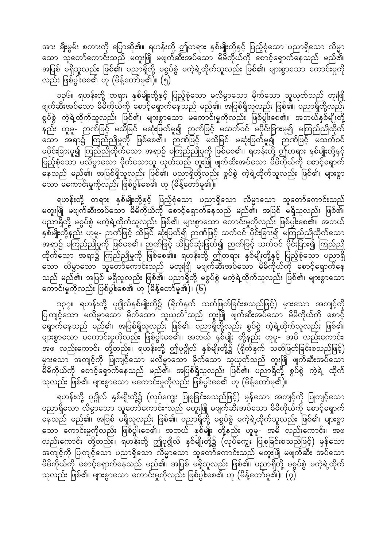အား ချီးမွမ်း စကားကို ပြောဆို၏။ ရဟန်းတို့ ဤတရား နှစ်မျိုးတို့နှင့် ပြည့်စုံသော ပညာရှိသော လိမ္မာ သော သူတော်ကောင်းသည် မတူးဖြုံ မဖျက်ဆီးအပ်သော မိမိကိုယ်ကို စောင့်ရှောက်နေသည် မည်၏၊ အပြစ် မရှိသူလည်း ဖြစ်၏၊ ပညာရှိတို့ မစွပ်စွဲ မကဲ့ရဲ့ထိုက်သူလည်း ဖြစ်၏၊ များစွာသော ကောင်းမှုကို လည်း ဖြစ်ပွါးစေ၏ ဟု (မိန့်တော်မူ၏)။  $(\stackrel{\wedge}{\vphantom{\partial}y})$ 

၁၃၆။ ရဟန်းတို့ တရား နှစ်မျိုးတို့နှင့် ပြည့်စုံသော မလိမ္မာသော မိုက်သော သူယုတ်သည် တူးဖြို .<br>ဖျက်ဆီးအပ်သော မိမိကိုယ်ကို စောင့်ရှောက်နေသည် မည်၏၊ အပြစ်ရှိသူလည်း ဖြစ်၏၊ ပညာရှိတို့လည်း စွပ်စွဲ ကဲ့ရဲ့ထိုက်သူလည်း ဖြစ်၏၊ များစွာသော မကောင်းမှုကိုလည်း ဖြစ်ပွါးစေ၏။ အဘယ်နှစ်မျိုးတို့ မှ တိုးပြောင်းကြေး ကြောက်ဖြင့် မသုံးပြတ်မူ၍ ဉာဏ်ဖြင့် မသက်ဝင် မပိုင်းခြားမူ၍ မကြည်ညိုထိုက် ်ထား သို့ ကြည်ညိုမှုကို ဖြစ်စေ၏။ ဉာဏ်ဖြင့် မသိမြင် မဆုံးဖြတ်မူ၍ ဉာဏ်ဖြင့် မသက်ဝင် မပိုင်းခြားမှု၍ ကြည်ညိုထိုက်သော အရာ၌ မကြည်ညိုမှုကို ဖြစ်စေ၏။ ရဟန်းတို့ ဤတရား နှစ်မျိုးတို့နှင့် ပြည့်စုံသော မလိမ္မာသော မိုက်သောသူ ယုတ်သည် တူးဖြို ဖျက်ဆီးအပ်သော မိမိကိုယ်ကို စောင့်ရှောက် မထိ - လို့ မည်၏၊ အပြစ်ရှိသူလည်း ဖြစ်၏၊ ပညာရှိတို့လည်း စွပ်စွဲ ကဲ့ရဲ့ထိုက်သူလည်း ဖြစ်၏၊ များစွာ သော မကောင်းမှုကိုလည်း ဖြစ်ပွါးစေ၏ ဟု (မိန့်တော်မူ၏ $\overline{\mathfrak{h}}$ 

ရဟန်းတို့ တရား နှစ်မျိုးတို့နှင့် ပြည့်စုံသော ပညာရှိသော လိမ္မာသော သူတော်ကောင်းသည် မတူးဖြို မဖျက်ဆီးအပ်သော မိမိကိုယ်ကို စောင့်ရှောက်နေသည် မည်၏၊ အပြစ် မရှိသူလည်း ဖြစ်၏၊ ပညာရှိတို့ မစွပ်စွဲ မကဲ့ရဲ့ထိုက်သူလည်း ဖြစ်၏၊ များစွာသော ကောင်းမှုကိုလည်း ဖြစ်ပွါးစေ၏။ အဘယ် နှစ်မျိုးတို့နည်း ဟူမူ- ဉာဏ်ဖြင့် သိမြင် ဆုံးဖြတ်၍ ဉာဏ်ဖြင့် သက်ဝင် ပိုင်းခြား၍ မကြည်ညိုထိုက်သော အရာ၌ မကြည်ညိုမှုကို ဖြစ်စေ၏။ ဉာဏ်ဖြင့် သိမြင်ဆုံးဖြတ်၍ ဉာဏ်ဖြင့် သက်ဝင် ပိုင်းခြား၍ ကြည်ညို ထိုက်သော အရာ၌ ကြည်ညိုမှုကို ဖြစ်စေ၏။ ရဟန်းတို့ ဤတရား နှစ်မျိုးတို့နှင့် ပြည့်စုံသော ပညာရှိ သော လိမ္မာသော သူတော်ကောင်းသည် မတူးဖြို မဖျက်ဆီးအပ်သော မိမိကိုယ်ကို စောင့်ရှောက်နေ<sup>်</sup> သည် မည်၏၊ အပြစ် မရှိသူလည်း ဖြစ်၏၊ ပညာရှိတို့ မစွပ်စွဲ မကဲ့ရဲ့ထိုက်သူလည်း ဖြစ်၏၊ များစွာသော ကောင်းမှုကိုလည်း ဖြစ်ပွါးစေ၏ ဟု (မိန့်တော်မူ၏)။  $(6)$ 

၁၃၇။ ရဟန်းတို့ ပုဂ္ဂိုလ်နှစ်မျိုးတို့၌ (ရိုက်နှက် သတ်ဖြတ်ခြင်းစသည်ဖြင့်) မှားသော အကျင့်ကို ပြုကျင့်သော မလိမ္မာသော မိုက်သော သူယုတ်<sup>၁</sup>သည် တူးဖြို ဖျက်ဆီးအပ်သော မိမိကိုယ်ကို စောင့် င်း • က်နေသည် မည်၏၊ အပြစ်ရှိသူလည်း ဖြစ်၏၊ ပညာရှိတို့လည်း စွပ်စွဲ ကဲ့ရဲ့ထိုက်သူလည်း ဖြစ်၏၊ များစွာသော မကောင်းမှုကိုလည်း ဖြစ်ပွါးစေ၏။ အဘယ် နှစ်မျိုး တို့နည်း ဟူမူ- အမိ လည်းကောင်း၊ အဖ လည်းကောင်း တို့တည်း။ ရဟန်းတို့ ဤပုဂ္ဂိုလ် နှစ်မျိုးတို့၌ (ရိုက်နှက် သတ်ဖြတ်ခြင်းစသည်ဖြင့်) မှားသော အကျင့်ကို ပြုကျင့်သော မလိမ္မာသော မိုက်သော သူယုတ်သည် တူးဖြုံ ဖျက်ဆီးအပ်သော .<br>မိမိကိုယ်ကို စောင့်ရှောက်နေသည် မည်၏၊ အပြစ်ရှိသူလည်း ဖြစ်၏၊ ပညာရှိတို့ စွပ်စွဲ ကဲ့ရဲ့ ထိုက် သူလည်း ဖြစ်၏၊ များစွာသော မကောင်းမှုကိုလည်း ဖြစ်ပွါးစေ၏ ဟု (မိန့်တော်မူ၏)။

ရဟန်းတို့ ပုဂ္ဂိုလ် နှစ်မျိုးတို့၌ (လုပ်ကျွေး ပြုစုခြင်းစသည်ဖြင့်) မှန်သော အကျင့်ကို ပြုကျင့်သော ပညာရှိသော လိမ္မာသော သူတော်ကောင်း<sup>ပ</sup>သည် မတူးဖြို မဖျက်ဆီးအပ်သော မိမိကိုယ်ကို စောင့်ရှောက် မြောက် မည်၏၊ အပြစ် မရှိသူလည်း ဖြစ်၏၊ ပညာရှိတို့ မစွပ်စွဲ မကဲ့ရဲ့ထိုက်သူလည်း ဖြစ်၏၊ များစွာ သော ကောင်းမှုကိုလည်း ဖြစ်ပွါးစေ၏။ အဘယ် နှစ်မျိုး တို့နည်း ဟူမှု- အမိ လည်းကောင်း၊ အဖ လည်းကောင်း တို့တည်း။ ရဟန်းတို့ ဤပုဂ္ဂိုလ် နှစ်မျိုးတို့၌ (လုပ်ကျွေး ပြုစုခြင်းစသည်ဖြင့်) မှန်သော အကျင့်ကို ပြုကျင့်သော ပညာရှိသော လိမ္မာသော သူတော်ကောင်းသည် မတူးဖြို မဖျက်ဆီး အပ်သော မိမိကိုယ်ကို စောင့်ရှောက်နေသည် မည်၏၊ အပြစ် မရှိသူလည်း ဖြစ်၏၊ ပညာရှိတို့ မစွပ်စွဲ မကဲ့ရဲ့ထိုက် သူလည်း ဖြစ်၏၊ များစွာသော ကောင်းမှုကိုလည်း ဖြစ်ပွါးစေ၏ ဟု (မိန့်တော်မူ၏)။ (၇)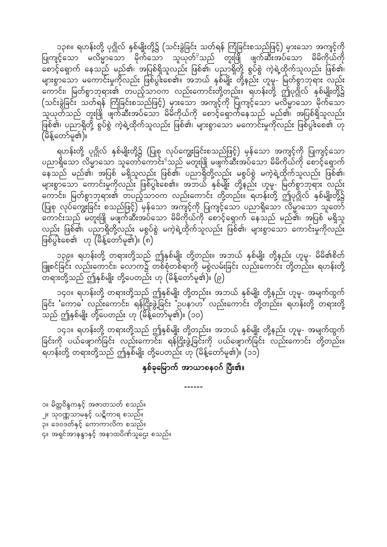၁၃၈။ ရဟန်းတို့ ပုဂ္ဂိုလ် နှစ်မျိုးတို့၌ (သင်းခွဲခြင်း သတ်ရန် ကြံခြင်းစသည်ဖြင့်) မှားသော အကျင့်ကို ပြုကျင့်သော မလိမ္မာသော မိုက်သော သူယုတ်<sup>၃</sup>သည် တူးဖြို ဖျက်ဆီးအပ်သော မိမိကိုယ်ကို မြောင့်ရှောက် နေသည် မည်၏၊ အပြစ်ရှိသူလည်း ဖြစ်၏၊ ပညာရှိတို့ စွပ်စွဲ ကဲ့ရဲ့ထိုက်သူလည်း ဖြစ်၏၊ များစွာသော မကောင်းမှုကိုလည်း ဖြစ်ပွါးစေ၏။ အဘယ် နှစ်မျိုး တို့နည်း ဟူမူ- မြတ်စွာဘုရား လည်း ္သြယ္တာကိုး၊ မြတ်စွာဘုရား၏ တပည့်သာဝက လည်းကောင်းတို့တည်း။ ရဟန်းတို့ ဤပုဂ္ဂိုလ် နှစ်မျိုးတို့၌ (သင်းခွဲခြင်း သတ်ရန် ကြံခြင်းစသည်ဖြင့်) မှားသော အကျင့်ကို ပြုကျင့်သော မလိမ္မာသော မိုက်သော `သူယုတ်သည် တူးဖြို ဖျက်ဆီးအပ်သော မိမိကိုယ်ကို စောင့်ရှောက်နေသည် မည်၏၊ အပြစ်ရှိသူလည်း ြင်္ဂ်ေ့ရ်၊ ပညာရှိတို့ စွပ်စွဲ ကဲ့ရဲ့ထိုက်သူလည်း ဖြစ်၏၊ များစွာသော မကောင်းမှုကိုလည်း ဖြစ်ပွါးစေ၏ ဟု (မိန့်တော်မူ၏)။

ရဟန်းတို့ ပုဂ္ဂိုလ် နှစ်မျိုးတို့၌ (ပြုစု လုပ်ကျွေးခြင်းစသည်ဖြင့်) မှန်သော အကျင့်ကို ပြုကျင့်သော ပညာရှိသော လိမ္မာသော သူတော်ကောင်း<sup>9</sup>သည် မတူးဖြို မဖျက်ဆီးအပ်သော မိမိကိုယ်ကို စောင့်ရှောက် နေသည် မည်၏၊ အပြစ် မရှိသူလည်း ဖြစ်၏၊ ပညာရှိတို့လည်း မစွပ်စွဲ မကဲ့ရဲ့ထိုက်သူလည်း ဖြစ်၏၊ များစွာသော ကောင်းမှုကိုလည်း ဖြစ်ပွါးစေ၏။ အဘယ် နှစ်မျိုး တို့နည်း ဟူမူ- မြတ်စွာဘုရား လည်း ကောင်း၊ မြတ်စွာဘုရား၏ တပည့်သာဝက လည်းကောင်း တို့တည်း။ ရဟန်းတို့ ဤပုဂ္ဂိုလ် နှစ်မျိုးတို့၌ (ပြုစု လုပ်ကျွေးခြင်း စသည်ဖြင့်) မှန်သော အကျင့်ကို ပြုကျင့်သော ပညာရှိသော လိမ္မာသော သူတော် ့္သြယ္ေတြက ေတြကို အတြင္း<br>"လာင္းသည္ မတူးဖြို မဖျက်ဆီးအပ်သော မိမိကိုယ်ကို တေင့်ရှောက် နေသည် မည်၏၊ အပြစ် မရှိသူ လည်း ဖြစ်၏၊ ပညာရှိတို့လည်း မစွပ်စွဲ မကဲ့ရဲ့ထိုက်သူလည်း ဖြစ်၏၊ များစွာသော ကောင်းမှုကိုလည်း  $\lceil \ln \sqrt{\log x} \rceil$ တော်မူ၏)။  $\lceil \log x \rceil$ 

၁၃၉။ ရဟန်းတို့ တရားတို့သည် ဤနှစ်မျိုး တို့တည်း။ အဘယ် နှစ်မျိုး တို့နည်း ဟူမှု- မိမိ၏စိတ် iz<br>ပြူစင်ခြင်း လည်းကောင်း၊ လောက၌ တစ်စုံတစ်ရာကို မစွဲလမ်းခြင်း လည်းကောင်း တို့တည်း။ ရဟန်းတို့ တြီးကို အက်သည် မျိုး တို့ပေတည်း ဟု (မိန့်တော်မူ၏)။ (၉)<br>-

၁၄၀။ ရဟန်းတို့ တရားတို့သည် ဤနှစ်မျိုး တို့တည်း။ အဘယ် နှစ်မျိုး တို့နည်း ဟူမူ- အမျက်ထွက် ခြင်း 'ကောဓ' လည်းကောင်း၊ ရန်ငြိုးဖွဲ့ခြင်း 'ဥပနာဟ' လည်းကောင်း တို့တည်း။ ရဟန်းတို့ တရားတို့  $\sim$ သည် ဤနှစ်မျိုး တို့ပေတည်း ဟု (မိန့်တော်မူ၏)။ (၁၀)

၁၄၁။ ရဟန်းတို့ တရားတို့သည် ဤနှစ်မျိုး တို့တည်း။ အဘယ် နှစ်မျိုး တို့နည်း ဟူမူ- အမျက်ထွက် ခြင်းကို ပယ်ဖျောက်ခြင်း လည်းကောင်း၊ ရန်ငြိုးဖွဲ့ခြင်းကို ပယ်ဖျောက်ခြင်း လည်းကောင်း တို့တည်း။  $\sim$ ရဟန်းတို့ တရားတို့သည် ဤနှစ်မျိုး တို့ပေတည်း ဟု (မိန့်တော်မူ၏)။ (၁၁)

#### နှစ်ခုမြောက် အာယာစနဝဂ် ပြီး၏။

------

၁။ မိတ္တဝိန္ဒကနှင့် အဇာတသတ် စသည်။ ၂။ သုဝဏ္ဏသာမနှင့် ဃဋိကာရ စသည်။ ခု။ ဒေဝဒတ်နှင့် ကောကာလိက စသည်။  $\mathsf{q}_\mathsf{II}$  အရှင်အာနန္ဒာနှင့် အနာထပိဏ်သူဌေး စသည်။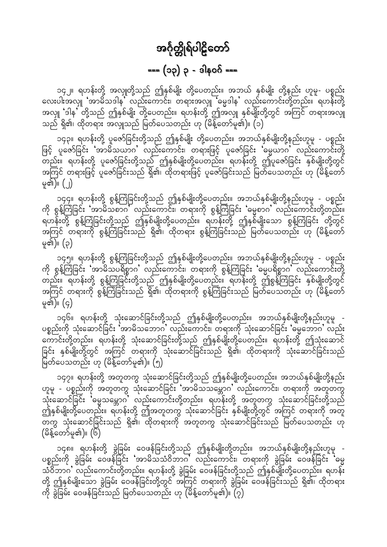### $==(\infty)$   $\circ$  -  $\circ$   $(\circ \circ)$

<span id="page-45-0"></span>၁၄၂။ ရဟန်းတို့ အလှူတို့သည် ဤနှစ်မျိုး တို့ပေတည်း။ အဘယ် နှစ်မျိုး တို့နည်း ဟူမူ- ပစ္စည်း လေးပါးအလျှ 'အာမိသဒါန' လည်းကောင်း၊ တရားအလျှ 'ဓမ္မဒါန' လည်းကောင်းတို့တည်း။ ရဟန်းတို့ အလှူ 'ဒါန' တို့သည် ဤနှစ်မျိုး တို့ပေတည်း။ ရဟန်းတို့ ဤအလှူ နှစ်မျိုးတို့တွင် အကြင် တရားအလှူ သည် ရှိ၏၊ ထိုတရား အလျှသည် မြတ်ပေသတည်း ဟု (မိန့်တော်မှု၏)။ (၁)

၁၄၃။ ရဟန်းတို့ ပူဇော်ခြင်းတို့သည် ဤနှစ်မျိုး တို့ပေတည်း။ အဘယ်နှစ်မျိုးတို့နည်းဟူမူ - ပစ္စည်း ဖြင့် ပူဇော်ခြင်း 'အာမိသယာဂ' လည်းကောင်း၊ တရားဖြင့် ပူဇော်ခြင်း 'ဓမ္မယာဂ' လည်းကောင်းတို့ .<br>တည်း။ ရဟန်းတို့ ပူဇော်ခြင်းတို့သည် ဤနှစ်မျိုးတို့ပေတည်း။ ရဟန်းတို့ ဤပူဇော်ခြင်း နှစ်မျိုးတို့တွင် အကြင် တရားဖြင့် ပူဇော်ခြင်းသည် ရှိ၏၊ ထိုတရားဖြင့် ပူဇော်ခြင်းသည် မြတ်ပေသတည်း ဟု (မိန့်တော် မှု၏)။ (၂)

၁၄၄။ ရဟန်းတို့ စွန့်ကြဲခြင်းတို့သည် ဤနှစ်မျိုးတို့ပေတည်း။ အဘယ်နှစ်မျိုးတို့နည်းဟူမူ - ပစ္စည်း<br>ကို စွန့်ကြဲခြင်း 'အာမိသစာဂ' လည်းကောင်း၊ တရားကို စွန့်ကြဲခြင်း 'ဓမ္မစာဂ' လည်းကောင်းတို့တည်း။ ရဟန်းတို့ စွန့်ကြဲခြင်းတို့သည် ဤနှစ်မျိုးတို့ပေတည်း။ ရဟန်းတို့ ဤနှစ်မျိုးသော စွန့်ကြဲခြင်း တို့တွင် ာကြင် တရားကို စွန့်ကြံခြင်းသည် ရှိ၏၊ ထိုတရား စွန့်ကြဲခြင်းသည် မြတ်ပေသတည်း ဟု (မိန့်တော် မှု၏)။ (၃)

၁၄၅။ ရဟန်းတို့ စွန့်ကြဲခြင်းတို့သည် ဤနှစ်မျိုးတို့ပေတည်း။ အဘယ်နှစ်မျိုးတို့နည်းဟူမူ - ပစ္စည်း ကို စွန့်ကြံခြင်း 'အာဓိသပရိစ္စာဂ' လည်းကောင်း၊ တရားကို စွန့်ကြဲခြင်း 'မွေပရိစ္စာဂ' လည်းကောင်းတို့ တည်း။ ရဟန်းတို့ စွန့်ကြဲခြင်းတို့သည် ဤနှစ်မျိုးတို့ပေတည်း။ ရဟန်းတို့ ဤစွန့်ကြဲခြင်း နှစ်မျိုးတို့တွင် အကြင် တရားကို စွန့်ကြဲခြင်းသည် ရှိ၏၊ ထိုတရားကို စွန့်ကြဲခြင်းသည် မြတ်ပေသတည်း ဟု (မိန့်တော် မှု၏)။  $(q)$ 

၁၄၆။ ရဟန်းတို့ သုံးဆောင်ခြင်းတို့သည် ဤနှစ်မျိုးတို့ပေတည်း။ အဘယ်နှစ်မျိုးတို့နည်းဟူမူ -<br>ပစ္စည်းကို သုံးဆောင်ခြင်း အာမိသဘောဂ လည်းကောင်း၊ တရားကို သုံးဆောင်ခြင်း ဓမ္မဘောဂ လည်း ကောင်းတို့တည်း။ ရဟန်းတို့ သုံးဆောင်ခြင်းတို့သည် ဤနှစ်မျိုးတို့ပေတည်း။ ရဟန်းတို့ ဤသုံးဆောင် ခြင်း နှစ်မျိုးတို့တွင် အကြင် တရားကို သုံးဆောင်ခြင်းသည် ရှိ၏၊ ထိုတရားကို သုံးဆောင်ခြင်းသည် မြတ်ပေသတည်း ဟု (မိန့်တော်မူ၏)။ (၅)

၁၄၇။ ရဟန်းတို့ အတူတကွ သုံးဆောင်ခြင်းတို့သည် ဤနှစ်မျိုးတို့ပေတည်း။ အဘယ်နှစ်မျိုးတို့နည်း ဟူမူ - ပစ္စည်းကို အတူတကွ သုံးဆောင်ခြင်း 'အာမိသသမ္ဘောဂ' လည်းကောင်း၊ တရားကို အတူတကွ သုံးဆောင်ခြင်း 'ဓမ္မသမ္ဘောဂ' လည်းကောင်းတို့တည်း။ ရဟန်းတို့ အတူတကွ သုံးဆောင်ခြင်းတို့သည် ဤ်နှစ်မျိုးတို့ပေတည်း။ ရဟန်းတို့ ဤအတူတကွ သုံးဆောင်ခြင်း နှစ်မျိုးတို့တွင် အကြင် တရားကို အတူ တကွ သုံးဆောင်ခြင်းသည် ရှိ၏၊ ထိုတရားကို အတူတကွ သုံးဆောင်ခြင်းသည် မြတ်ပေသတည်း ဟု (မိန့်တော်မူ၏)။ (၆)

၁၄၈။ ရဟန်းတို့ ခွဲခြမ်း ဝေဖန်ခြင်းတို့သည် ဤနှစ်မျိုးတို့တည်း။ အဘယ်နှစ်မျိုးတို့နည်းဟူမူ -<br>ပစ္စည်းကို ခွဲခြမ်း ဝေဖန်ခြင်း 'အာမိသသံဝိဘာဂ' လည်းကောင်း၊ တရားကို ခွဲခြမ်း ဝေဖန်ခြင်း 'ဓမ္မ သံဝိဘာဂ လည်းကောင်းတို့တည်း။ ရဟန်းတို့ ခွဲခြမ်း ဝေဖန်ခြင်းတို့သည် ဤနှစ်မျိုးတို့ပေတည်း။ ရဟန်း တို့ ဤနှစ်မျိုးသော ခွဲခြမ်း ဝေဖန်ခြင်းတို့တွင် အကြင် တရားကို ခွဲခြမ်း ဝေဖန်ခြင်းသည် ရှိ၏၊ ထိုတရား ကို ခွဲခြမ်း ဝေဖန်ခြင်းသည် မြတ်ပေသတည်း ဟု (မိန့်တော်မူ၏)။ (၇)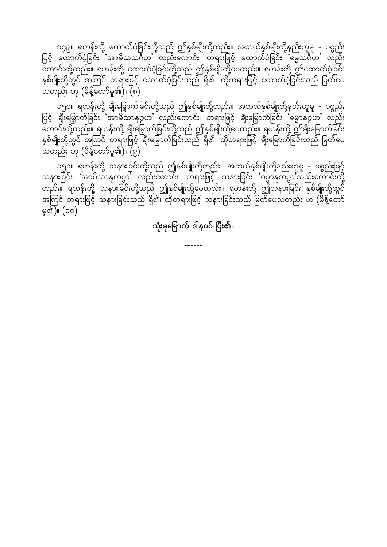၁၄၉။ ရဟန်းတို့ ထောက်ပံ့ခြင်းတို့သည် ဤနှစ်မျိုးတို့တည်း။ အဘယ်နှစ်မျိုးတို့နည်းဟူမူ - ပစ္စည်း ဖြင့် ထောက်ပံ့ခြင်း အာမိသသင်္ဂဟ'်လည်းကောင်း၊ တရားဖြင့် ထောက်ပံ့ခြင်း 'မမ္မသင်္ဂဟ' လည်း ကောင်းတို့တည်း။ ရဟန်းတို့ ထောက်ပံ့ခြင်းတို့သည် ဤနှစ်မျိုးတို့ပေတည်း။ ရဟန်းတို့ ဤထောက်ပံ့ခြင်း<br>နှစ်မျိုးတို့တွင် အကြင် တရားဖြင့် ထောက်ပံ့ခြင်းသည် ရှိ၏၊ ထိုတရားဖြင့် ထောက်ပံ့ခြင်းသည် မြတ်ပေ ာ<br>သတည်း ဟု (မိန့်တော်မူ၏)။ (၈)

၁၅၀။ ရဟန်းတို့ ချီးမြှောက်ခြင်းတို့သည် ဤနှစ်မျိုးတို့တည်း။ အဘယ်နှစ်မျိုးတို့နည်းဟူမူ - ပစ္စည်း<br>ဖြင့် ချီးမြှောက်ခြင်း 'အာမိသာနုဂ္ဂဟ' လည်းကောင်း၊ တရားဖြင့် ချီးမြှောက်ခြင်း 'မွောနုဂ္ဂဟ' လည်း ပ • ၂ မ<br>ကောင်းတို့တည်း။ ရဟန်းတို့ ချီးမြှောက်ခြင်းတို့သည် ဤနှစ်မျိုးတို့ပေတည်း။ ရဟန်းတို့ ဤချီးမြှောက်ခြင်း<br>နှစ်မျိုးတို့တွင် အကြင် တရားဖြင့် ချီးမြှောက်ခြင်းသည် ရှိ၏၊ ထိုတရားဖြင့် ချီးမြှောက်ခြင်းသည် မြတ်ပေ ှ<br>သတည်း ဟု (မိန့်တော်မူ၏)။ (၉)

၁၅၁။ ရဟန်းတို့ သနားခြင်းတို့သည် ဤနှစ်မျိုးတို့တည်း။ အဘယ်နှစ်မျိုးတို့နည်းဟူမူ - ပစ္စည်းဖြင့် သနားခြင်း 'အာဓိသာနုကမ္ပာ' လည်းကောင်း၊ တရားဖြင့် သနားခြင်း 'မွောနုကမ္ပာ'လည်းကောင်းတို့ တည်း။ ရဟန်းတို့ သနားခြင်းတို့သည် ဤနှစ်မျိုးတို့ပေတည်း။ ရဟန်းတို့ ဤသနားခြင်း နှစ်မျိုးတို့တွင် အကြင် တရားဖြင့် သနားခြင်းသည် ရှိ၏၊ ထိုတရားဖြင့် သနားခြင်းသည် မြတ်ပေသတည်း ဟု (မိန့်တော် မူ၏)။ (၁၀)

သုံးခုမြောက် ဒါနဝဂ် ပြီး၏။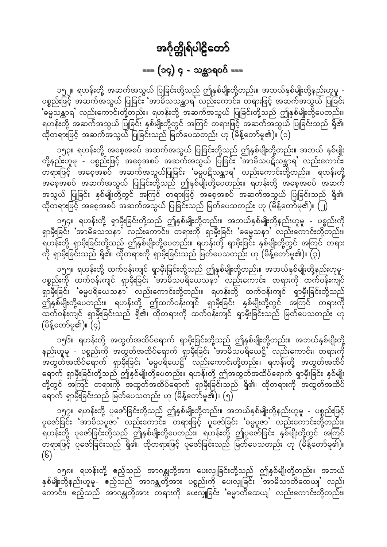## === (၁၄) ၄ - သန္တာရ၀၀် ===

<span id="page-47-0"></span>၁၅၂။ ရဟန်းတို့ အဆက်အသွယ် ပြုခြင်းတို့သည် ဤနှစ်မျိုးတို့တည်း။ အဘယ်နှစ်မျိုးတို့နည်းဟူမူ -<br>ပစ္စည်းဖြင့် အဆက်အသွယ် ပြုခြင်း 'အာမိသသန္ထာရ' လည်းကောင်း၊ တရားဖြင့် အဆက်အသွယ် ပြုခြင်း ်မ္မေသန္တာရ' လည်းကောင်းတို့တည်း။ ရဟန်းတို့ အဆက်အသွယ် ပြုခြင်းတို့သည် ဤနှစ်မျိုးတို့ပေတည်း။ ရဟန်းတို့ အဆက်အသွယ် ပြုခြင်း နှစ်မျိုးတို့တွင် အကြင် တရားဖြင့် အဆက်အသွယ် ပြုခြင်းသည် ရှိ၏၊ ထိုတရားဖြင့် အဆက်အသွယ် ပြုခြင်းသည် မြတ်ပေသတည်း ဟု (မိန့်တော်မူ၏)။ (၁)

၁၅၃။ ရဟန်းတို့ အစေ့အစပ် အဆက်အသွယ် ပြုခြင်းတို့သည် ဤနှစ်မျိုးတို့တည်း။ အဘယ် နှစ်မျိုး<br>တို့နည်းဟူမူ - ပစ္စည်းဖြင့် အစေ့အစပ် အဆက်အသွယ် ပြုခြင်း 'အာမိသပဋိသန္ထာရ' လည်းကောင်း၊ ားသည်။<br>ကရားဖြင့် အစေ့အစပ် အဆက်အသွယ်ပြုခြင်း 'ဓမ္မပဋိသန္ထာရ' လည်းကောင်းတို့တည်း။ ရဟန်းတို့ အသွယ် ပြုခြင်း နှစ်မျိုးတို့တွင် အကြင် တရားဖြင့် အစေ့အစပ် အဆက်အသွယ် ပြုခြင်းသည် ရှိ၏၊ ထိုတရားဖြင့် အစေ့အစပ် အဆက်အသွယ် ပြုခြင်းသည် မြတ်ပေသတည်း ဟု (မိန့်တော်မူ၏)။ (၂)

၁၅၄။ ရဟန်းတို့ ရှာမှီးခြင်းတို့သည် ဤနှစ်မျိုးတို့တည်း။ အဘယ်နှစ်မျိုးတို့နည်းဟူမူ - ပစ္စည်းကို<br>ရှာမှီးခြင်း 'အာမိသေသနာ' လည်းကောင်း၊ တရားကို ရှာမှီးခြင်း 'ဓမ္မေသနာ' လည်းကောင်းတို့တည်း။ -.<br>ရဟန်းတို့ ရှာမှီးခြင်းတို့သည် ဤနှစ်မျိုးတို့ပေတည်း။ ရဟန်းတို့ ရှာမှီးခြင်း နှစ်မျိုးတို့တွင် အကြင် တရား ကို ရှာမှီးခြင်းသည် ရှိ၏၊ ထိုတရားကို ရှာမှီးခြင်းသည် မြတ်ပေသတည်း ဟု (မိန့်တော်မူ၏)။ (၃)

၁၅၅။ ရဟန်းတို့ ထက်ဝန်းကျင် ရှာမှီးခြင်းတို့သည် ဤနှစ်မျိုးတို့တည်း။ အဘယ်နှစ်မျိုးတို့နည်းဟူမူ-ပစ္စည်းကို ထက်ဝန်းကျင် ရှာမှီးခြင်း အာဓိသပရိယေသနာ လည်းကောင်း၊ တရားကို ထက်ဝန်းကျင် ရှာမှီးခြင်း **'**ဓမ္မပရိယေသန**ာ'** လည်းကောင်းတို့တည်း။ ရဟန်းတို့ ထက်ဝန်းကျင် ရှာမှီးခြင်းတို့သည် ဤနှစ်မျိုးတို့ပေတည်း။ ရဟန်းတို့ ဤထက်ဝန်းကျင် ရှာမှီးခြင်း နှစ်မျိုးတို့တွင် အကြင် တရားကို (မိန့်တော်မူ၏)။  $\vec{c}$ )

၁၅၆။ ရဟန်းတို့ အထွတ်အထိပ်ရောက် ရှာမှီးခြင်းတို့သည် ဤနှစ်မျိုးတို့တည်း။ အဘယ်နှစ်မျိုးတို့ နည်းဟူမူ - ပစ္စည်းကို အထွတ်အထိပ်ရောက် ရှာမှီးခြင်း အာမိသပရိယေဋ္ဌိ လည်းကောင်း၊ တရားကို<br>အထွတ်အထိပ်ရောက် ရှာမှီးခြင်း 'ဓမ္မပရိယေဋ္ဌိ' လည်းကောင်းတို့တည်း။ ရဟန်းတို့ အထွတ်အထိပ် ရောက် ရှာမှီးခြင်းတို့သည် ဤနှစ်မျိုးတို့ပေတည်း။ ရဟန်းတို့ ဤအထွတ်အထိပ်ရောက် ရှာမှီးခြင်း နှစ်မျိုး တို့တွင် အကြင် တရားကို အထွတ်အထိပ်ရောက် ရှာမှီးခြင်းသည် ရှိ၏၊ ထိုတရားကို အထွတ်အထိပ် ရောက် ရှာမှီးခြင်းသည် မြတ်ပေသတည်း ဟု (မိန့်တော်မူ၏)။ (၅)

၁၅၇။ ရဟန်းတို့ ပူဇော်ခြင်းတို့သည် ဤနှစ်မျိုးတို့တည်း။ အဘယ်နှစ်မျိုးတို့နည်းဟူမူ - ပစ္စည်းဖြင့် ပူဇော်ခြင်း 'အာမိသပူဇာ' လည်းကောင်း၊ တရားဖြင့် ပူဇော်ခြင်း 'ဓမ္မပူဇာ' လည်းကောင်းတို့တည်း။ ရဟန်းတို့ ပူဇော်ခြင်းတို့သည် ဤနှစ်မျိုးတို့ပေတည်း။ ရဟန်းတို့ ဤပူဇော်ခြင်း နှစ်မျိုးတို့တွင် အကြင်<br>တရားဖြင့် ပူဇော်ခြင်းသည် ရှိ၏၊ ထိုတရားဖြင့် ပူဇော်ခြင်းသည် မြတ်ပေသတည်း ဟု (မိန့်တော်မူ၏)။  $(S)$ 

၁၅၈။ ရဟန်းတို့ ဧည့်သည် အာဂန္တုတို့အား ပေးလှူခြင်းတို့သည် ဤနှစ်မျိုးတို့တည်း။ အဘယ် နှစ်မျိုးတို့နည်းဟူမူ- ဧည့်သည် အာဂန္တုတို့အား ပစ္စည်းကို ပေးလှူခြင်း အာမိသာတိထေယျ' လည်း ှ<br>ကောင်း၊ ဧည့်သည် အာဂန္တုတို့အား တရားကို ပေးလှူခြင်း 'မွောတိထေယျ' လည်းကောင်းတို့တည်း။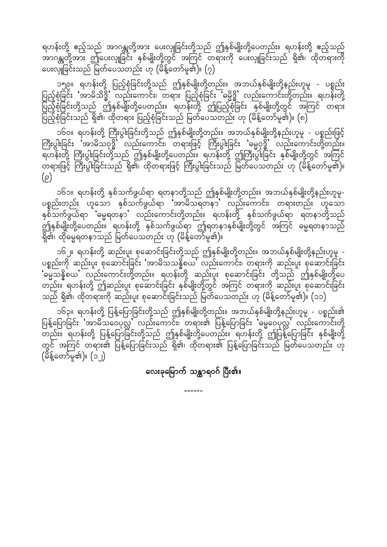ရဟန်းတို့ ဧည့်သည် အာဂန္တုတို့အား ပေးလှူခြင်းတို့သည် ဤနှစ်မျိုးတို့ပေတည်း။ ရဟန်းတို့ ဧည့်သည် ပေးလှူခြင်းသည် မြတ်ပေသတည်း ဟု (မိန့်တော်မူ၏)။ (၇)

၁၅၉။ ရဟန်းတို့ ပြည့်စုံခြင်းတို့သည် ဤနှစ်မျိုးတို့တည်း။ အဘယ်နှစ်မျိုးတို့နည်းဟူမူ - ပစ္စည်း ပြည့်စုံခြင်း 'အာမိသိဒ္ဓိ' လည်းကောင်း၊ တရား ပြည့်စုံခြင်း 'ဓမ္မိဒ္ဓိ' လည်းကောင်းတို့တည်း။ ရဟန်းတို့ ပြင် LU<br>ပြည့်စုံခြင်းတို့သည် ဤနှစ်မျိုးတို့ပေတည်း။ ရဟန်းတို့ ဤပြည့်စုံခြင်း နှစ်မျိုးတို့တွင် အကြင် တရား ပြည့်စုံခြင်းသည် ရှိ၏၊ ထိုတရား ပြည့်စုံခြင်းသည် မြတ်ပေသတည်း ဟု (မိန့်တော်မူ၏)။ (၈)

ာ၆ဝ။ ရဟန်းတို့ ကြီးပွါးခြင်းတို့သည် ဤနှစ်မျိုးတို့တည်း။ အဘယ်နှစ်မျိုးတို့နည်းဟူမူ - ပစ္စည်းဖြင့်<br>ကြီးပွါးခြင်း 'အာမိသဝုဒ္ဓိ' လည်းကောင်း၊ တရားဖြင့် ကြီးပွါးခြင်း 'ဓမ္မဝုဒ္ဓိ' လည်းကောင်းတို့တည်း။  $(\epsilon)$ 

၁၆၁။ ရဟန်းတို့ နှစ်သက်ဖွယ်ရာ ရတနာတို့သည် ဤနှစ်မျိုးတို့တည်း။ အဘယ်နှစ်မျိုးတို့နည်းဟူမူ-ပစ္စည်းတည်း ဟူသော နှစ်သက်ဖွယ်ရာ 'အာဓိသရတနာ' လည်းကောင်း၊ တရားတည်း ဟူသော နှစ်သက်ဖွယ်ရာ ်ဓမ္မရတနာႛ လည်းကောင်းတို့တည်း။ ရဟန်းတို့ နှစ်သက်ဖွယ်ရာ ရတနာတို့သည် ာ<br>ဤနှစ်မျိုးတို့ပေတည်း။ ရဟန်းတို့ နှစ်သက်ဖွယ်ရာ ဤရတနာနှစ်မျိုးတို့တွင် အကြင် ဓမ္မရတနာသည် ရှိ၏၊ ထိုဓမ္မရတနာသည် မြတ်ပေသတည်း ဟု (မိန့်တော်မူ၏)။

၁၆၂။ ရဟန်းတို့ ဆည်းပူး စုဆောင်းခြင်းတို့သည် ဤနှစ်မျိုးတို့တည်း။ အဘယ်နှစ်မျိုးတို့နည်းဟူမူ -<br>ပစ္စည်းကို ဆည်းပူး စုဆောင်းခြင်း 'အာမိသသန္နိစယ' လည်းကောင်း၊ တရားကို ဆည်းပူး စုဆောင်းခြင်း ္ "<br>'ဓမ္မသန္နိစယ' လည်းကောင်းတို့တည်း။ ရဟန်းတို့ ဆည်းပူး စုဆောင်းခြင်း တို့သည် ဤနှစ်မျိုးတို့ပေ တည်း။ ရဟန်းတို့ ဤဆည်းပူး စုဆောင်းခြင်း နှစ်မျိုးတို့တွင် အကြင် တရားကို ဆည်းပူး စုဆောင်းခြင်း သည် ရှိ၏၊ ထိုတရားကို ဆည်းပူး စုဆောင်းခြင်းသည် မြတ်ပေသတည်း ဟု (မိန့်တော်မူ၏)။ (၁၁)

၁၆၃။ ရဟန်းတို့ ပြန့်ပြောခြင်းတို့သည် ဤနှစ်မျိုးတို့တည်း။ အဘယ်နှစ်မျိုးတို့နည်းဟူမူ - ပစ္စည်း၏<br>ပြန့်ပြောခြင်း 'အာမိသဝေပုလ္လ' လည်းကောင်း၊ တရား၏ ပြန့်ပြောခြင်း 'ဓမ္မဝေပုလ္လ' လည်းကောင်းတို့ မြို့သည်။ ရဟန်းတို့ ပြန့်ပြောခြင်းတို့သည် ဤနှစ်မျိုးတို့ပေတည်း။ ရဟန်းတို့ ဤပြန့်ပြောခြင်း နှစ်မျိုးတို့ တွင် အကြင် တရား၏ ပြန့်ပြောခြင်းသည် ရှိ၏၊ ထိုတရား၏ ပြန့်ပြောခြင်းသည် မြတ်ပေသတည်း ဟု (မိန့်တော်မူ၏)။ (၁၂)

လေးခုမြောက် သန္တာရဝဂ် ပြီး၏။

------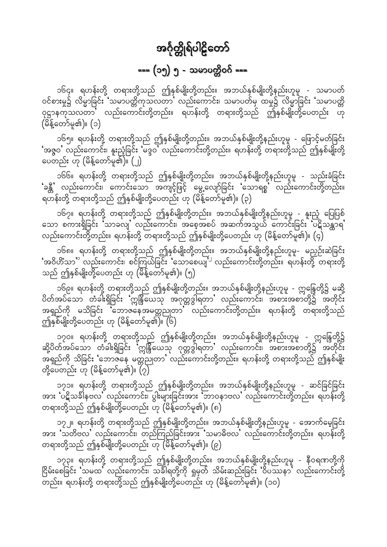## === (၁၅) ၅ - သမာပတ္တိဝဂ် ===

<span id="page-49-0"></span>၁၆၄။ ရဟန်းတို့ တရားတို့သည် ဤနှစ်မျိုးတို့တည်း။ အဘယ်နှစ်မျိုးတို့နည်းဟူမူ - သမာပတ် ဝင်စားမှု၌ လိမ္မာခြင်း 'သမာပတ္တိကုသလတာ' လည်းကောင်း၊ သမာပတ်မှ ထမှု၌ လိမ္မာခြင်း 'သမာပတ္တိ ဝုဋ္ဌာနကုသလတာ လည်းကောင်းတို့တည်း။ ရဟန်းတို့ တရားတို့သည် ဤနှစ်မျိုးတို့ပေတည်း ဟု (မိန့်တော်မူ၏)။ (၁)

၁၆၅။ ရဟန်းတို့ တရားတို့သည် ဤနှစ်မျိုးတို့တည်း။ အဘယ်နှစ်မျိုးတို့နည်းဟူမူ - ဖြောင့်မတ်ခြင်း ်အဇ္ဇဝ' လည်းကောင်း၊ နူးညံ့ခြင်း 'မဒ္ဒဝ' လည်းကောင်းတို့တည်း။ ရဟန်းတို့ တရားတို့သည် ဤနှစ်မျိုးတို့ ပေတည်း ဟု (မိန့်တော်မူ၏)။ (၂)

၁၆၆။ ရဟန်းတို့ တရားတို့သည် ဤနှစ်မျိုးတို့တည်း။ အဘယ်နှစ်မျိုးတို့နည်းဟူမူ - သည်းခံခြင်း ်ခန္တီ' လည်းကောင်း၊ ကောင်းသော အကျင့်ဖြင့် မွေ့လျော်ခြင်း 'သောရစ္စ' လည်းကောင်းတို့တည်း။ ရဟန်းတို့ တရားတို့သည် ဤနှစ်မျိုးတို့ပေတည်း ဟု (မိန့်တော်မူ၏)။ (၃)

၁၆၇။ ရဟန်းတို့ တရားတို့သည် ဤနှစ်မျိုးတို့တည်း။ အဘယ်နှစ်မျိုးတို့နည်းဟူမူ - နူးညံ့ ပြေပြစ်<br>သော စကားရှိခြင်း သာခလျႛ လည်းကောင်း၊ အစေ့အစပ် အဆက်အသွယ် ကောင်းခြင်း ပဋိသန္တာရ' လည်းကောင်းတို့တည်း။ ရဟန်းတို့ တရားတို့သည် ဤနှစ်မျိုးတို့ပေတည်း ဟု (မိန့်တော်မူ၏)။ (၄)

ာ၆၈။ ရဟန်းတို့ တရားတို့သည် ဤနှစ်မျိုးတို့တည်း။ အဘယ်နှစ်မျိုးတို့နည်းဟူမူ- မညှဉ်းဆဲခြင်း<br>'အဝိဟိံသာ' လည်းကောင်း၊ စင်ကြယ်ခြင်း 'သောစေယျ<sup>' ၊</sup> လည်းကောင်းတို့တည်း။ ရဟန်းတို့ တရားတို့ သည် ဤနှစ်မျိုးတို့ပေတည်း ဟု (မိန့်တော်မူ၏)။ (၅)

၁၆၉။ ရဟန်းတို့ တရားတို့သည် ဤနှစ်မျိုးတို့တည်း။ အဘယ်နှစ်မျိုးတို့နည်းဟူမူ - ဣန္ဒြေတို့၌ မဆို့<br>ပိတ်အပ်သော တံခါးရှိခြင်း 'ဣန္ဒြယေသု အဂုတ္တဒွါရတာ' လည်းကောင်း၊ အစားအစာတို့၌ အတိုင်း အရှည်ကို မသိခြင်း မ်ဘာဇနေအမတ္တညုတာ လည်းကောင်းတို့တည်း။ ရဟန်းတို့ တရားတို့သည် ဤနှစ်မျိုးတို့ပေတည်း ဟု (မိန့်တော်မူ၏)။ (၆)

၁၇၀။ ရဟန်းတို့ တရားတို့သည် ဤနှစ်မျိုးတို့တည်း။ အဘယ်နှစ်မျိုးတို့နည်းဟူမူ - ဣန္ဒြေတို့၌<br>ဆို့ပိတ်အပ်သော တံခါးရှိခြင်း 'ဣန္ဒြယေသု ဂုတ္တဒွါရတာ' လည်းကောင်း၊ အစားအစာတို့၌ အတိုင်း .<br>အရှည်ကို သိခြင်း 'ဘောဇနေ မတ္တညုတာ' လည်းကောင်းတို့တည်း။ ရဟန်းတို့ တရားတို့သည် ဤနှစ်မျိုး ာ္။<br>တို့ပေတည်း ဟု (မိန့်တော်မူ၏)။ (၇)

၁၇၁။ ရဟန်းတို့ တရားတို့သည် ဤနှစ်မျိုးတို့တည်း။ အဘယ်နှစ်မျိုးတို့နည်းဟူမူ - ဆင်ခြင်ခြင်း အား 'ပဋိသခါနဗလ' လည်းကောင်း၊ ပွါးများခြင်းအား 'ဘာဝနာဗလ' လည်းကောင်းတို့တည်း။ ရဟန်းတို့ တရားတို့သည် ဤနှစ်မျိုးတို့ပေတည်း ဟု (မိန့်တော်မူ၏)။ (၈)

၁၇၂။ ရဟန်းတို့ တရားတို့သည် ဤနှစ်မျိုးတို့တည်း။ အဘယ်နှစ်မျိုးတို့နည်းဟူမူ - အောက်မေ့ခြင်း အား 'သတိဗလ' လည်းကောင်း၊ တည်ကြည်ခြင်းအား 'သမာဓိဗလ' လည်းကောင်းတို့တည်း။ ရဟန်းတို့ တရားတို့သည် ဤနှစ်မျိုးတို့ပေတည်း ဟု (မိန့်တော်မူ၏)။ (၉)

၁၇၃။ ရဟန်းတို့ တရားတို့သည် ဤနှစ်မျိုးတို့တည်း။ အဘယ်နှစ်မျိုးတို့နည်းဟူမူ - နီဝရဏတို့ကို - ပြွမ်းစေခြင်း 'သမထ' လည်းကောင်း၊ သင်္ခါရတို့ကို ရှုမှတ် သိမ်းဆည်းခြင်း 'ဝိပဿနာ' လည်းကောင်းတို့ .<br>တည်း။ ရဟန်းတို့ တရားတို့သည် ဤနှစ်မျိုးတို့ပေတည်း ဟု (မိန့်တော်မူ၏)။ (၁၀)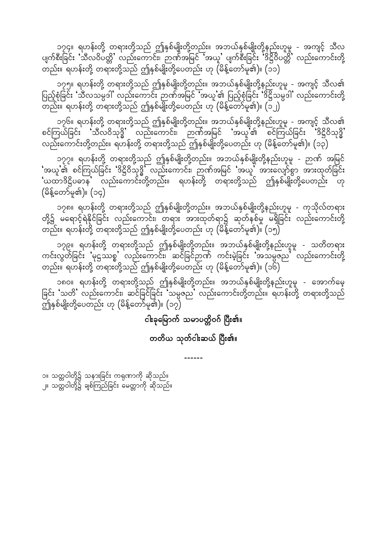၁၇၄။ ရဟန်းတို့ တရားတို့သည် ဤနှစ်မျိုးတို့တည်း။ အဘယ်နှစ်မျိုးတို့နည်းဟူမူ - အကျင့် သီလ ပျက်စီးခြင်း 'သီလဝိပတ္တိ' လည်းကောင်း၊ ဉာဏ်အမြင် 'အယူ' ပျက်စီးခြင်း 'ဒိဋ္ဌိဝိပတ္တိ' လည်းကောင်းတို့ တည်း။ ရဟန်းတို့ တရားတို့သည် ဤနှစ်မျိုးတို့ပေတည်း ဟု (မိန့်တော်မူ၏)။ (၁၁)

၁၇၅။ ရဟန်းတို့ တရားတို့သည် ဤနှစ်မျိုးတို့တည်း။ အဘယ်နှစ်မျိုးတို့နည်းဟူမူ - အကျင့် သီလ၏ ပြည့်စုံခြင်း 'သီလသမ္ပဒါ' လည်းကောင်း ဉာဏ်အမြင် 'အယူ'၏ ပြည့်စုံခြင်း 'ဒိဋ္ဌိသမ္ပဒါ' လည်းကောင်းတို့ မ္မေန်းမှာ<br>ပြန်နောက်နေးတို့ တရားတို့သည် ဤနှစ်မျိုးတို့ပေတည်း ဟု (မိန့်တော်မူ၏)။ (၁၂)

၁၇၆။ ရဟန်းတို့ တရားတို့သည် ဤနှစ်မျိုးတို့တည်း။ အဘယ်နှစ်မျိုးတို့နည်းဟူမူ - အကျင့် သီလ၏ စင်ကြယ်ခြင်း သီလဝိသုဒ္ဓိ လည်းကောင်း၊ ဉာဏ်အမြင် 'အယူ'၏ စင်ကြယ်ခြင်း 'ဒိဋ္ဌိဝိသုဒ္ဓိ' လည်းကောင်းတို့တည်း။ ရဟန်းတို့ တရားတို့သည် ဤနှစ်မျိုးတို့ပေတည်း ဟု (မိန့်တော်မူ၏)။ (၁၃)

၁၇၇။ ရဟန်းတို့ တရားတို့သည် ဤနှစ်မျိုးတို့တည်း။ အဘယ်နှစ်မျိုးတို့နည်းဟူမူ - ဉာဏ် အမြင်  $\cdot$ အယူ'၏ စင်ကြယ်ခြင်း 'ဒိဋ္ဌိဝိသုဒ္ဓိ' လည်းကောင်း၊ ဉာဏ်အမြင် 'အယူ' အားလျော်စွာ အားထုတ်ခြင်း ်ယထာဒိဋ္ဌိပဓာန လည်းကောင်းတို့တည်း။ ရဟန်းတို့ တရားတို့သည် ဤနှစ်မျိုးတို့ပေတည်း ဟု  $($ မိန့်တော်မူ၏)။  $($ ၁၄ $)$ 

၁၇၈။ ရဟန်းတို့ တရားတို့သည် ဤနှစ်မျိုးတို့တည်း။ အဘယ်နှစ်မျိုးတို့နည်းဟူမူ - ကုသိုလ်တရား တို့၌ မရောင့်ရဲနိုင်ခြင်း လည်းကောင်း၊ တရား အားထုတ်ရာ၌ ဆုတ်နှစ်မှု မရှိခြင်း လည်းကောင်းတို့ တည်း။ ရဟန်းတို့ တရားတို့သည် ဤနှစ်မျိုးတို့ပေတည်း ဟု (မိန့်တော်မူ၏)။ (၁၅)

၁၇၉။ ရဟန်းတို့ တရားတို့သည် ဤနှစ်မျိုးတို့တည်း။ အဘယ်နှစ်မျိုးတို့နည်းဟူမူ - သတိတရား ကင်းလွတ်ခြင်း **'**မုဋ္ဌဿစ္စ' လည်းကောင်း၊ ဆင်ခြင်ဉာဏ် ကင်းမဲ့ခြင်း 'အသမ္ပဇည' လည်းကောင်းတို့ တည်း။ ရဟန်းတို့ တရားတို့သည် ဤနှစ်မျိုးတို့ပေတည်း ဟု (မိန့်တော်မူ၏)။ (၁၆)

၁၈၀။ ရဟန်းတို့ တရားတို့သည် ဤနှစ်မျိုးတို့တည်း။ အဘယ်နှစ်မျိုးတို့နည်းဟူမူ - အောက်မေ့ ခြင်း 'သတိ' လည်းကောင်း၊ ဆင်ခြင်ခြင်း 'သမ္ပဇည' လည်းကောင်းတို့တည်း။ ရဟန်းတို့ တရားတို့သည် ပ<br>ဤနှစ်မျိုးတို့ပေတည်း ဟု (မိန့်တော်မူ၏)။ (၁၇)

#### ငါးခုမြောက် သမာပတ္တိဝဂ် ပြီး၏။

#### တတိယ သုတ်ငါးဆယ် ပြီး၏။

------

၁။ သတ္တဝါတို့၌ သနားခြင်း ကရုဏာကို ဆိုသည်။ ၂။ သတ္တဝါတို့၌ ချစ်ကြည်ခြင်း မေတ္တာကို ဆိုသည်။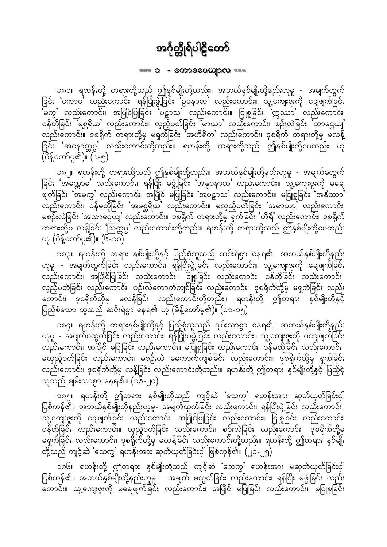#### === ၁ - ကောဓပေယျာလ ===

<span id="page-51-0"></span>၁၈၁။ ရဟန်းတို့ တရားတို့သည် ဤနှစ်မျိုးတို့တည်း။ အဘယ်နှစ်မျိုးတို့နည်းဟူမူ - အမျက်ထွက်<br>ခြင်း 'ကောဓ' လည်းကောင်း၊ ရန်ငြိုးဖွဲ့ခြင်း 'ဥပနာဟ' လည်းကောင်း။ သူ့ကျေးဇူးကို ချေဖျက်ခြင်း ု<br>'မက္ဒႛ လည်းကောင်း၊ အပြိုင်ပြုခြင်း 'ပဠာသႛ လည်းကောင်း။ ငြူစူခြင်း 'ဣဿာႛ လည်းကောင်း၊ ဝန်တိုခြင်း မြစ္ဆရိယ' လည်းကောင်း။ လှည့်ပတ်ခြင်း မ်ာယာ' လည်းကောင်း၊ စဉ်းလဲခြင်း သာဌေယျ' လည်းကောင်း။ ဒုစရိုက် တရားတို့မှ မရှက်ခြင်း အဟိရိက လည်းကောင်း၊ ဒုစရိုက် တရားတို့မှ မလန့် ခြင်း 'အနောတ္တပ္ပ' လည်းကောင်းတို့တည်း။ ရဟန်းတို့ တရားတို့သည် ဤနှစ်မျိုးတို့ပေတည်း ဟု (မိန့်တော်မူ၏)။ (၁-၅)

၁၈၂။ ရဟန်းတို့ တရားတို့သည် ဤနှစ်မျိုးတို့တည်း။ အဘယ်နှစ်မျိုးတို့နည်းဟူမူ - အမျက်မထွက်<br>ခြင်း 'အက္ကောဓ' လည်းကောင်း၊ ရန်ငြိုး မဖွဲ့ခြင်း 'အနုပနာဟ' လည်းကောင်း။ သူ့ကျေးဇူးကို မချေ .<br>ဖျက်ခြင်း 'အမက္ခ' လည်းကောင်း၊ အပြိုင် မပြုခြင်း 'အပဠာသ' လည်းကောင်း။ မငြူစူခြင်း 'အနိဿာ'<br>လည်းကောင်း၊ ဝန်မတိုခြင်း 'အမစ္ဆရိယ' လည်းကောင်း။ မလှည့်ပတ်ခြင်း 'အမာယာ' လည်းကောင်း၊ မစဉ်းလဲခြင်း 'အသာဌေယျ' လည်းကောင်း။ ဒုစရိုက် တရားတို့မှ ရှက်ခြင်း 'ဟိရီ' လည်းကောင်း၊ ဒုစရိုက် တရားတို့မှ လန့်ခြင်း 'ဩတ္တပ္ပ' လည်းကောင်းတို့တည်း။ ရဟန်းတို့ တရားတို့သည် ဤနှစ်မျိုးတို့ပေတည်း ဟု (မိန့်တော်မူ၏)။ (၆-၁၀)

၁၈၃။ ရဟန်းတို့ တရား နှစ်မျိုးတို့နှင့် ပြည့်စုံသူသည် ဆင်းရဲစွာ နေရ၏။ အဘယ်နှစ်မျိုးတို့နည်း ဟူမူ - အမျက်ထွက်ခြင်း လည်းကောင်း၊ ရန််ဂြိုးဖွဲ့ခြင်း လည်းကောင်း။ သူ့ကျေးဇူးကို ချေဖျက်ခြင်း ထည်းကောင်း၊ အပြိုင်ပြုခြင်း လည်းကောင်း။ ငြူစူခြင်း လည်းကောင်း၊ ဝန်တိုခြင်း လည်းကောင်း။ လှည့်ပတ်ခြင်း လည်းကောင်း၊ စဉ်းလဲကောက်ကျစ်ခြင်း လည်းကောင်း။ ဒုစရိုက်တို့မှ မရှက်ခြင်း လည်း ကောင်း၊ <sup>-</sup> ဒုစရိုက်တို့မှ မလန့်ခြင်း လည်းကောင်းတို့တည်း။ ရဟန်းတို့ ဤတရား နှစ်မျိုးတို့နှင့် ပြည့်စုံသော သူသည် ဆင်းရဲစွာ နေရ၏ ဟု (မိန့်တော်မူ၏)။ (၁၁-၁၅)

၁၈၄။ ရဟန်းတို့ တရားနှစ်မျိုးတို့နှင့် ပြည့်စုံသူသည် ချမ်းသာစွာ နေရ၏။ အဘယ်နှစ်မျိုးတို့နည်း ဟူမူ - အမျက်မထွက်ခြင်း လည်းကောင်း၊ ရန်ငြိုးမဖွဲ့ခြင်း လည်းကောင်း။ သူ့ကျေးဇူးကို မချေဖျက်ခြင်း ျေ။<br>လည်းကောင်း၊ အပြိုင် မပြုခြင်း လည်းကောင်း။ မငြူစူခြင်း လည်းကောင်း၊ ဝန်မတိုခြင်း လည်းကောင်း။ မလှည့်ပတ်ခြင်း လည်းကောင်း၊ မစဉ်းလဲ မကောက်ကျစ်ခြင်း လည်းကောင်း။ ဒုစရိုက်တို့မှ ရှက်ခြင်း လည်းကောင်း၊ ဒုစရိုက်တို့မှ လန့်ခြင်း လည်းကောင်းတို့တည်း။ ရဟန်းတို့ ဤတရား နှစ်မျိုးတို့နှင့် ပြည့်စုံ သူသည် ချမ်းသာစွာ နေရ၏။ (၁၆-၂၀)

၁၈၅။ ရဟန်းတို့ ဤတရား နှစ်မျိုးတို့သည် ကျင့်ဆဲ 'သေက္ခ' ရဟန်းအား ဆုတ်ယုတ်ခြင်းငှါ ဖြစ်ကုန်၏။ အဘယ်နှစ်မျိုးတို့နည်းဟူမူ- အမျက်ထွက်ခြင်း လည်းကောင်း၊ ရန်ငြိုးဖွဲ့ခြင်း လည်းကောင်း။ ာ<br>သူ့ကျေးဇူးကို ချေဖျက်ခြင်း လည်းကောင်း၊ အပြိုင်ပြုခြင်း လည်းကောင်း။ ငြူစူခြင်း လည်းကောင်း၊ ဝန်တိုခြင်း လည်းကောင်း။ လှည့်ပတ်ခြင်း လည်းကောင်း၊ စဉ်းလဲခြင်း လည်းကောင်း။ ဒုစရိုက်တို့မှ မရှက်ခြင်း လည်းကောင်း၊ ဒုစရိုက်တို့မှ မလန့်ခြင်း လည်းကောင်းတို့တည်း။ ရဟန်းတို့ ဤတရား နှစ်မျိုး တို့သည် ကျင့်ဆဲ 'သေကွ' ရဟန်းအား ဆုတ်ယုတ်ခြင်းငှါ ဖြစ်ကုန်၏။ (၂၁-၂၅)

၁၈၆။ ရဟန်းတို့ ဤတရား နှစ်မျိုးတို့သည် ကျင့်ဆဲ 'သေက္ခ' ရဟန်းအား မဆုတ်ယုတ်ခြင်းငှါ ဖြစ်ကုန်၏။ အဘယ်နှစ်မျိုးတို့နည်းဟူမူ – အမျက် မထွက်ခြင်း လည်းကောင်း၊ ရန်ငြိုး မဖွဲ့ခြင်း လည်း -<br>ကောင်း။ သူ့ကျေးဇူးကို မချေဖျက်ခြင်း လည်းကောင်း၊ အပြိုင် မပြုခြင်း လည်းကောင်း။ မငြူစူခြင်း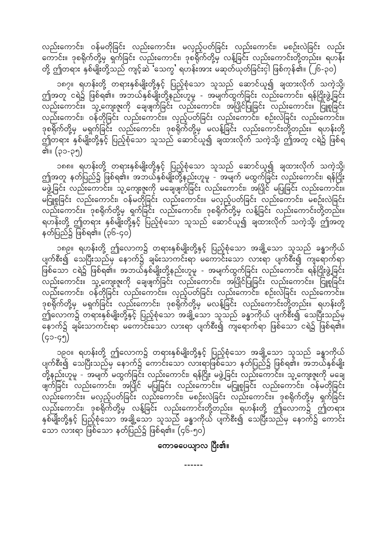လည်းကောင်း၊ ဝန်မတိုခြင်း လည်းကောင်း။ မလှည့်ပတ်ခြင်း လည်းကောင်း၊ မစဉ်းလဲခြင်း လည်း ကောင်း။ ဒုစရိုက်တို့မှ ရှက်ခြင်း လည်းကောင်း၊ ဒုစရိုက်တို့မှ လန့်ခြင်း လည်းကောင်းတို့တည်း။ ရဟန်း တို့ ဤတရား နှစ်မျိုးတို့သည် ကျင့်ဆဲ်သေက္ခ' ရဟန်းအား မဆုတ်ယုတ်ခြင်းငှါ ဖြစ်ကုန်၏။ (၂၆-၃၀)

၁၈၇။ ရဟန်းတို့ တရားနှစ်မျိုးတို့နှင့် ပြည့်စုံသော သူသည် ဆောင်ယူ၍ ချထားလိုက် သကဲ့သို့၊ ဤအတူ ငရဲ၌ ဖြစ်ရ၏။ အဘယ်နှစ်မျိုးတို့နည်းဟူမူ - အမျက်ထွက်ခြင်း လည်းကောင်း၊ ရန်ငြိုးဖွဲ့ခြင်း လည်းကောင်း၊ ဝန်တိုခြင်း လည်းကောင်း။ လှည့်ပတ်ခြင်း လည်းကောင်း၊ စဉ်းလဲခြင်း လည်းကောင်း။ ဒုစရိုက်တို့မှ မရှက်ခြင်း လည်းကောင်း၊ ဒုစရိုက်တို့မှ မလန့်ခြင်း လည်းကောင်းတို့တည်း။ ရဟန်းတို့ င်္ဂြာတရား နှစ်မျိုးတို့နှင့် ပြည့်စုံသော သူသည် ဆောင်ယူ၍ ချထားလိုက် သကဲ့သို့၊ ဤအတူ ငရဲ၌ ဖြစ်ရ ၏။ (၃၁-၃၅)

၁၈၈။ ရဟန်းတို့ တရားနှစ်မျိုးတို့နှင့် ပြည့်စုံသော သူသည် ဆောင်ယူ၍ ချထားလိုက် သကဲ့သို့၊ ဤအတူ နတ်ပြည်၌ ဖြစ်ရ၏။ အဘယ်နှစ်မျိုးတို့နည်းဟူမူ - အမျက် မထွက်ခြင်း လည်းကောင်း၊ ရန်ပြုံး မဖွဲ့ခြင်း လည်းကောင်း။ သူ့ကျေးဇူးကို မချေဖျက်ခြင်း လည်းကောင်း၊ အပြိုင် မပြုခြင်း လည်းကောင်း။ မငြူစူခြင်း လည်းကောင်း၊ ဝန်မတိုခြင်း လည်းကောင်း။ မလှည့်ပတ်ခြင်း လည်းကောင်း၊ မစဉ်းလဲခြင်း လည်းကောင်း။ ဒုစရိုက်တို့မှ ရှက်ခြင်း လည်းကောင်း၊ ဒုစရိုက်တို့မှ လန့်ခြင်း လည်းကောင်းတို့တည်း။ ရဟန်းတို့ ဤတရား နှစ်မျိုးတို့နှင့် ပြည့်စုံသော သူသည် ဆောင်ယူ၍ ချထားလိုက် သကဲ့သို့၊ ဤအတူ နတ်ပြည်၌ ဖြစ်ရ၏။ (၃၆-၄၀)

၁၈၉။ ရဟန်းတို့ ဤလောက၌ တရားနှစ်မျိုးတို့နှင့် ပြည့်စုံသော အချို့သော သူသည် ခန္ဓာကိုယ် ပျက်စီး၍ သေပြီးသည်မှ နောက်၌ ချမ်းသာကင်းရာ မကောင်းသော လားရာ ပျက်စီး၍ ကျရောက်ရာ ဖြစ်သော ငရဲ၌ ဖြစ်ရ၏။ အဘယ်နှစ်မျိုးတို့နည်းဟူမူ - အမျက်ထွက်ခြင်း လည်းကောင်း၊ ရန်ငြိုးဖွဲ့ခြင်း လည်းကောင်း။ သူ့ကျေးဇူးကို ချေဖျက်ခြင်း လည်းကောင်း၊ အပြိုင်ပြုခြင်း လည်းကောင်း။ ငြူစူခြင်း လည်းကောင်း၊ ဝန်တိုခြင်း လည်းကောင်း။ လှည့်ပတ်ခြင်း လည်းကောင်း၊ စဉ်းလဲခြင်း လည်းကောင်း။ ဒုစရိုက်တို့မှ မရှက်ခြင်း လည်းကောင်း၊ ဒုစရိုက်တို့မှ မလန့်ခြင်း လည်းကောင်းတို့တည်း။ ရဟန်းတို့ ဤလောက၌ တရားနှစ်မျိုးတို့နှင့် ပြည့်စုံသော အချို့သော သူသည် ခန္ဓာကိုယ် ပျက်စီး၍ သေပြီးသည်မှ နောက်၌ ချမ်းသာကင်းရာ မကောင်းသော လားရာ ပျက်စီး၍ ကျရောက်ရာ ဖြစ်သော ငရဲ၌ ဖြစ်ရ၏။  $(qo-q)$ 

၁၉၀။ ရဟန်းတို့ ဤလောက၌ တရားနှစ်မျိုးတို့နှင့် ပြည့်စုံသော အချို့သော သူသည် ခန္ဓာကိုယ် ပျက်စီး၍ သေပြီးသည်မှ နောက်၌ ကောင်းသော လားရာဖြစ်သော နတ်ပြည်၌ ဖြစ်ရ၏။ အဘယ်နှစ်မျိုး တို့နည်းဟူမူ - အမျက် မထွက်ခြင်း လည်းကောင်း၊ ရန်ငြိုး မဖွဲ့ခြင်း လည်းကောင်း။ သူ့ကျေးဇူးကို မချေ ဖျက်ခြင်း လည်းကောင်း၊ အပြိုင် မပြုခြင်း လည်းကောင်း၊ မငြူစူခြင်း လည်းကောင်း၊ ဝန်မတိုခြင်း လည်းကောင်း။ မလှည့်ပတ်ခြင်း လည်းကောင်း၊ မစဉ်းလဲခြင်း လည်းကောင်း။ ဒုစရိုက်တို့မှ ရှက်ခြင်း လည်းကောင်း၊ ဒုစရိုက်တို့မှ လန့်ခြင်း လည်းကောင်းတို့တည်း။ ရဟန်းတို့ ဤလောက၌ ဤတရား နှစ်မျိုးတို့နှင့် ပြည့်စုံသော အချို့သော သူသည် ခန္ဓာကိုယ် ပျက်စီး၍ သေပြီးသည်မှ နောက်၌ ကောင်း -<br>သော လားရာ ဖြစ်သော နတ်ပြည်၌ ဖြစ်ရဲ၏။ (၄၆-၅၀)

#### ကောဓပေယျာလ ပြီး၏။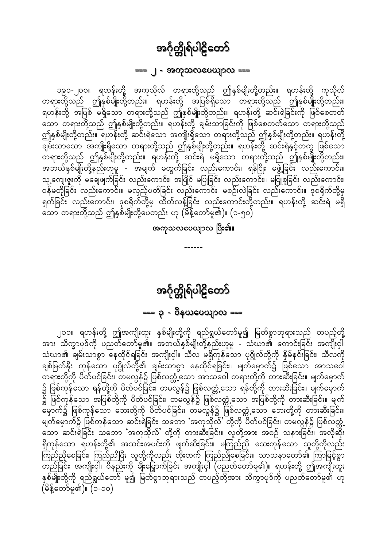#### === ၂ - အကုသလပေယျာလ ===

<span id="page-53-0"></span>၁၉၁-၂၀၀။ ရဟန်းတို့ အကုသိုလ် တရားတို့သည် ဤနှစ်မျိုးတို့တည်း။ ရဟန်းတို့ ကုသိုလ် တရားတို့သည် ဤနှစ်မျိုးတို့တည်း။ ရဟန်းတို့ အပြစ်ရှိသော တရားတို့သည် ဤနှစ်မျိုးတို့တည်း။ ရဟန်းတို့ အပြစ် မရှိသော တရားတို့သည် ဤနှစ်မျိုးတို့တည်း။ ရဟန်းတို့ ဆင်းရဲခြင်းကို ဖြစ်စေတတ် သော တရားတို့သည် ဤနှစ်မျိုးတို့တည်း။ ရဟန်းတို့ ချမ်းသာခြင်းကို ဖြစ်စေတတ်သော တရားတို့သည် ဤနှစ်မျိုးတို့တည်း။ ရဟန်းတို့ ဆင်းရဲသော အကျိုးရှိသော တရားတို့သည် ဤနှစ်မျိုးတို့တည်း။ ရဟန်းတို့ အဘယ်နှစ်မျိုးတို့နည်းဟူမူ - အမျက် မထွက်ခြင်း လည်းကောင်း၊ ရန်ငြိုး မဖွဲ့ခြင်း လည်းကောင်း။ သူ့ကျေးဇူးကို မချေဖျက်ခြင်း လည်းကောင်း၊ အပြိုင် မပြုခြင်း လည်းကောင်း။ မငြူစူခြင်း လည်းကောင်း၊ ျွန်<br>ပန်မတိုခြင်း လည်းကောင်း။ မလှည့်ပတ်ခြင်း လည်းကောင်း၊ မစဉ်းလဲခြင်း လည်းကောင်း။ ဒုစရိုက်တို့မှ<br>ရှက်ခြင်း လည်းကောင်း၊ ဒုစရိုက်တို့မှ ထိတ်လန့်ခြင်း လည်းကောင်းတို့တည်း။ ရဟန်းတို့ ဆင်းရဲ မရှိ း<br>သော တရားတို့သည် ဤနှစ်မျိုးတို့ပေတည်း ဟု (မိန့်တော်မူ၏)။ (၁-၅၀)

အကုသလပေယျာလ ပြီး၏။

အင်္ဂုတ္တိုရ်ပါဠိတော် 

၂၀၁။ ရဟန်းတို့ ဤအကျိုးထူး နှစ်မျိုးတို့ကို ရည်ရွယ်တော်မူ၍ မြတ်စွာဘုရားသည် တပည့်တို့ အား သိက္ခာပုဒ်ကို ပညတ်တော်မူ၏။ အဘယ်နှစ်မျိုးတို့နည်းဟူမူ - သံဃာ၏ ကောင်းခြင်း အကျိုးငှါ၊ သံဃာ၏ ချမ်းသာစွာ နေထိုင်ရခြင်း အကျိုးငှါ။ သီလ မရှိကုန်သော ပုဂ္ဂိုလ်တို့ကို နှိမ်နင်းခြင်း၊ သီလကို ချစ်မြတ်နိုး ကုန်သော ပုဂ္ဂိုလ်တို့၏ ချမ်းသာစွာ နေထိုင်ရခြင်း။ မျက်မှောက်၌ ဖြစ်သော အာသဝေါ ာ<br>ရားတို့ကို ပိတ်ပင်ခြင်း၊ တမလွန်၌ ဖြစ်လတ္တံ့သော အာသဝေါ တရားတို့ကို တားဆီးခြင်း။ မျက်မှောက် ၌ ဖြစ်ကုန်သော ရန်တို့ကို ပိတ်ပင်ခြင်း၊ တမလွန်၌ ဖြစ်လတ္တံ့သော ရန်တို့ကို တားဆီးခြင်း။ မျက်မှောက်<br>၌ ဖြစ်ကုန်သော အပြစ်တို့ကို ပိတ်ပင်ခြင်း၊ တမလွန်၌ ဖြစ်လတ္တံ့သော အပြစ်တို့ကို တားဆီးခြင်း။ မျက် –<br>မှောက်၌ ဖြစ်ကုန်သော ဘေးတို့ကို ပိတ်ပင်ခြင်း၊ တမလွန်၌ ဖြစ်လတ္တံ့သော ဘေးတို့ကို တားဆီးခြင်း။ မျက်မှောက်၌ ဖြစ်ကုန်သော ဆင်းရဲခြင်း သဘော 'အကုသိုလ်' တို့ကို ပိတ်ပင်ခြင်း၊ တမလွန်၌ ဖြစ်လတ္တံ့ သော ဆင်းရဲခြင်း သဘော 'အကုသိုလ်' တို့ကို တားဆီးခြင်း။ လူတို့အား အစဉ် သနားခြင်း၊ အလိုဆိုး ရှိကုန်သော ရဟန်းတို့၏ အသင်းအပင်းကို ဖျက်ဆီးခြင်း။ မကြည်ညို သေးကုန်သော သူတို့ကိုလည်း ကြည်ညိုစေခြင်း၊ ကြည်ညိုပြီး သူတို့ကိုလည်း တိုးတက် ကြည်ညိုစေခြင်း။ သာသနာတော်၏ ကြာမြင့်စွာ နှစ်မျိုးတို့ကို ရည်ရွယ်တော် မူ၍ မြတ်စွာဘုရားသည် တပည့်တို့အား သိက္ခာပုဒ်ကို ပညတ်တော်မူ၏ ဟု (မိန့်တော်မူ၏)။ (၁-၁၀)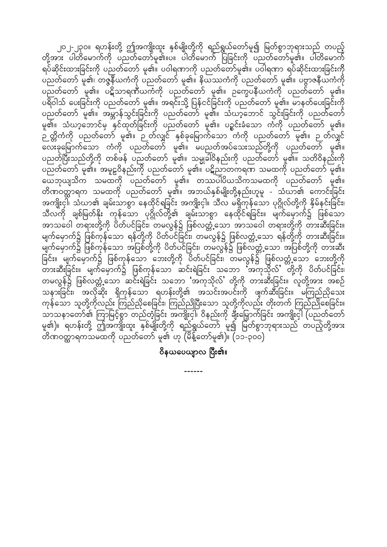၂၀၂-၂၃၀။ ရဟန်းတို့ ဤအကျိုးထူး နှစ်မျိုးတို့ကို ရည်ရွယ်တော်မူ၍ မြတ်စွာဘုရားသည် တပည့် တို့အား ပါတိမောက်ကို ပညတ်တော်မူ၏။ပ။ ပါတိမောက် ပြခြင်းကို ပညတ်တော်မူ၏။ ပါတိမောက် ရပ်ဆိုင်းထားခြင်းကို ပညတ်တော် မူ၏။ ပဝါရဏာကို ပညတ်တော်မူ၏။ ပဝါရဏာ ရပ်ဆိုင်းထားခြင်းကို ပညတ်တော် မူ၏၊ တဇ္ဇနီယကံကို ပညတ်တော် မူ၏။ နိယဿကံကို ပညတ်တော် မူ၏။ ပဗ္ဗာဇနီယကံကို ပညတ်တော် မူ၏။ ပဋိသာရဏီယကံကို ပညတ်တော် မူ၏။ ဉက္ခေပနီယကံကို ပညတ်တော် မူ၏။ ပရိဝါသ် ပေးခြင်းကို ပညတ်တော် မူ၏။ အရင်းသို့ ပြန်ငင်ခြင်းကို ပညတ်တော် မူ၏။ မာနတ်ပေးခြင်းကို ပညတ်တော် မူ၏။ အမ္ဘာန်သွင်းခြင်းကို ပညတ်တော် မူ၏။ သံဃာ့ဘောင် သွင်းခြင်းကို ပညတ်တော် မူ၏။ သံဃာ့ဘောင်မှ နှင်ထုတ်ခြင်းကို ပညတ်တော် မူ၏။ ပဝ္စင်းခံသော ကံကို ပညတ်တော် မူ၏။ \_<br>ဉ တ္တိကံကို ပညတ်တော် မူ၏။ ဉ တ်လျှင် နှစ်ခုမြောက်သော ကံကို ပညတ်တော် မူ၏။ ဉ တ်လျှင် — တိုး<br>လေးခုမြောက်သော ကံကို ပညတ်တော် မူ၏။ မပညတ်အပ်သေးသည်တို့ကို ပညတ်တော် မူ၏။ ပညတ်ပြီးသည်တို့ကို တစ်ဖန် ပညတ်တော် မူ၏။ သမ္မုခါ်ဝိနည်းကို ပညတ်တော် မူ၏။ သတိဝိနည်းကို ပညတ်တော် မူ၏။ အမူဠဝိနည်းကို ပညတ်တော် မူ၏။ ပဋိညာတကရဏ သမထကို ပညတ်တော် မူ၏။ ထေဘုယျသိက သမထကို ပညတ်တော် မူ၏။ တဿပါပိယသိကသမထကို ပညတ်တော် မူ၏။ တိဏဝတ္တာရက သမထကို ပညတ်တော် မူ၏။ အဘယ်နှစ်မျိုးတို့နည်းဟူမူ - သံဃာ၏ ကောင်းခြင်း အကျိုးငှါ်၊ သံဃာ၏ ချမ်းသာစွာ နေထိုင်ရခြင်း အကျိုးငှါ။ သီလ မရှိကုန်သော ပုဂ္ဂိုလ်တို့ကို နှိမ်နင်းခြင်း၊ သီလကို ချစ်မြတ်နိုး ကုန်သော ပုဂ္ဂိုလ်တို့၏ ချမ်းသာစွာ နေထိုင်ရခြင်း။ မျက်မှောက်၌ ဖြစ်သော အာသဝေါ တရားတို့ကို ပိတ်ပင်ခြင်း၊ တမလွန်၌ ဖြစ်လတ္တံ့သော အာသဝေါ တရားတို့ကို တားဆီးခြင်း။ မျက်မှောက်၌ ဖြစ်ကုန်သော ရန်တို့ကို ပိတ်ပင်ခြင်း၊ တမလွန်၌ ဖြစ်လတ္တံ့သော ရန်တို့ကို တားဆီးခြင်း။ မျက်မှောက်၌ ဖြစ်ကုန်သော အပြစ်တို့ကို ပိတ်ပင်ခြင်း၊ တမလွန်၌ ဖြစ်လတ္တံ့သော အပြစ်တို့ကို တားဆီး ခြင်း။ မျက်မှောက်၌ ဖြစ်ကုန်သော ဘေးတို့ကို ပိတ်ပင်ခြင်း၊ တမလွန်၌ ဖြစ်လတ္တံ့သော ဘေးတို့ကို တားဆီးခြင်း။ မျက်မှောက်၌ ဖြစ်ကုန်သော ဆင်းရဲခြင်း သဘော 'အကုသိုလ်' တို့ကို ပိတ်ပင်ခြင်း၊ တမလွန်၌ ဖြစ်လတ္တံ့သော ဆင်းရဲခြင်း သဘော 'အကုသိုလ်' တို့ကို တားဆီးခြင်း။ လူတို့အား အစဉ် သနားခြင်း၊ အလိုဆိုး ရှိကုန်သော ရဟန်းတို့၏ အသင်းအပင်းကို ဖျက်ဆီးခြင်း။ မကြည်ညိုသေး ကုန်သော သူတို့ကိုလည်း ကြည်ညိုစေခြင်း၊ ကြည်ညိုပြီးသော သူတို့ကိုလည်း တိုးတက် ကြည်ညိုစေခြင်း။ omorema<br>လာသနာတော်၏ ကြာမြင့်စွာ တည်တံ့ခြင်း အကျိုးငှါ၊ ဝိနည်းကို ချီးမြှောက်ခြင်း အကျိုးငှါ (ပညတ်တော် မူ၏)။ ရဟန်းတို့ ဤအကျိုးထူး နှစ်မျိုးတို့ကို ရည်ရွယ်တော် မူ၍ မြတ်စွာဘုရားသည် တပည့်တို့အား တိဏဝတ္တာရကသမထကို ပညတ်တော် မူ၏ ဟု (မိန့်တော်မူ၏)။ (၁၁-၃၀၀)

ဝိနယပေယျာလ ပြီး၏။

------